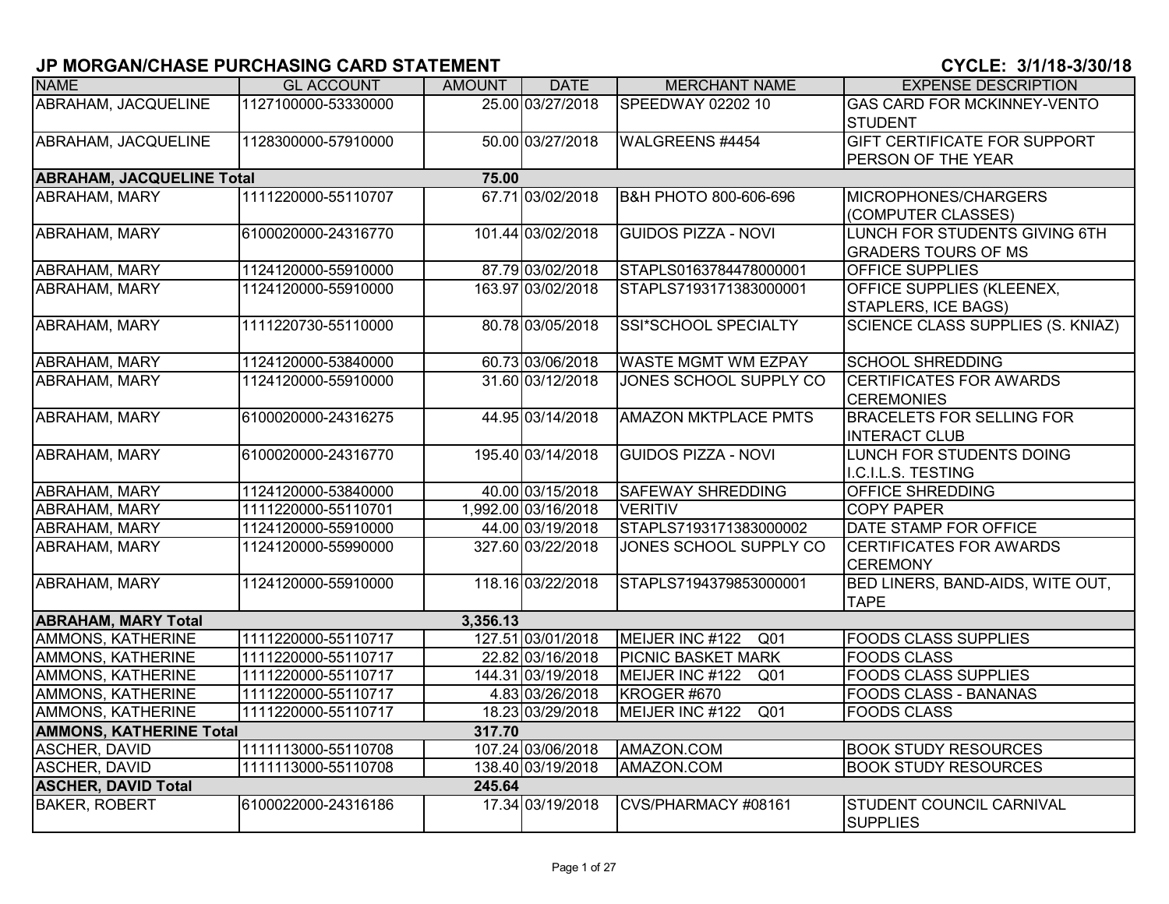| <b>NAME</b>                               | <b>GL ACCOUNT</b>   | <b>AMOUNT</b> | <b>DATE</b>         | <b>MERCHANT NAME</b>               | <b>EXPENSE DESCRIPTION</b>                         |  |  |  |  |  |
|-------------------------------------------|---------------------|---------------|---------------------|------------------------------------|----------------------------------------------------|--|--|--|--|--|
| <b>ABRAHAM, JACQUELINE</b>                | 1127100000-53330000 |               | 25.00 03/27/2018    | SPEEDWAY 02202 10                  | <b>GAS CARD FOR MCKINNEY-VENTO</b>                 |  |  |  |  |  |
|                                           |                     |               |                     |                                    | <b>STUDENT</b>                                     |  |  |  |  |  |
| <b>ABRAHAM, JACQUELINE</b>                | 1128300000-57910000 |               | 50.00 03/27/2018    | WALGREENS #4454                    | <b>GIFT CERTIFICATE FOR SUPPORT</b>                |  |  |  |  |  |
|                                           |                     |               |                     |                                    | PERSON OF THE YEAR                                 |  |  |  |  |  |
| <b>ABRAHAM, JACQUELINE Total</b><br>75.00 |                     |               |                     |                                    |                                                    |  |  |  |  |  |
| <b>ABRAHAM, MARY</b>                      | 1111220000-55110707 |               | 67.71 03/02/2018    | В&Н РНОТО 800-606-696              | MICROPHONES/CHARGERS                               |  |  |  |  |  |
|                                           |                     |               |                     |                                    | (COMPUTER CLASSES)                                 |  |  |  |  |  |
| <b>ABRAHAM, MARY</b>                      | 6100020000-24316770 |               | 101.44 03/02/2018   | <b>GUIDOS PIZZA - NOVI</b>         | LUNCH FOR STUDENTS GIVING 6TH                      |  |  |  |  |  |
|                                           |                     |               |                     |                                    | <b>GRADERS TOURS OF MS</b>                         |  |  |  |  |  |
| <b>ABRAHAM, MARY</b>                      | 1124120000-55910000 |               | 87.79 03/02/2018    | STAPLS0163784478000001             | <b>OFFICE SUPPLIES</b>                             |  |  |  |  |  |
| ABRAHAM, MARY                             | 1124120000-55910000 |               | 163.97 03/02/2018   | STAPLS7193171383000001             | OFFICE SUPPLIES (KLEENEX,                          |  |  |  |  |  |
|                                           |                     |               |                     |                                    | <b>STAPLERS, ICE BAGS)</b>                         |  |  |  |  |  |
| <b>ABRAHAM, MARY</b>                      | 1111220730-55110000 |               | 80.78 03/05/2018    | <b>SSI*SCHOOL SPECIALTY</b>        | <b>SCIENCE CLASS SUPPLIES (S. KNIAZ)</b>           |  |  |  |  |  |
|                                           |                     |               |                     |                                    |                                                    |  |  |  |  |  |
| <b>ABRAHAM, MARY</b>                      | 1124120000-53840000 |               | 60.73 03/06/2018    | <b>WASTE MGMT WM EZPAY</b>         | <b>SCHOOL SHREDDING</b>                            |  |  |  |  |  |
| ABRAHAM, MARY                             | 1124120000-55910000 |               | 31.60 03/12/2018    | JONES SCHOOL SUPPLY CO             | <b>CERTIFICATES FOR AWARDS</b>                     |  |  |  |  |  |
|                                           |                     |               |                     |                                    | <b>CEREMONIES</b>                                  |  |  |  |  |  |
| <b>ABRAHAM, MARY</b>                      | 6100020000-24316275 |               | 44.95 03/14/2018    | <b>AMAZON MKTPLACE PMTS</b>        | <b>BRACELETS FOR SELLING FOR</b>                   |  |  |  |  |  |
|                                           |                     |               |                     |                                    | <b>INTERACT CLUB</b>                               |  |  |  |  |  |
| ABRAHAM, MARY                             | 6100020000-24316770 |               | 195.40 03/14/2018   | <b>GUIDOS PIZZA - NOVI</b>         | LUNCH FOR STUDENTS DOING                           |  |  |  |  |  |
|                                           |                     |               |                     |                                    | I.C.I.L.S. TESTING                                 |  |  |  |  |  |
| <b>ABRAHAM, MARY</b>                      | 1124120000-53840000 |               | 40.00 03/15/2018    | <b>SAFEWAY SHREDDING</b>           | <b>OFFICE SHREDDING</b>                            |  |  |  |  |  |
| ABRAHAM, MARY                             | 1111220000-55110701 |               | 1,992.00 03/16/2018 | <b>VERITIV</b>                     | <b>COPY PAPER</b>                                  |  |  |  |  |  |
| ABRAHAM, MARY                             | 1124120000-55910000 |               | 44.00 03/19/2018    | STAPLS7193171383000002             | DATE STAMP FOR OFFICE                              |  |  |  |  |  |
| <b>ABRAHAM, MARY</b>                      | 1124120000-55990000 |               | 327.60 03/22/2018   | JONES SCHOOL SUPPLY CO             | <b>CERTIFICATES FOR AWARDS</b>                     |  |  |  |  |  |
|                                           |                     |               |                     |                                    | <b>CEREMONY</b>                                    |  |  |  |  |  |
| ABRAHAM, MARY                             | 1124120000-55910000 |               | 118.16 03/22/2018   | STAPLS7194379853000001             | BED LINERS, BAND-AIDS, WITE OUT,                   |  |  |  |  |  |
|                                           |                     |               |                     |                                    | <b>TAPE</b>                                        |  |  |  |  |  |
| <b>ABRAHAM, MARY Total</b>                |                     | 3,356.13      |                     |                                    |                                                    |  |  |  |  |  |
| AMMONS, KATHERINE                         | 1111220000-55110717 |               | 127.51 03/01/2018   | MEIJER INC #122 Q01                | <b>FOODS CLASS SUPPLIES</b>                        |  |  |  |  |  |
| <b>AMMONS, KATHERINE</b>                  | 1111220000-55110717 |               | 22.82 03/16/2018    | <b>PICNIC BASKET MARK</b>          | <b>FOODS CLASS</b>                                 |  |  |  |  |  |
| AMMONS, KATHERINE                         | 1111220000-55110717 |               | 144.31 03/19/2018   | MEIJER INC #122<br>Q <sub>01</sub> | <b>FOODS CLASS SUPPLIES</b>                        |  |  |  |  |  |
| AMMONS, KATHERINE                         | 1111220000-55110717 |               | 4.83 03/26/2018     | KROGER #670                        | <b>FOODS CLASS - BANANAS</b>                       |  |  |  |  |  |
| AMMONS, KATHERINE                         | 1111220000-55110717 |               | 18.23 03/29/2018    | MEIJER INC #122<br>Q <sub>01</sub> | <b>FOODS CLASS</b>                                 |  |  |  |  |  |
| <b>AMMONS, KATHERINE Total</b>            |                     | 317.70        |                     |                                    |                                                    |  |  |  |  |  |
| <b>ASCHER, DAVID</b>                      | 1111113000-55110708 |               | 107.24 03/06/2018   | AMAZON.COM                         | <b>BOOK STUDY RESOURCES</b>                        |  |  |  |  |  |
| <b>ASCHER, DAVID</b>                      | 1111113000-55110708 |               | 138.40 03/19/2018   | AMAZON.COM                         | <b>BOOK STUDY RESOURCES</b>                        |  |  |  |  |  |
| <b>ASCHER, DAVID Total</b>                |                     | 245.64        |                     |                                    |                                                    |  |  |  |  |  |
| <b>BAKER, ROBERT</b>                      | 6100022000-24316186 |               | 17.34 03/19/2018    | CVS/PHARMACY #08161                | <b>STUDENT COUNCIL CARNIVAL</b><br><b>SUPPLIES</b> |  |  |  |  |  |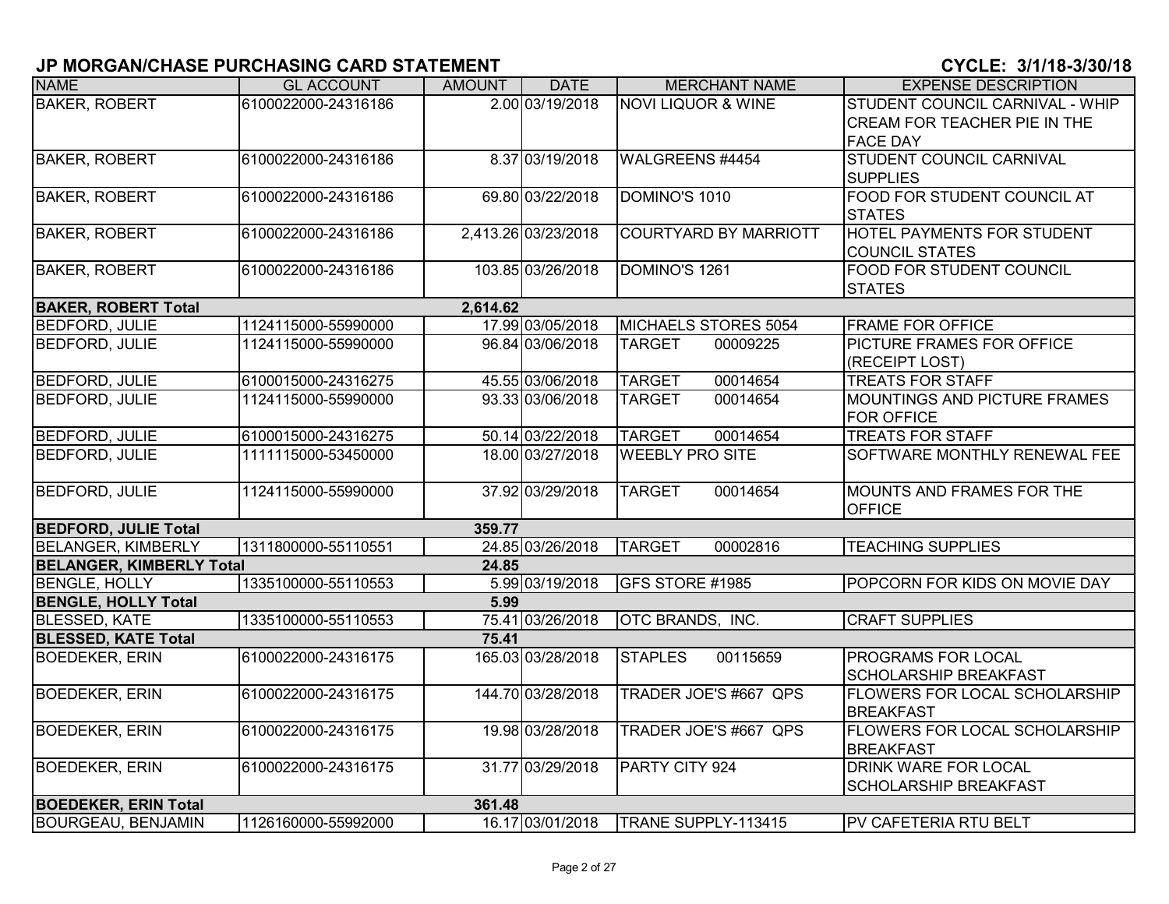| <b>NAME</b>                     | <b>GL ACCOUNT</b>   | <b>AMOUNT</b> | <b>DATE</b>         | <b>MERCHANT NAME</b>          | <b>EXPENSE DESCRIPTION</b>           |
|---------------------------------|---------------------|---------------|---------------------|-------------------------------|--------------------------------------|
| <b>BAKER, ROBERT</b>            | 6100022000-24316186 |               | 2.00 03/19/2018     | <b>NOVI LIQUOR &amp; WINE</b> | STUDENT COUNCIL CARNIVAL - WHIP      |
|                                 |                     |               |                     |                               | <b>CREAM FOR TEACHER PIE IN THE</b>  |
|                                 |                     |               |                     |                               | <b>FACE DAY</b>                      |
| <b>BAKER, ROBERT</b>            | 6100022000-24316186 |               | 8.37 03/19/2018     | WALGREENS #4454               | <b>STUDENT COUNCIL CARNIVAL</b>      |
|                                 |                     |               |                     |                               | <b>SUPPLIES</b>                      |
| <b>BAKER, ROBERT</b>            | 6100022000-24316186 |               | 69.80 03/22/2018    | DOMINO'S 1010                 | FOOD FOR STUDENT COUNCIL AT          |
|                                 |                     |               |                     |                               | <b>STATES</b>                        |
| <b>BAKER, ROBERT</b>            | 6100022000-24316186 |               | 2,413.26 03/23/2018 | <b>COURTYARD BY MARRIOTT</b>  | <b>HOTEL PAYMENTS FOR STUDENT</b>    |
|                                 |                     |               |                     |                               | <b>COUNCIL STATES</b>                |
| <b>BAKER, ROBERT</b>            | 6100022000-24316186 |               | 103.85 03/26/2018   | DOMINO'S 1261                 | <b>FOOD FOR STUDENT COUNCIL</b>      |
|                                 |                     |               |                     |                               | <b>STATES</b>                        |
| <b>BAKER, ROBERT Total</b>      |                     | 2,614.62      |                     |                               |                                      |
| <b>BEDFORD, JULIE</b>           | 1124115000-55990000 |               | 17.99 03/05/2018    | MICHAELS STORES 5054          | <b>FRAME FOR OFFICE</b>              |
| <b>BEDFORD, JULIE</b>           | 1124115000-55990000 |               | 96.84 03/06/2018    | <b>TARGET</b><br>00009225     | <b>PICTURE FRAMES FOR OFFICE</b>     |
|                                 |                     |               |                     |                               | (RECEIPT LOST)                       |
| <b>BEDFORD, JULIE</b>           | 6100015000-24316275 |               | 45.55 03/06/2018    | <b>TARGET</b><br>00014654     | <b>TREATS FOR STAFF</b>              |
| <b>BEDFORD, JULIE</b>           | 1124115000-55990000 |               | 93.33 03/06/2018    | 00014654<br><b>TARGET</b>     | MOUNTINGS AND PICTURE FRAMES         |
|                                 |                     |               |                     |                               | <b>FOR OFFICE</b>                    |
| <b>BEDFORD, JULIE</b>           | 6100015000-24316275 |               | 50.14 03/22/2018    | <b>TARGET</b><br>00014654     | <b>TREATS FOR STAFF</b>              |
| <b>BEDFORD, JULIE</b>           | 1111115000-53450000 |               | 18.00 03/27/2018    | <b>WEEBLY PRO SITE</b>        | <b>SOFTWARE MONTHLY RENEWAL FEE</b>  |
| <b>BEDFORD, JULIE</b>           | 1124115000-55990000 |               | 37.92 03/29/2018    | 00014654<br><b>TARGET</b>     | MOUNTS AND FRAMES FOR THE            |
|                                 |                     |               |                     |                               | <b>OFFICE</b>                        |
| <b>BEDFORD, JULIE Total</b>     |                     | 359.77        |                     |                               |                                      |
| <b>BELANGER, KIMBERLY</b>       | 1311800000-55110551 |               | 24.85 03/26/2018    | <b>TARGET</b><br>00002816     | <b>TEACHING SUPPLIES</b>             |
| <b>BELANGER, KIMBERLY Total</b> |                     | 24.85         |                     |                               |                                      |
| <b>BENGLE, HOLLY</b>            | 1335100000-55110553 |               | 5.99 03/19/2018     | GFS STORE #1985               | POPCORN FOR KIDS ON MOVIE DAY        |
| <b>BENGLE, HOLLY Total</b>      |                     | 5.99          |                     |                               |                                      |
| <b>BLESSED, KATE</b>            | 1335100000-55110553 |               | 75.41 03/26/2018    | OTC BRANDS, INC.              | <b>CRAFT SUPPLIES</b>                |
| <b>BLESSED, KATE Total</b>      |                     | 75.41         |                     |                               |                                      |
| <b>BOEDEKER, ERIN</b>           | 6100022000-24316175 |               | 165.03 03/28/2018   | <b>STAPLES</b><br>00115659    | <b>PROGRAMS FOR LOCAL</b>            |
|                                 |                     |               |                     |                               | SCHOLARSHIP BREAKFAST                |
| <b>BOEDEKER, ERIN</b>           | 6100022000-24316175 |               | 144.70 03/28/2018   | TRADER JOE'S #667 QPS         | <b>FLOWERS FOR LOCAL SCHOLARSHIP</b> |
|                                 |                     |               |                     |                               | <b>BREAKFAST</b>                     |
| <b>BOEDEKER, ERIN</b>           | 6100022000-24316175 |               | 19.98 03/28/2018    | TRADER JOE'S #667 QPS         | <b>FLOWERS FOR LOCAL SCHOLARSHIP</b> |
|                                 |                     |               |                     |                               | <b>BREAKFAST</b>                     |
| <b>BOEDEKER, ERIN</b>           | 6100022000-24316175 |               | 31.77 03/29/2018    | PARTY CITY 924                | <b>DRINK WARE FOR LOCAL</b>          |
|                                 |                     |               |                     |                               | SCHOLARSHIP BREAKFAST                |
| <b>BOEDEKER, ERIN Total</b>     |                     | 361.48        |                     |                               |                                      |
| <b>BOURGEAU, BENJAMIN</b>       | 1126160000-55992000 |               | 16.17 03/01/2018    | TRANE SUPPLY-113415           | <b>PV CAFETERIA RTU BELT</b>         |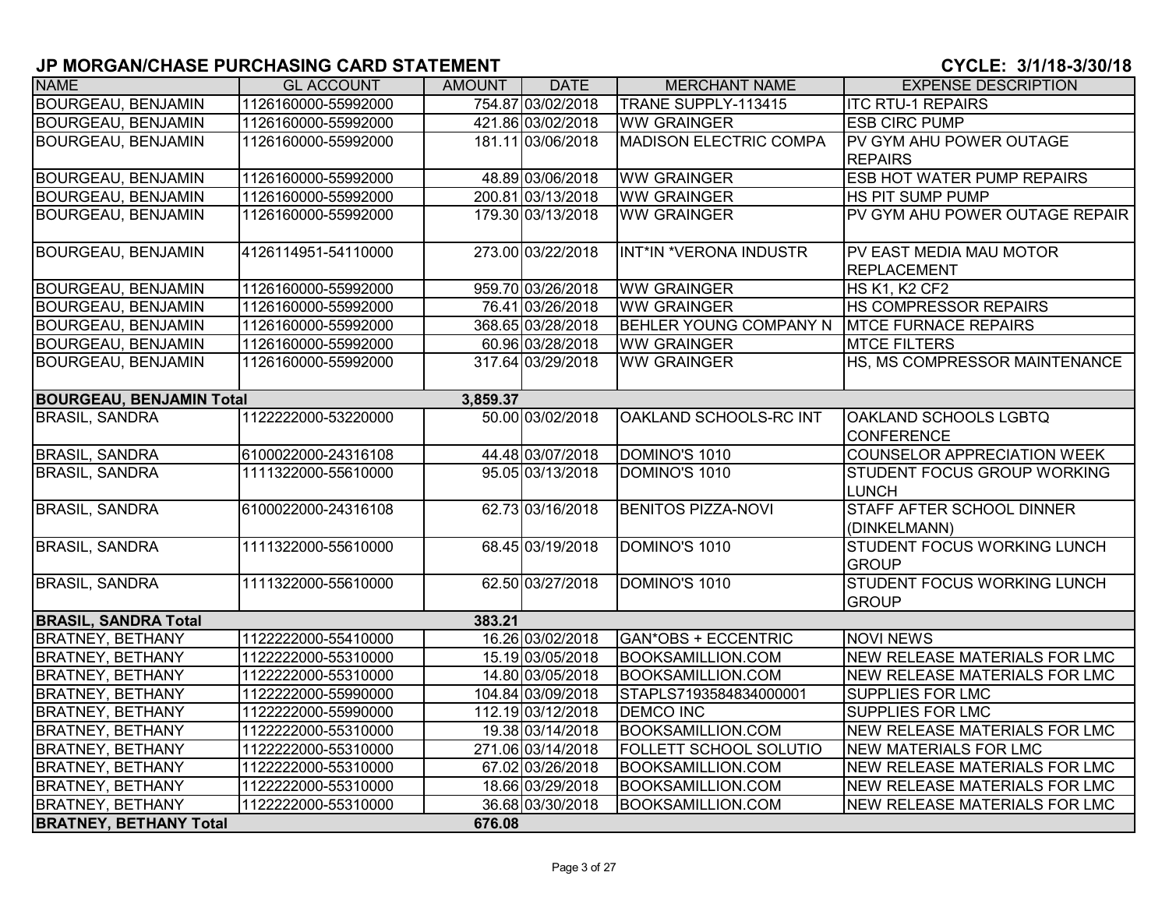| <b>NAME</b>                     | <b>GL ACCOUNT</b>   | AMOUNT   | <b>DATE</b>       | <b>MERCHANT NAME</b>          | <b>EXPENSE DESCRIPTION</b>                         |
|---------------------------------|---------------------|----------|-------------------|-------------------------------|----------------------------------------------------|
| <b>BOURGEAU, BENJAMIN</b>       | 1126160000-55992000 |          | 754.87 03/02/2018 | TRANE SUPPLY-113415           | <b>ITC RTU-1 REPAIRS</b>                           |
| <b>BOURGEAU, BENJAMIN</b>       | 1126160000-55992000 |          | 421.86 03/02/2018 | <b>WW GRAINGER</b>            | <b>ESB CIRC PUMP</b>                               |
| <b>BOURGEAU, BENJAMIN</b>       | 1126160000-55992000 |          | 181.11 03/06/2018 | <b>MADISON ELECTRIC COMPA</b> | PV GYM AHU POWER OUTAGE                            |
|                                 |                     |          |                   |                               | <b>REPAIRS</b>                                     |
| <b>BOURGEAU, BENJAMIN</b>       | 1126160000-55992000 |          | 48.89 03/06/2018  | <b>WW GRAINGER</b>            | <b>ESB HOT WATER PUMP REPAIRS</b>                  |
| <b>BOURGEAU, BENJAMIN</b>       | 1126160000-55992000 |          | 200.81 03/13/2018 | <b>WW GRAINGER</b>            | <b>HS PIT SUMP PUMP</b>                            |
| <b>BOURGEAU, BENJAMIN</b>       | 1126160000-55992000 |          | 179.30 03/13/2018 | <b>WW GRAINGER</b>            | PV GYM AHU POWER OUTAGE REPAIR                     |
| <b>BOURGEAU, BENJAMIN</b>       | 4126114951-54110000 |          | 273.00 03/22/2018 | INT*IN *VERONA INDUSTR        | PV EAST MEDIA MAU MOTOR<br><b>REPLACEMENT</b>      |
| <b>BOURGEAU, BENJAMIN</b>       | 1126160000-55992000 |          | 959.70 03/26/2018 | <b>WW GRAINGER</b>            | HS K1, K2 CF2                                      |
| <b>BOURGEAU, BENJAMIN</b>       | 1126160000-55992000 |          | 76.41 03/26/2018  | <b>WW GRAINGER</b>            | HS COMPRESSOR REPAIRS                              |
| <b>BOURGEAU, BENJAMIN</b>       | 1126160000-55992000 |          | 368.65 03/28/2018 | <b>BEHLER YOUNG COMPANY N</b> | <b>MTCE FURNACE REPAIRS</b>                        |
| <b>BOURGEAU, BENJAMIN</b>       | 1126160000-55992000 |          | 60.96 03/28/2018  | <b>WW GRAINGER</b>            | <b>MTCE FILTERS</b>                                |
| <b>BOURGEAU, BENJAMIN</b>       | 1126160000-55992000 |          | 317.64 03/29/2018 | <b>WW GRAINGER</b>            | HS, MS COMPRESSOR MAINTENANCE                      |
| <b>BOURGEAU, BENJAMIN Total</b> |                     | 3,859.37 |                   |                               |                                                    |
| <b>BRASIL, SANDRA</b>           | 1122222000-53220000 |          | 50.00 03/02/2018  | OAKLAND SCHOOLS-RC INT        | OAKLAND SCHOOLS LGBTQ<br><b>CONFERENCE</b>         |
| <b>BRASIL, SANDRA</b>           | 6100022000-24316108 |          | 44.48 03/07/2018  | DOMINO'S 1010                 | <b>COUNSELOR APPRECIATION WEEK</b>                 |
| <b>BRASIL, SANDRA</b>           | 1111322000-55610000 |          | 95.05 03/13/2018  | DOMINO'S 1010                 | <b>STUDENT FOCUS GROUP WORKING</b><br>LUNCH        |
| <b>BRASIL, SANDRA</b>           | 6100022000-24316108 |          | 62.73 03/16/2018  | <b>BENITOS PIZZA-NOVI</b>     | <b>STAFF AFTER SCHOOL DINNER</b><br>(DINKELMANN)   |
| <b>BRASIL, SANDRA</b>           | 1111322000-55610000 |          | 68.45 03/19/2018  | DOMINO'S 1010                 | <b>STUDENT FOCUS WORKING LUNCH</b><br><b>GROUP</b> |
| <b>BRASIL, SANDRA</b>           | 1111322000-55610000 |          | 62.50 03/27/2018  | DOMINO'S 1010                 | <b>STUDENT FOCUS WORKING LUNCH</b><br><b>GROUP</b> |
| <b>BRASIL, SANDRA Total</b>     |                     | 383.21   |                   |                               |                                                    |
| <b>BRATNEY, BETHANY</b>         | 1122222000-55410000 |          | 16.26 03/02/2018  | <b>GAN*OBS + ECCENTRIC</b>    | <b>NOVI NEWS</b>                                   |
| <b>BRATNEY, BETHANY</b>         | 1122222000-55310000 |          | 15.19 03/05/2018  | <b>BOOKSAMILLION.COM</b>      | NEW RELEASE MATERIALS FOR LMC                      |
| <b>BRATNEY, BETHANY</b>         | 1122222000-55310000 |          | 14.80 03/05/2018  | <b>BOOKSAMILLION.COM</b>      | NEW RELEASE MATERIALS FOR LMC                      |
| <b>BRATNEY, BETHANY</b>         | 1122222000-55990000 |          | 104.84 03/09/2018 | STAPLS7193584834000001        | <b>SUPPLIES FOR LMC</b>                            |
| <b>BRATNEY, BETHANY</b>         | 1122222000-55990000 |          | 112.19 03/12/2018 | <b>DEMCO INC</b>              | <b>SUPPLIES FOR LMC</b>                            |
| <b>BRATNEY, BETHANY</b>         | 1122222000-55310000 |          | 19.38 03/14/2018  | <b>BOOKSAMILLION.COM</b>      | NEW RELEASE MATERIALS FOR LMC                      |
| <b>BRATNEY, BETHANY</b>         | 1122222000-55310000 |          | 271.06 03/14/2018 | FOLLETT SCHOOL SOLUTIO        | NEW MATERIALS FOR LMC                              |
| <b>BRATNEY, BETHANY</b>         | 1122222000-55310000 |          | 67.02 03/26/2018  | <b>BOOKSAMILLION.COM</b>      | <b>NEW RELEASE MATERIALS FOR LMC</b>               |
| <b>BRATNEY, BETHANY</b>         | 1122222000-55310000 |          | 18.66 03/29/2018  | <b>BOOKSAMILLION.COM</b>      | NEW RELEASE MATERIALS FOR LMC                      |
| <b>BRATNEY, BETHANY</b>         | 1122222000-55310000 |          | 36.68 03/30/2018  | <b>BOOKSAMILLION.COM</b>      | <b>NEW RELEASE MATERIALS FOR LMC</b>               |
| <b>BRATNEY, BETHANY Total</b>   |                     | 676.08   |                   |                               |                                                    |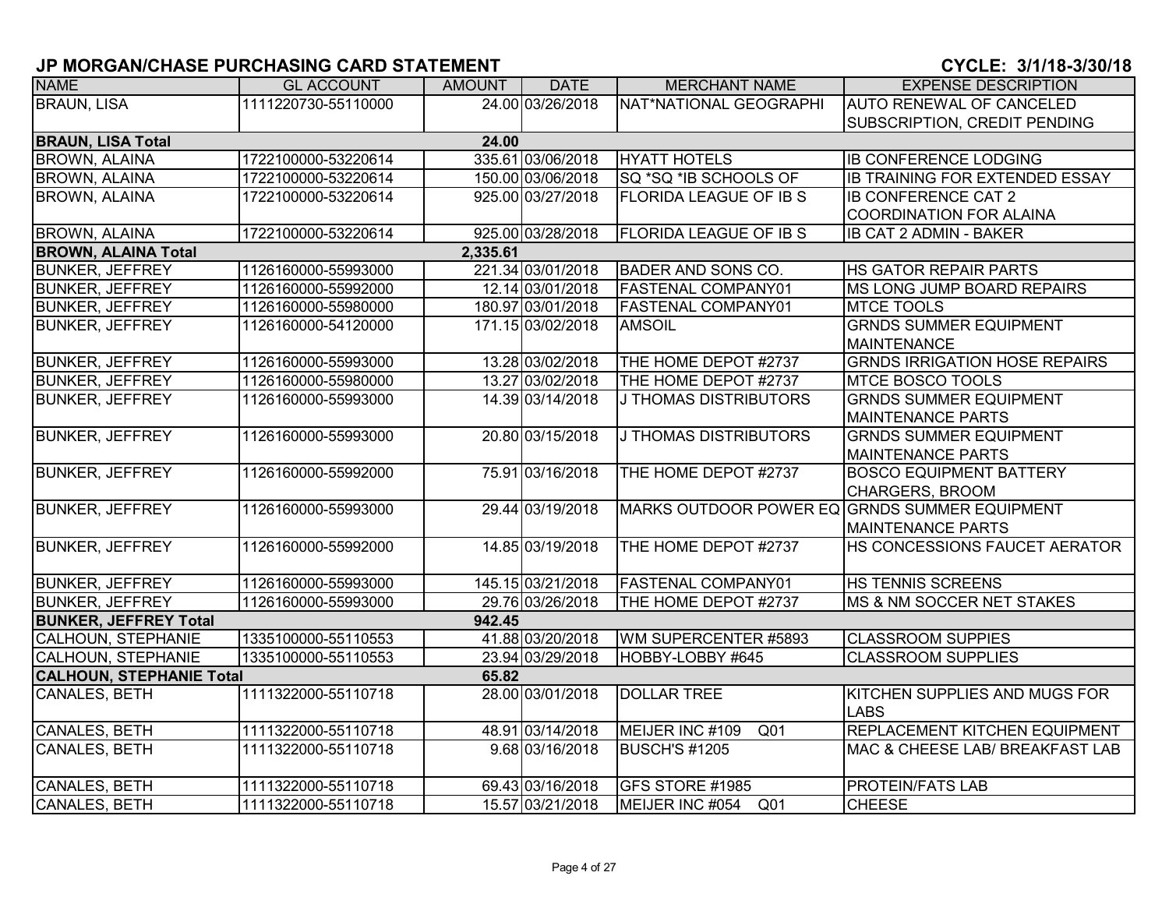| <b>NAME</b>                     | <b>GL ACCOUNT</b>   | <b>AMOUNT</b> | <b>DATE</b>       | <b>MERCHANT NAME</b>                          | <b>EXPENSE DESCRIPTION</b>            |
|---------------------------------|---------------------|---------------|-------------------|-----------------------------------------------|---------------------------------------|
| <b>BRAUN, LISA</b>              | 1111220730-55110000 |               | 24.00 03/26/2018  | NAT*NATIONAL GEOGRAPHI                        | <b>AUTO RENEWAL OF CANCELED</b>       |
|                                 |                     |               |                   |                                               | SUBSCRIPTION, CREDIT PENDING          |
| <b>BRAUN, LISA Total</b>        |                     | 24.00         |                   |                                               |                                       |
| <b>BROWN, ALAINA</b>            | 1722100000-53220614 |               | 335.61 03/06/2018 | <b>HYATT HOTELS</b>                           | <b>IB CONFERENCE LODGING</b>          |
| <b>BROWN, ALAINA</b>            | 1722100000-53220614 |               | 150.00 03/06/2018 | SQ *SQ *IB SCHOOLS OF                         | <b>IB TRAINING FOR EXTENDED ESSAY</b> |
| <b>BROWN, ALAINA</b>            | 1722100000-53220614 |               | 925.00 03/27/2018 | FLORIDA LEAGUE OF IB S                        | <b>IB CONFERENCE CAT 2</b>            |
|                                 |                     |               |                   |                                               | <b>COORDINATION FOR ALAINA</b>        |
| <b>BROWN, ALAINA</b>            | 1722100000-53220614 |               | 925.00 03/28/2018 | <b>FLORIDA LEAGUE OF IB S</b>                 | <b>IB CAT 2 ADMIN - BAKER</b>         |
| <b>BROWN, ALAINA Total</b>      |                     | 2,335.61      |                   |                                               |                                       |
| <b>BUNKER, JEFFREY</b>          | 1126160000-55993000 |               | 221.34 03/01/2018 | <b>BADER AND SONS CO.</b>                     | <b>HS GATOR REPAIR PARTS</b>          |
| <b>BUNKER, JEFFREY</b>          | 1126160000-55992000 |               | 12.14 03/01/2018  | <b>FASTENAL COMPANY01</b>                     | MS LONG JUMP BOARD REPAIRS            |
| <b>BUNKER, JEFFREY</b>          | 1126160000-55980000 |               | 180.97 03/01/2018 | FASTENAL COMPANY01                            | <b>MTCE TOOLS</b>                     |
| <b>BUNKER, JEFFREY</b>          | 1126160000-54120000 |               | 171.15 03/02/2018 | <b>AMSOIL</b>                                 | <b>GRNDS SUMMER EQUIPMENT</b>         |
|                                 |                     |               |                   |                                               | <b>MAINTENANCE</b>                    |
| <b>BUNKER, JEFFREY</b>          | 1126160000-55993000 |               | 13.28 03/02/2018  | THE HOME DEPOT #2737                          | <b>GRNDS IRRIGATION HOSE REPAIRS</b>  |
| <b>BUNKER, JEFFREY</b>          | 1126160000-55980000 |               | 13.27 03/02/2018  | THE HOME DEPOT #2737                          | <b>MTCE BOSCO TOOLS</b>               |
| <b>BUNKER, JEFFREY</b>          | 1126160000-55993000 |               | 14.39 03/14/2018  | <b>J THOMAS DISTRIBUTORS</b>                  | <b>GRNDS SUMMER EQUIPMENT</b>         |
|                                 |                     |               |                   |                                               | <b>MAINTENANCE PARTS</b>              |
| <b>BUNKER, JEFFREY</b>          | 1126160000-55993000 |               | 20.80 03/15/2018  | <b>J THOMAS DISTRIBUTORS</b>                  | <b>GRNDS SUMMER EQUIPMENT</b>         |
|                                 |                     |               |                   |                                               | <b>MAINTENANCE PARTS</b>              |
| <b>BUNKER, JEFFREY</b>          | 1126160000-55992000 |               | 75.91 03/16/2018  | THE HOME DEPOT #2737                          | <b>BOSCO EQUIPMENT BATTERY</b>        |
|                                 |                     |               |                   |                                               | <b>CHARGERS, BROOM</b>                |
| <b>BUNKER, JEFFREY</b>          | 1126160000-55993000 |               | 29.44 03/19/2018  | MARKS OUTDOOR POWER EQ GRNDS SUMMER EQUIPMENT |                                       |
|                                 |                     |               |                   |                                               | <b>MAINTENANCE PARTS</b>              |
| <b>BUNKER, JEFFREY</b>          | 1126160000-55992000 |               | 14.85 03/19/2018  | THE HOME DEPOT #2737                          | <b>HS CONCESSIONS FAUCET AERATOR</b>  |
|                                 |                     |               |                   |                                               |                                       |
| <b>BUNKER, JEFFREY</b>          | 1126160000-55993000 |               | 145.15 03/21/2018 | <b>FASTENAL COMPANY01</b>                     | <b>HS TENNIS SCREENS</b>              |
| <b>BUNKER, JEFFREY</b>          | 1126160000-55993000 |               | 29.76 03/26/2018  | THE HOME DEPOT #2737                          | MS & NM SOCCER NET STAKES             |
| <b>BUNKER, JEFFREY Total</b>    |                     | 942.45        |                   |                                               |                                       |
| CALHOUN, STEPHANIE              | 1335100000-55110553 |               | 41.88 03/20/2018  | WM SUPERCENTER #5893                          | <b>CLASSROOM SUPPIES</b>              |
| CALHOUN, STEPHANIE              | 1335100000-55110553 |               | 23.94 03/29/2018  | HOBBY-LOBBY #645                              | <b>CLASSROOM SUPPLIES</b>             |
| <b>CALHOUN, STEPHANIE Total</b> |                     | 65.82         |                   |                                               |                                       |
| <b>CANALES, BETH</b>            | 1111322000-55110718 |               | 28.00 03/01/2018  | <b>DOLLAR TREE</b>                            | KITCHEN SUPPLIES AND MUGS FOR         |
|                                 |                     |               |                   |                                               | <b>LABS</b>                           |
| <b>CANALES, BETH</b>            | 1111322000-55110718 |               | 48.91 03/14/2018  | MEIJER INC #109<br>Q <sub>01</sub>            | <b>REPLACEMENT KITCHEN EQUIPMENT</b>  |
| <b>CANALES, BETH</b>            | 1111322000-55110718 |               | 9.68 03/16/2018   | <b>BUSCH'S #1205</b>                          | MAC & CHEESE LAB/ BREAKFAST LAB       |
|                                 |                     |               |                   |                                               |                                       |
| <b>CANALES, BETH</b>            | 1111322000-55110718 |               | 69.43 03/16/2018  | GFS STORE #1985                               | <b>PROTEIN/FATS LAB</b>               |
| CANALES, BETH                   | 1111322000-55110718 |               | 15.57 03/21/2018  | MEIJER INC #054 Q01                           | <b>CHEESE</b>                         |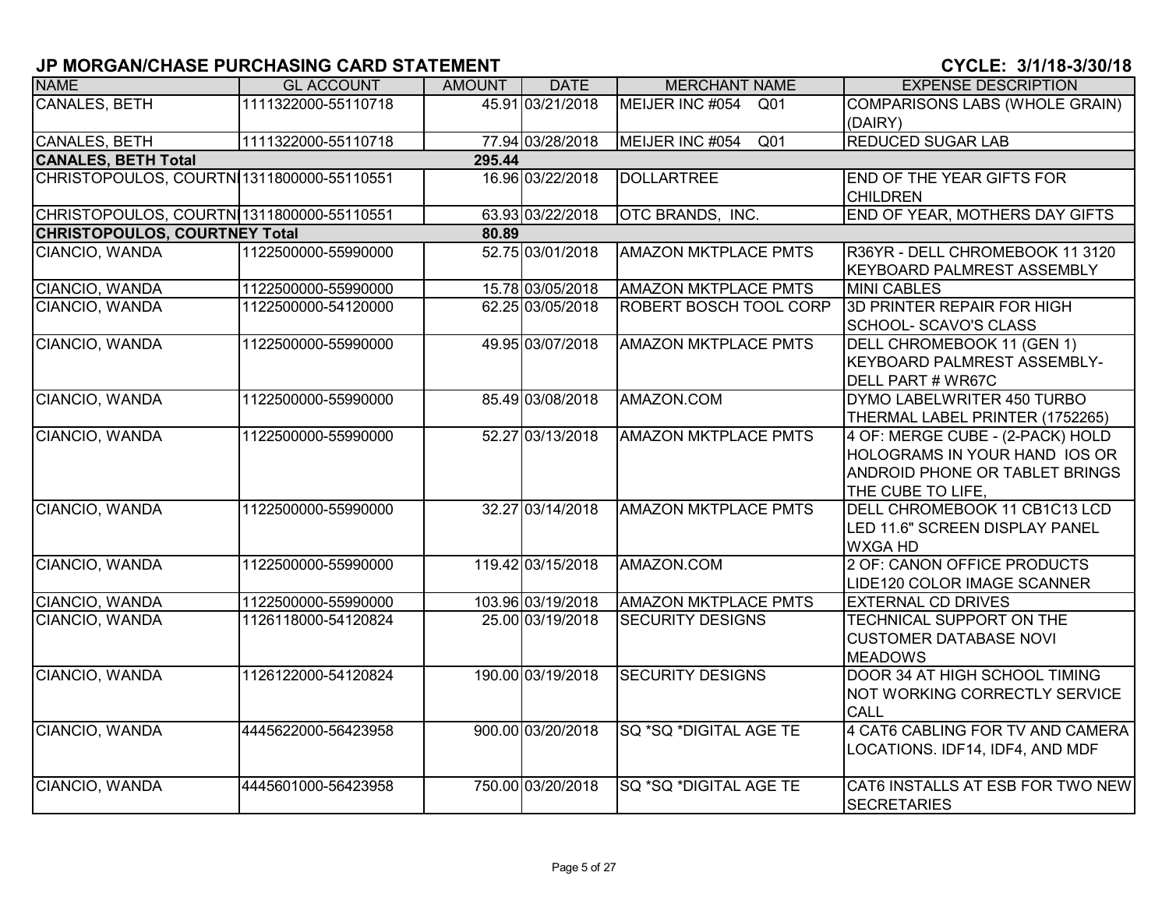| <b>NAME</b>                               | <b>GL ACCOUNT</b>   | <b>AMOUNT</b> | <b>DATE</b>       | <b>MERCHANT NAME</b>               | <b>EXPENSE DESCRIPTION</b>            |
|-------------------------------------------|---------------------|---------------|-------------------|------------------------------------|---------------------------------------|
| CANALES, BETH                             | 1111322000-55110718 |               | 45.91 03/21/2018  | MEIJER INC #054<br>Q01             | <b>COMPARISONS LABS (WHOLE GRAIN)</b> |
|                                           |                     |               |                   |                                    | (DAIRY)                               |
| <b>CANALES, BETH</b>                      | 1111322000-55110718 |               | 77.94 03/28/2018  | MEIJER INC #054<br>Q <sub>01</sub> | <b>REDUCED SUGAR LAB</b>              |
| <b>CANALES, BETH Total</b>                |                     | 295.44        |                   |                                    |                                       |
| CHRISTOPOULOS, COURTN 1311800000-55110551 |                     |               | 16.96 03/22/2018  | <b>DOLLARTREE</b>                  | <b>END OF THE YEAR GIFTS FOR</b>      |
|                                           |                     |               |                   |                                    | <b>CHILDREN</b>                       |
| CHRISTOPOULOS, COURTN 1311800000-55110551 |                     |               | 63.93 03/22/2018  | OTC BRANDS, INC.                   | <b>END OF YEAR, MOTHERS DAY GIFTS</b> |
| <b>CHRISTOPOULOS, COURTNEY Total</b>      |                     | 80.89         |                   |                                    |                                       |
| CIANCIO, WANDA                            | 1122500000-55990000 |               | 52.75 03/01/2018  | <b>AMAZON MKTPLACE PMTS</b>        | R36YR - DELL CHROMEBOOK 11 3120       |
|                                           |                     |               |                   |                                    | <b>KEYBOARD PALMREST ASSEMBLY</b>     |
| CIANCIO, WANDA                            | 1122500000-55990000 |               | 15.78 03/05/2018  | <b>AMAZON MKTPLACE PMTS</b>        | <b>MINI CABLES</b>                    |
| CIANCIO, WANDA                            | 1122500000-54120000 |               | 62.25 03/05/2018  | ROBERT BOSCH TOOL CORP             | 3D PRINTER REPAIR FOR HIGH            |
|                                           |                     |               |                   |                                    | SCHOOL- SCAVO'S CLASS                 |
| CIANCIO, WANDA                            | 1122500000-55990000 |               | 49.95 03/07/2018  | <b>AMAZON MKTPLACE PMTS</b>        | DELL CHROMEBOOK 11 (GEN 1)            |
|                                           |                     |               |                   |                                    | <b>KEYBOARD PALMREST ASSEMBLY-</b>    |
|                                           |                     |               |                   |                                    | DELL PART # WR67C                     |
| CIANCIO, WANDA                            | 1122500000-55990000 |               | 85.49 03/08/2018  | AMAZON.COM                         | DYMO LABELWRITER 450 TURBO            |
|                                           |                     |               |                   |                                    | THERMAL LABEL PRINTER (1752265)       |
| CIANCIO, WANDA                            | 1122500000-55990000 |               | 52.27 03/13/2018  | <b>AMAZON MKTPLACE PMTS</b>        | 4 OF: MERGE CUBE - (2-PACK) HOLD      |
|                                           |                     |               |                   |                                    | HOLOGRAMS IN YOUR HAND IOS OR         |
|                                           |                     |               |                   |                                    | <b>ANDROID PHONE OR TABLET BRINGS</b> |
|                                           |                     |               |                   |                                    | THE CUBE TO LIFE,                     |
| CIANCIO, WANDA                            | 1122500000-55990000 |               | 32.27 03/14/2018  | <b>AMAZON MKTPLACE PMTS</b>        | DELL CHROMEBOOK 11 CB1C13 LCD         |
|                                           |                     |               |                   |                                    | LED 11.6" SCREEN DISPLAY PANEL        |
|                                           |                     |               |                   |                                    | <b>WXGA HD</b>                        |
| CIANCIO, WANDA                            | 1122500000-55990000 |               | 119.42 03/15/2018 | AMAZON.COM                         | 2 OF: CANON OFFICE PRODUCTS           |
|                                           |                     |               |                   |                                    | LIDE120 COLOR IMAGE SCANNER           |
| CIANCIO, WANDA                            | 1122500000-55990000 |               | 103.96 03/19/2018 | <b>AMAZON MKTPLACE PMTS</b>        | <b>EXTERNAL CD DRIVES</b>             |
| CIANCIO, WANDA                            | 1126118000-54120824 |               | 25.00 03/19/2018  | <b>SECURITY DESIGNS</b>            | TECHNICAL SUPPORT ON THE              |
|                                           |                     |               |                   |                                    | <b>CUSTOMER DATABASE NOVI</b>         |
|                                           |                     |               |                   |                                    | <b>MEADOWS</b>                        |
| CIANCIO, WANDA                            | 1126122000-54120824 |               | 190.00 03/19/2018 | <b>SECURITY DESIGNS</b>            | DOOR 34 AT HIGH SCHOOL TIMING         |
|                                           |                     |               |                   |                                    | NOT WORKING CORRECTLY SERVICE         |
|                                           |                     |               |                   |                                    | CALL                                  |
| CIANCIO, WANDA                            | 4445622000-56423958 |               | 900.00 03/20/2018 | SQ *SQ *DIGITAL AGE TE             | 4 CAT6 CABLING FOR TV AND CAMERA      |
|                                           |                     |               |                   |                                    | LOCATIONS. IDF14, IDF4, AND MDF       |
|                                           |                     |               |                   |                                    |                                       |
| CIANCIO, WANDA                            | 4445601000-56423958 |               | 750.00 03/20/2018 | SQ *SQ *DIGITAL AGE TE             | CAT6 INSTALLS AT ESB FOR TWO NEW      |
|                                           |                     |               |                   |                                    | <b>SECRETARIES</b>                    |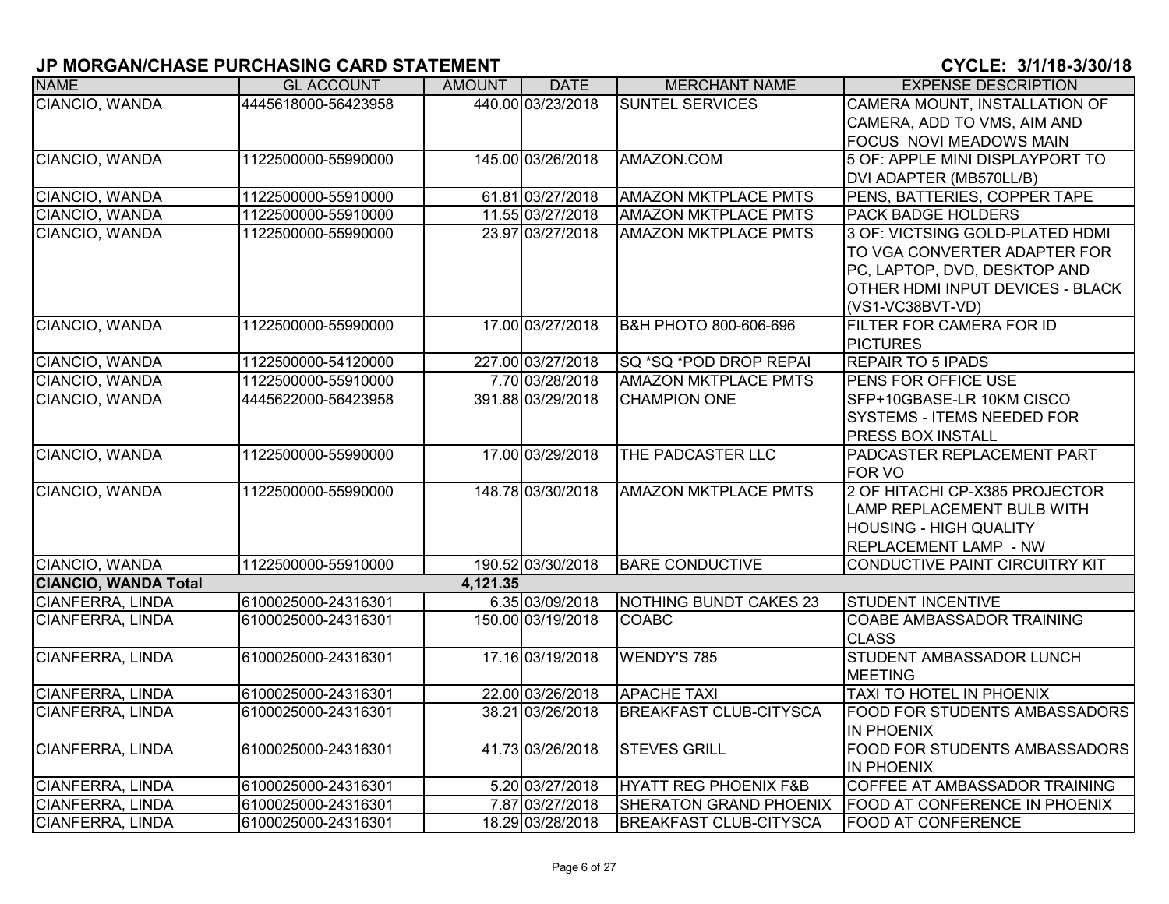| <b>NAME</b>                 | <b>GL ACCOUNT</b>   | <b>AMOUNT</b> | <b>DATE</b>       | <b>MERCHANT NAME</b>             | <b>EXPENSE DESCRIPTION</b>            |
|-----------------------------|---------------------|---------------|-------------------|----------------------------------|---------------------------------------|
| CIANCIO, WANDA              | 4445618000-56423958 |               | 440.00 03/23/2018 | <b>SUNTEL SERVICES</b>           | CAMERA MOUNT, INSTALLATION OF         |
|                             |                     |               |                   |                                  | CAMERA, ADD TO VMS, AIM AND           |
|                             |                     |               |                   |                                  | <b>FOCUS NOVI MEADOWS MAIN</b>        |
| CIANCIO, WANDA              | 1122500000-55990000 |               | 145.00 03/26/2018 | AMAZON.COM                       | 5 OF: APPLE MINI DISPLAYPORT TO       |
|                             |                     |               |                   |                                  | DVI ADAPTER (MB570LL/B)               |
| CIANCIO, WANDA              | 1122500000-55910000 |               | 61.81 03/27/2018  | <b>AMAZON MKTPLACE PMTS</b>      | PENS, BATTERIES, COPPER TAPE          |
| CIANCIO, WANDA              | 1122500000-55910000 |               | 11.55 03/27/2018  | <b>AMAZON MKTPLACE PMTS</b>      | <b>PACK BADGE HOLDERS</b>             |
| CIANCIO, WANDA              | 1122500000-55990000 |               | 23.97 03/27/2018  | <b>AMAZON MKTPLACE PMTS</b>      | 3 OF: VICTSING GOLD-PLATED HDMI       |
|                             |                     |               |                   |                                  | TO VGA CONVERTER ADAPTER FOR          |
|                             |                     |               |                   |                                  | PC, LAPTOP, DVD, DESKTOP AND          |
|                             |                     |               |                   |                                  | OTHER HDMI INPUT DEVICES - BLACK      |
|                             |                     |               |                   |                                  | (VS1-VC38BVT-VD)                      |
| CIANCIO, WANDA              | 1122500000-55990000 |               | 17.00 03/27/2018  | <b>B&amp;H PHOTO 800-606-696</b> | FILTER FOR CAMERA FOR ID              |
|                             |                     |               |                   |                                  | <b>PICTURES</b>                       |
| CIANCIO, WANDA              | 1122500000-54120000 |               | 227.00 03/27/2018 | SQ *SQ *POD DROP REPAI           | <b>REPAIR TO 5 IPADS</b>              |
| CIANCIO, WANDA              | 1122500000-55910000 |               | 7.70 03/28/2018   | <b>AMAZON MKTPLACE PMTS</b>      | PENS FOR OFFICE USE                   |
| CIANCIO, WANDA              | 4445622000-56423958 |               | 391.88 03/29/2018 | <b>CHAMPION ONE</b>              | SFP+10GBASE-LR 10KM CISCO             |
|                             |                     |               |                   |                                  | <b>SYSTEMS - ITEMS NEEDED FOR</b>     |
|                             |                     |               |                   |                                  | <b>PRESS BOX INSTALL</b>              |
| CIANCIO, WANDA              | 1122500000-55990000 |               | 17.00 03/29/2018  | THE PADCASTER LLC                | PADCASTER REPLACEMENT PART            |
|                             |                     |               |                   |                                  | <b>FOR VO</b>                         |
| CIANCIO, WANDA              | 1122500000-55990000 |               | 148.78 03/30/2018 | <b>AMAZON MKTPLACE PMTS</b>      | 2 OF HITACHI CP-X385 PROJECTOR        |
|                             |                     |               |                   |                                  | <b>LAMP REPLACEMENT BULB WITH</b>     |
|                             |                     |               |                   |                                  | <b>HOUSING - HIGH QUALITY</b>         |
|                             |                     |               |                   |                                  | <b>REPLACEMENT LAMP - NW</b>          |
| CIANCIO, WANDA              | 1122500000-55910000 |               | 190.52 03/30/2018 | <b>BARE CONDUCTIVE</b>           | <b>CONDUCTIVE PAINT CIRCUITRY KIT</b> |
| <b>CIANCIO, WANDA Total</b> |                     | 4,121.35      |                   |                                  |                                       |
| <b>CIANFERRA, LINDA</b>     | 6100025000-24316301 |               | 6.35 03/09/2018   | NOTHING BUNDT CAKES 23           | <b>STUDENT INCENTIVE</b>              |
| CIANFERRA, LINDA            | 6100025000-24316301 |               | 150.00 03/19/2018 | <b>COABC</b>                     | COABE AMBASSADOR TRAINING             |
|                             |                     |               |                   |                                  | <b>CLASS</b>                          |
| CIANFERRA, LINDA            | 6100025000-24316301 |               | 17.16 03/19/2018  | <b>WENDY'S 785</b>               | STUDENT AMBASSADOR LUNCH              |
|                             |                     |               |                   |                                  | <b>MEETING</b>                        |
| CIANFERRA, LINDA            | 6100025000-24316301 |               | 22.00 03/26/2018  | <b>APACHE TAXI</b>               | TAXI TO HOTEL IN PHOENIX              |
| CIANFERRA, LINDA            | 6100025000-24316301 |               | 38.21 03/26/2018  | <b>BREAKFAST CLUB-CITYSCA</b>    | FOOD FOR STUDENTS AMBASSADORS         |
|                             |                     |               |                   |                                  | <b>IN PHOENIX</b>                     |
| <b>CIANFERRA, LINDA</b>     | 6100025000-24316301 |               | 41.73 03/26/2018  | <b>STEVES GRILL</b>              | FOOD FOR STUDENTS AMBASSADORS         |
|                             |                     |               |                   |                                  | <b>IN PHOENIX</b>                     |
| CIANFERRA, LINDA            | 6100025000-24316301 |               | 5.20 03/27/2018   | HYATT REG PHOENIX F&B            | COFFEE AT AMBASSADOR TRAINING         |
| CIANFERRA, LINDA            | 6100025000-24316301 |               | 7.87 03/27/2018   | <b>SHERATON GRAND PHOENIX</b>    | FOOD AT CONFERENCE IN PHOENIX         |
| CIANFERRA, LINDA            | 6100025000-24316301 |               | 18.29 03/28/2018  | <b>BREAKFAST CLUB-CITYSCA</b>    | <b>FOOD AT CONFERENCE</b>             |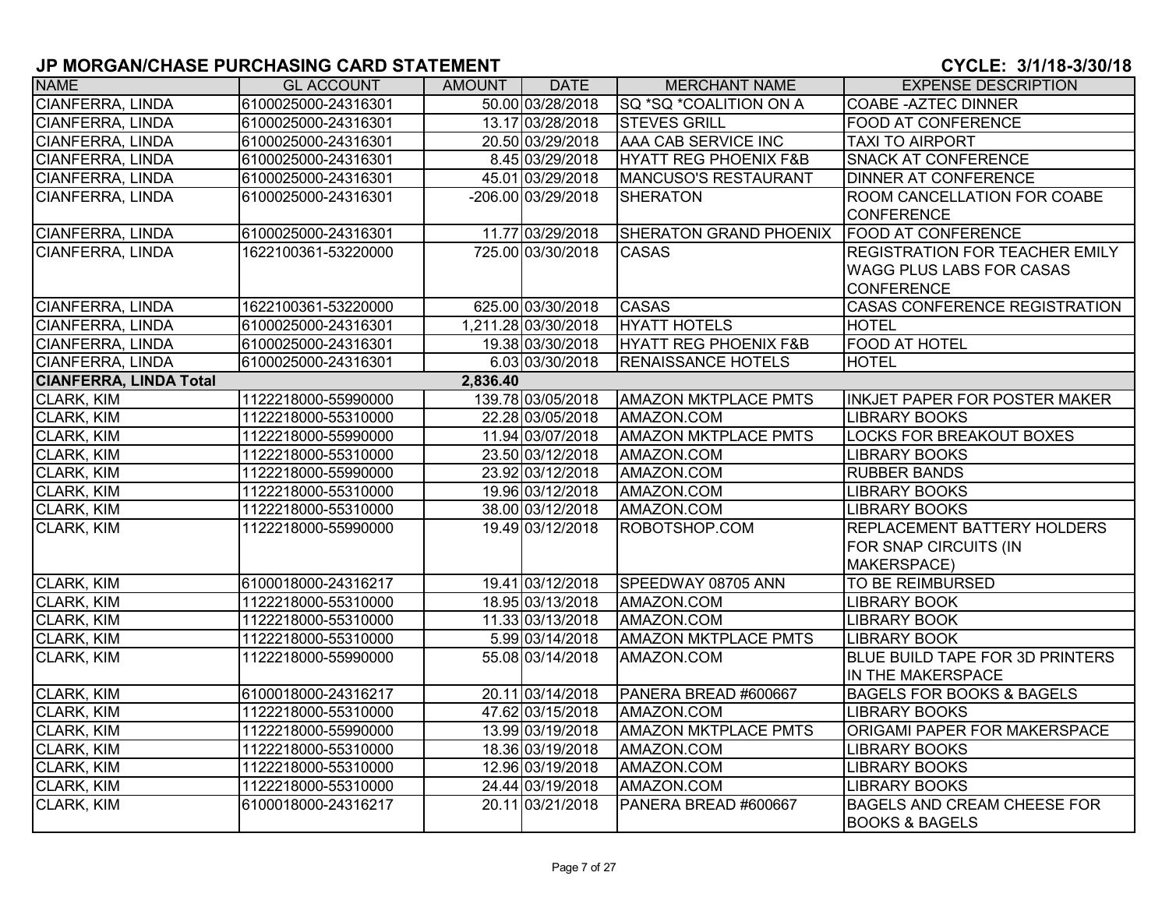| <b>NAME</b>                   | <b>GL ACCOUNT</b>   | AMOUNT   | <b>DATE</b>         | <b>MERCHANT NAME</b>             | <b>EXPENSE DESCRIPTION</b>             |
|-------------------------------|---------------------|----------|---------------------|----------------------------------|----------------------------------------|
| CIANFERRA, LINDA              | 6100025000-24316301 |          | 50.00 03/28/2018    | <b>SQ *SQ *COALITION ON A</b>    | <b>COABE - AZTEC DINNER</b>            |
| <b>CIANFERRA, LINDA</b>       | 6100025000-24316301 |          | 13.17 03/28/2018    | <b>STEVES GRILL</b>              | <b>FOOD AT CONFERENCE</b>              |
| CIANFERRA, LINDA              | 6100025000-24316301 |          | 20.50 03/29/2018    | AAA CAB SERVICE INC              | <b>TAXI TO AIRPORT</b>                 |
| <b>CIANFERRA, LINDA</b>       | 6100025000-24316301 |          | 8.45 03/29/2018     | <b>HYATT REG PHOENIX F&amp;B</b> | <b>SNACK AT CONFERENCE</b>             |
| CIANFERRA, LINDA              | 6100025000-24316301 |          | 45.01 03/29/2018    | MANCUSO'S RESTAURANT             | <b>DINNER AT CONFERENCE</b>            |
| CIANFERRA, LINDA              | 6100025000-24316301 |          | -206.00 03/29/2018  | <b>SHERATON</b>                  | <b>ROOM CANCELLATION FOR COABE</b>     |
|                               |                     |          |                     |                                  | <b>CONFERENCE</b>                      |
| CIANFERRA, LINDA              | 6100025000-24316301 |          | 11.77 03/29/2018    | SHERATON GRAND PHOENIX           | <b>FOOD AT CONFERENCE</b>              |
| CIANFERRA, LINDA              | 1622100361-53220000 |          | 725.00 03/30/2018   | <b>CASAS</b>                     | <b>REGISTRATION FOR TEACHER EMILY</b>  |
|                               |                     |          |                     |                                  | <b>WAGG PLUS LABS FOR CASAS</b>        |
|                               |                     |          |                     |                                  | <b>CONFERENCE</b>                      |
| <b>CIANFERRA, LINDA</b>       | 1622100361-53220000 |          | 625.00 03/30/2018   | <b>CASAS</b>                     | <b>CASAS CONFERENCE REGISTRATION</b>   |
| CIANFERRA, LINDA              | 6100025000-24316301 |          | 1,211.28 03/30/2018 | <b>HYATT HOTELS</b>              | <b>HOTEL</b>                           |
| CIANFERRA, LINDA              | 6100025000-24316301 |          | 19.38 03/30/2018    | HYATT REG PHOENIX F&B            | <b>FOOD AT HOTEL</b>                   |
| CIANFERRA, LINDA              | 6100025000-24316301 |          | 6.03 03/30/2018     | <b>RENAISSANCE HOTELS</b>        | <b>HOTEL</b>                           |
| <b>CIANFERRA, LINDA Total</b> |                     | 2,836.40 |                     |                                  |                                        |
| CLARK, KIM                    | 1122218000-55990000 |          | 139.78 03/05/2018   | <b>AMAZON MKTPLACE PMTS</b>      | INKJET PAPER FOR POSTER MAKER          |
| CLARK, KIM                    | 1122218000-55310000 |          | 22.28 03/05/2018    | AMAZON.COM                       | <b>LIBRARY BOOKS</b>                   |
| <b>CLARK, KIM</b>             | 1122218000-55990000 |          | 11.94 03/07/2018    | <b>AMAZON MKTPLACE PMTS</b>      | <b>LOCKS FOR BREAKOUT BOXES</b>        |
| CLARK, KIM                    | 1122218000-55310000 |          | 23.50 03/12/2018    | AMAZON.COM                       | <b>LIBRARY BOOKS</b>                   |
| CLARK, KIM                    | 1122218000-55990000 |          | 23.92 03/12/2018    | AMAZON.COM                       | <b>RUBBER BANDS</b>                    |
| CLARK, KIM                    | 1122218000-55310000 |          | 19.96 03/12/2018    | AMAZON.COM                       | <b>LIBRARY BOOKS</b>                   |
| CLARK, KIM                    | 1122218000-55310000 |          | 38.00 03/12/2018    | AMAZON.COM                       | LIBRARY BOOKS                          |
| <b>CLARK, KIM</b>             | 1122218000-55990000 |          | 19.49 03/12/2018    | ROBOTSHOP.COM                    | <b>REPLACEMENT BATTERY HOLDERS</b>     |
|                               |                     |          |                     |                                  | FOR SNAP CIRCUITS (IN                  |
|                               |                     |          |                     |                                  | MAKERSPACE)                            |
| CLARK, KIM                    | 6100018000-24316217 |          | 19.41 03/12/2018    | SPEEDWAY 08705 ANN               | <b>TO BE REIMBURSED</b>                |
| <b>CLARK, KIM</b>             | 1122218000-55310000 |          | 18.95 03/13/2018    | AMAZON.COM                       | <b>LIBRARY BOOK</b>                    |
| CLARK, KIM                    | 1122218000-55310000 |          | 11.33 03/13/2018    | AMAZON.COM                       | <b>LIBRARY BOOK</b>                    |
| CLARK, KIM                    | 1122218000-55310000 |          | 5.99 03/14/2018     | <b>AMAZON MKTPLACE PMTS</b>      | LIBRARY BOOK                           |
| <b>CLARK, KIM</b>             | 1122218000-55990000 |          | 55.08 03/14/2018    | AMAZON.COM                       | <b>BLUE BUILD TAPE FOR 3D PRINTERS</b> |
|                               |                     |          |                     |                                  | IN THE MAKERSPACE                      |
| CLARK, KIM                    | 6100018000-24316217 |          | 20.11 03/14/2018    | PANERA BREAD #600667             | <b>BAGELS FOR BOOKS &amp; BAGELS</b>   |
| CLARK, KIM                    | 1122218000-55310000 |          | 47.62 03/15/2018    | AMAZON.COM                       | <b>LIBRARY BOOKS</b>                   |
| CLARK, KIM                    | 1122218000-55990000 |          | 13.99 03/19/2018    | <b>AMAZON MKTPLACE PMTS</b>      | ORIGAMI PAPER FOR MAKERSPACE           |
| CLARK, KIM                    | 1122218000-55310000 |          | 18.36 03/19/2018    | AMAZON.COM                       | LIBRARY BOOKS                          |
| <b>CLARK, KIM</b>             | 1122218000-55310000 |          | 12.96 03/19/2018    | AMAZON.COM                       | <b>LIBRARY BOOKS</b>                   |
| CLARK, KIM                    | 1122218000-55310000 |          | 24.44 03/19/2018    | AMAZON.COM                       | <b>LIBRARY BOOKS</b>                   |
| <b>CLARK, KIM</b>             | 6100018000-24316217 |          | 20.11 03/21/2018    | PANERA BREAD #600667             | <b>BAGELS AND CREAM CHEESE FOR</b>     |
|                               |                     |          |                     |                                  | <b>BOOKS &amp; BAGELS</b>              |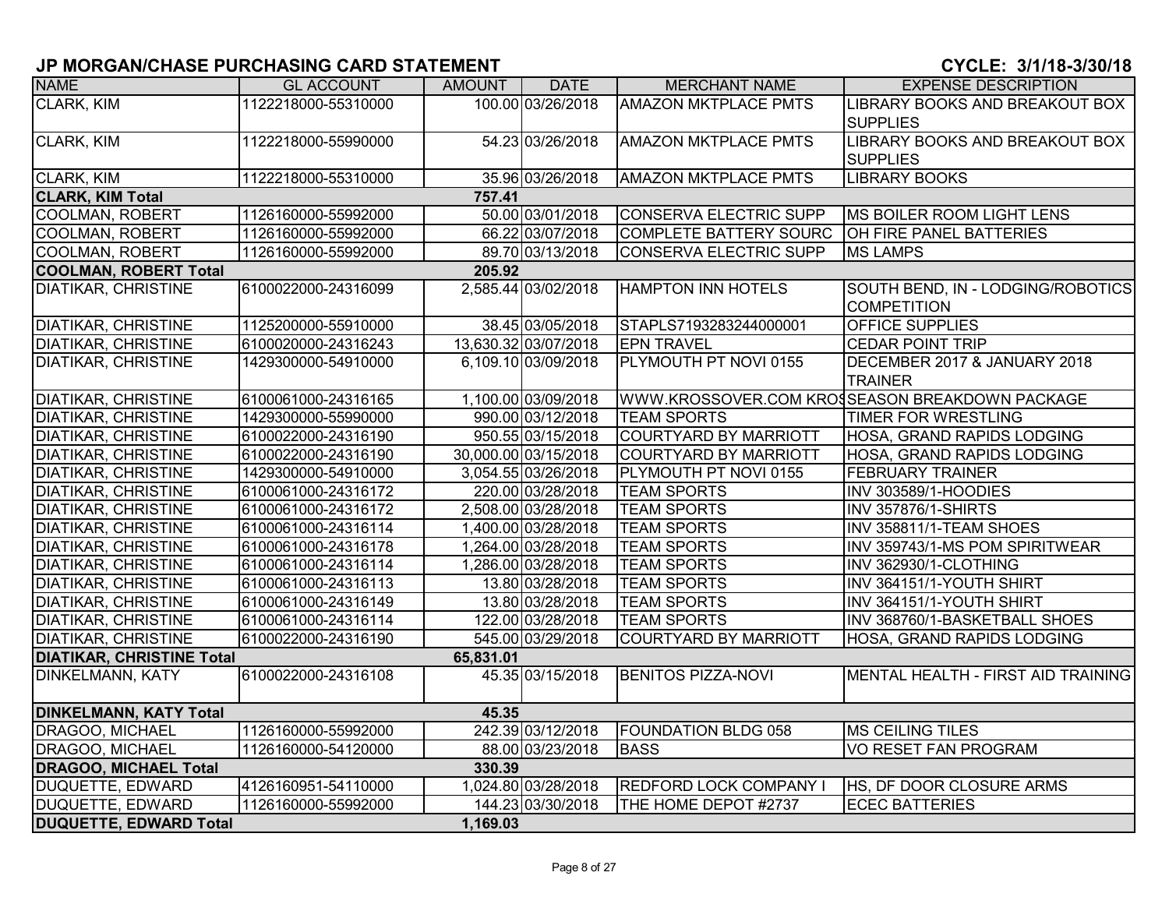| <b>NAME</b>                      | <b>GL ACCOUNT</b>   | AMOUNT    | <b>DATE</b>          | <b>MERCHANT NAME</b>          | <b>EXPENSE DESCRIPTION</b>                     |
|----------------------------------|---------------------|-----------|----------------------|-------------------------------|------------------------------------------------|
| CLARK, KIM                       | 1122218000-55310000 |           | 100.00 03/26/2018    | <b>AMAZON MKTPLACE PMTS</b>   | LIBRARY BOOKS AND BREAKOUT BOX                 |
|                                  |                     |           |                      |                               | <b>SUPPLIES</b>                                |
| CLARK, KIM                       | 1122218000-55990000 |           | 54.23 03/26/2018     | <b>AMAZON MKTPLACE PMTS</b>   | LIBRARY BOOKS AND BREAKOUT BOX                 |
|                                  |                     |           |                      |                               | <b>SUPPLIES</b>                                |
| CLARK, KIM                       | 1122218000-55310000 |           | 35.96 03/26/2018     | <b>AMAZON MKTPLACE PMTS</b>   | <b>LIBRARY BOOKS</b>                           |
| <b>CLARK, KIM Total</b>          |                     | 757.41    |                      |                               |                                                |
| <b>COOLMAN, ROBERT</b>           | 1126160000-55992000 |           | 50.00 03/01/2018     | CONSERVA ELECTRIC SUPP        | <b>MS BOILER ROOM LIGHT LENS</b>               |
| <b>COOLMAN, ROBERT</b>           | 1126160000-55992000 |           | 66.22 03/07/2018     | <b>COMPLETE BATTERY SOURC</b> | <b>OH FIRE PANEL BATTERIES</b>                 |
| <b>COOLMAN, ROBERT</b>           | 1126160000-55992000 |           | 89.70 03/13/2018     | CONSERVA ELECTRIC SUPP        | <b>MS LAMPS</b>                                |
| <b>COOLMAN, ROBERT Total</b>     |                     | 205.92    |                      |                               |                                                |
| <b>DIATIKAR, CHRISTINE</b>       | 6100022000-24316099 |           | 2,585.44 03/02/2018  | <b>HAMPTON INN HOTELS</b>     | SOUTH BEND, IN - LODGING/ROBOTICS              |
|                                  |                     |           |                      |                               | <b>COMPETITION</b>                             |
| <b>DIATIKAR, CHRISTINE</b>       | 1125200000-55910000 |           | 38.45 03/05/2018     | STAPLS7193283244000001        | <b>OFFICE SUPPLIES</b>                         |
| <b>DIATIKAR, CHRISTINE</b>       | 6100020000-24316243 |           | 13,630.32 03/07/2018 | <b>EPN TRAVEL</b>             | <b>CEDAR POINT TRIP</b>                        |
| <b>DIATIKAR, CHRISTINE</b>       | 1429300000-54910000 |           | 6,109.10 03/09/2018  | PLYMOUTH PT NOVI 0155         | DECEMBER 2017 & JANUARY 2018                   |
|                                  |                     |           |                      |                               | <b>TRAINER</b>                                 |
| <b>DIATIKAR, CHRISTINE</b>       | 6100061000-24316165 |           | 1,100.00 03/09/2018  |                               | WWW.KROSSOVER.COM KROSSEASON BREAKDOWN PACKAGE |
| <b>DIATIKAR, CHRISTINE</b>       | 1429300000-55990000 |           | 990.00 03/12/2018    | <b>TEAM SPORTS</b>            | <b>TIMER FOR WRESTLING</b>                     |
| <b>DIATIKAR, CHRISTINE</b>       | 6100022000-24316190 |           | 950.55 03/15/2018    | <b>COURTYARD BY MARRIOTT</b>  | <b>HOSA, GRAND RAPIDS LODGING</b>              |
| <b>DIATIKAR, CHRISTINE</b>       | 6100022000-24316190 |           | 30,000.00 03/15/2018 | <b>COURTYARD BY MARRIOTT</b>  | HOSA, GRAND RAPIDS LODGING                     |
| <b>DIATIKAR, CHRISTINE</b>       | 1429300000-54910000 |           | 3,054.55 03/26/2018  | PLYMOUTH PT NOVI 0155         | <b>FEBRUARY TRAINER</b>                        |
| <b>DIATIKAR, CHRISTINE</b>       | 6100061000-24316172 |           | 220.00 03/28/2018    | <b>TEAM SPORTS</b>            | <b>INV 303589/1-HOODIES</b>                    |
| <b>DIATIKAR, CHRISTINE</b>       | 6100061000-24316172 |           | 2,508.00 03/28/2018  | <b>TEAM SPORTS</b>            | INV 357876/1-SHIRTS                            |
| <b>DIATIKAR, CHRISTINE</b>       | 6100061000-24316114 |           | 1,400.00 03/28/2018  | <b>TEAM SPORTS</b>            | INV 358811/1-TEAM SHOES                        |
| <b>DIATIKAR, CHRISTINE</b>       | 6100061000-24316178 |           | 1,264.00 03/28/2018  | <b>TEAM SPORTS</b>            | INV 359743/1-MS POM SPIRITWEAR                 |
| <b>DIATIKAR, CHRISTINE</b>       | 6100061000-24316114 |           | 1,286.00 03/28/2018  | <b>TEAM SPORTS</b>            | INV 362930/1-CLOTHING                          |
| <b>DIATIKAR, CHRISTINE</b>       | 6100061000-24316113 |           | 13.80 03/28/2018     | <b>TEAM SPORTS</b>            | INV 364151/1-YOUTH SHIRT                       |
| <b>DIATIKAR, CHRISTINE</b>       | 6100061000-24316149 |           | 13.80 03/28/2018     | <b>TEAM SPORTS</b>            | INV 364151/1-YOUTH SHIRT                       |
| <b>DIATIKAR, CHRISTINE</b>       | 6100061000-24316114 |           | 122.00 03/28/2018    | <b>TEAM SPORTS</b>            | INV 368760/1-BASKETBALL SHOES                  |
| <b>DIATIKAR, CHRISTINE</b>       | 6100022000-24316190 |           | 545.00 03/29/2018    | <b>COURTYARD BY MARRIOTT</b>  | HOSA, GRAND RAPIDS LODGING                     |
| <b>DIATIKAR, CHRISTINE Total</b> |                     | 65,831.01 |                      |                               |                                                |
| <b>DINKELMANN, KATY</b>          | 6100022000-24316108 |           | 45.35 03/15/2018     | <b>BENITOS PIZZA-NOVI</b>     | MENTAL HEALTH - FIRST AID TRAINING             |
| <b>DINKELMANN, KATY Total</b>    |                     | 45.35     |                      |                               |                                                |
| DRAGOO, MICHAEL                  | 1126160000-55992000 |           | 242.39 03/12/2018    | <b>FOUNDATION BLDG 058</b>    | MS CEILING TILES                               |
| DRAGOO, MICHAEL                  | 1126160000-54120000 |           | 88.00 03/23/2018     | <b>BASS</b>                   | <b>VO RESET FAN PROGRAM</b>                    |
| <b>DRAGOO, MICHAEL Total</b>     |                     | 330.39    |                      |                               |                                                |
| <b>DUQUETTE, EDWARD</b>          | 4126160951-54110000 |           | 1,024.80 03/28/2018  | <b>REDFORD LOCK COMPANY I</b> | HS, DF DOOR CLOSURE ARMS                       |
| <b>DUQUETTE, EDWARD</b>          | 1126160000-55992000 |           | 144.23 03/30/2018    | THE HOME DEPOT #2737          | <b>ECEC BATTERIES</b>                          |
| <b>DUQUETTE, EDWARD Total</b>    |                     | 1,169.03  |                      |                               |                                                |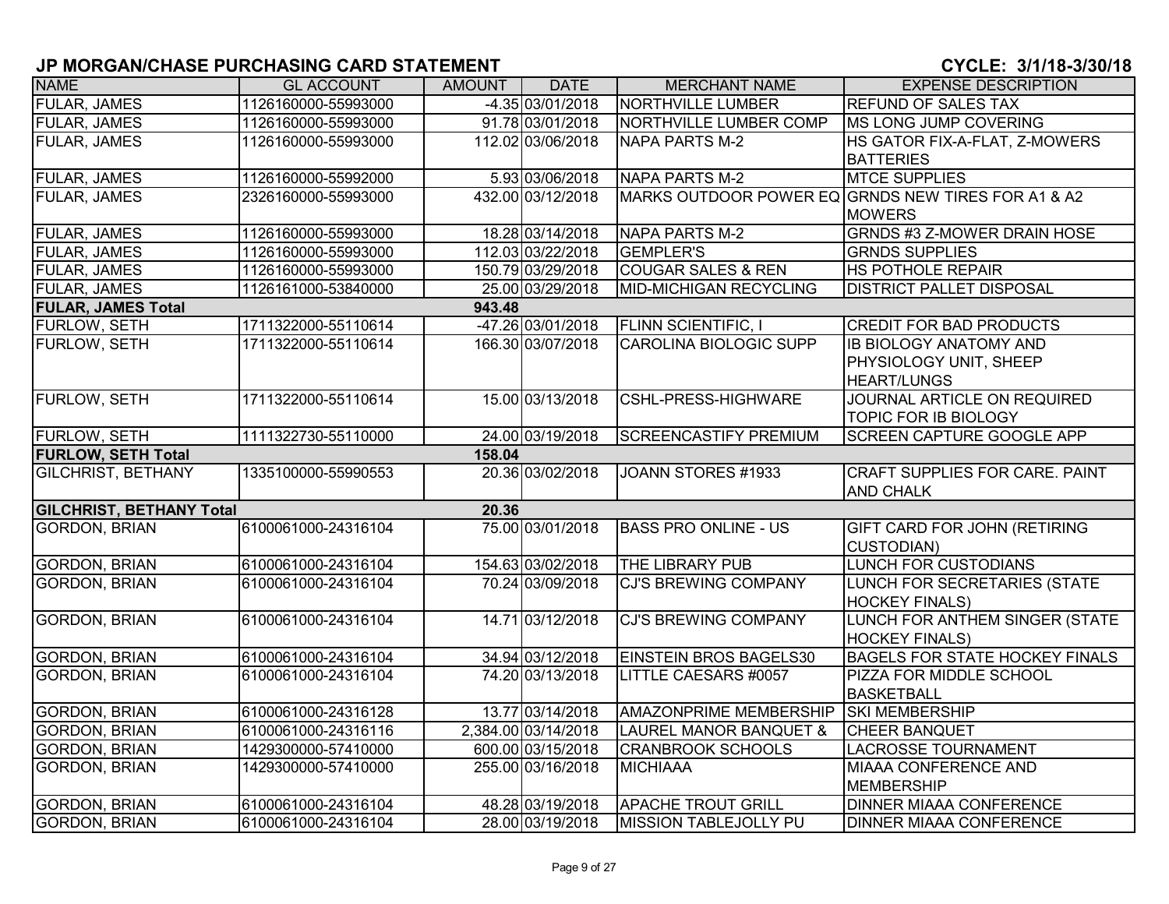| <b>NAME</b>                     | <b>GL ACCOUNT</b>                   | <b>AMOUNT</b> | <b>DATE</b>         | <b>MERCHANT NAME</b>              | <b>EXPENSE DESCRIPTION</b>                         |  |  |  |  |
|---------------------------------|-------------------------------------|---------------|---------------------|-----------------------------------|----------------------------------------------------|--|--|--|--|
| <b>FULAR, JAMES</b>             | 1126160000-55993000                 |               | -4.35 03/01/2018    | <b>NORTHVILLE LUMBER</b>          | <b>REFUND OF SALES TAX</b>                         |  |  |  |  |
| <b>FULAR, JAMES</b>             | 1126160000-55993000                 |               | 91.78 03/01/2018    | <b>NORTHVILLE LUMBER COMP</b>     | MS LONG JUMP COVERING                              |  |  |  |  |
| <b>FULAR, JAMES</b>             | 1126160000-55993000                 |               | 112.02 03/06/2018   | <b>NAPA PARTS M-2</b>             | HS GATOR FIX-A-FLAT, Z-MOWERS                      |  |  |  |  |
|                                 |                                     |               |                     |                                   | <b>BATTERIES</b>                                   |  |  |  |  |
| FULAR, JAMES                    | 1126160000-55992000                 |               | 5.93 03/06/2018     | <b>NAPA PARTS M-2</b>             | <b>MTCE SUPPLIES</b>                               |  |  |  |  |
| <b>FULAR, JAMES</b>             | 2326160000-55993000                 |               | 432.00 03/12/2018   |                                   | MARKS OUTDOOR POWER EQ GRNDS NEW TIRES FOR A1 & A2 |  |  |  |  |
|                                 |                                     |               |                     |                                   | <b>MOWERS</b>                                      |  |  |  |  |
| <b>FULAR, JAMES</b>             | 1126160000-55993000                 |               | 18.28 03/14/2018    | <b>NAPA PARTS M-2</b>             | <b>GRNDS #3 Z-MOWER DRAIN HOSE</b>                 |  |  |  |  |
| <b>FULAR, JAMES</b>             | 1126160000-55993000                 |               | 112.03 03/22/2018   | <b>GEMPLER'S</b>                  | <b>GRNDS SUPPLIES</b>                              |  |  |  |  |
| <b>FULAR, JAMES</b>             | 1126160000-55993000                 |               | 150.79 03/29/2018   | <b>COUGAR SALES &amp; REN</b>     | <b>HS POTHOLE REPAIR</b>                           |  |  |  |  |
| <b>FULAR, JAMES</b>             | 1126161000-53840000                 |               | 25.00 03/29/2018    | <b>MID-MICHIGAN RECYCLING</b>     | <b>DISTRICT PALLET DISPOSAL</b>                    |  |  |  |  |
| <b>FULAR, JAMES Total</b>       |                                     | 943.48        |                     |                                   |                                                    |  |  |  |  |
| FURLOW, SETH                    | 1711322000-55110614                 |               | -47.26 03/01/2018   | FLINN SCIENTIFIC, I               | <b>CREDIT FOR BAD PRODUCTS</b>                     |  |  |  |  |
| FURLOW, SETH                    | 1711322000-55110614                 |               | 166.30 03/07/2018   | <b>CAROLINA BIOLOGIC SUPP</b>     | <b>IB BIOLOGY ANATOMY AND</b>                      |  |  |  |  |
|                                 |                                     |               |                     |                                   | PHYSIOLOGY UNIT, SHEEP                             |  |  |  |  |
|                                 |                                     |               |                     |                                   | <b>HEART/LUNGS</b>                                 |  |  |  |  |
| <b>FURLOW, SETH</b>             | 1711322000-55110614                 |               | 15.00 03/13/2018    | CSHL-PRESS-HIGHWARE               | JOURNAL ARTICLE ON REQUIRED                        |  |  |  |  |
|                                 |                                     |               |                     |                                   | TOPIC FOR IB BIOLOGY                               |  |  |  |  |
| <b>FURLOW, SETH</b>             | 1111322730-55110000                 |               | 24.00 03/19/2018    | <b>SCREENCASTIFY PREMIUM</b>      | <b>SCREEN CAPTURE GOOGLE APP</b>                   |  |  |  |  |
|                                 | <b>FURLOW, SETH Total</b><br>158.04 |               |                     |                                   |                                                    |  |  |  |  |
| <b>GILCHRIST, BETHANY</b>       | 1335100000-55990553                 |               | 20.36 03/02/2018    | JOANN STORES #1933                | CRAFT SUPPLIES FOR CARE. PAINT                     |  |  |  |  |
|                                 |                                     |               |                     |                                   | <b>AND CHALK</b>                                   |  |  |  |  |
| <b>GILCHRIST, BETHANY Total</b> |                                     | 20.36         |                     |                                   |                                                    |  |  |  |  |
| <b>GORDON, BRIAN</b>            | 6100061000-24316104                 |               | 75.00 03/01/2018    | <b>BASS PRO ONLINE - US</b>       | <b>GIFT CARD FOR JOHN (RETIRING</b>                |  |  |  |  |
|                                 |                                     |               |                     |                                   | <b>CUSTODIAN)</b>                                  |  |  |  |  |
| <b>GORDON, BRIAN</b>            | 6100061000-24316104                 |               | 154.63 03/02/2018   | <b>THE LIBRARY PUB</b>            | <b>LUNCH FOR CUSTODIANS</b>                        |  |  |  |  |
| <b>GORDON, BRIAN</b>            | 6100061000-24316104                 |               | 70.24 03/09/2018    | <b>CJ'S BREWING COMPANY</b>       | LUNCH FOR SECRETARIES (STATE                       |  |  |  |  |
|                                 |                                     |               |                     |                                   | <b>HOCKEY FINALS)</b>                              |  |  |  |  |
| <b>GORDON, BRIAN</b>            | 6100061000-24316104                 |               | 14.71 03/12/2018    | <b>CJ'S BREWING COMPANY</b>       | LUNCH FOR ANTHEM SINGER (STATE                     |  |  |  |  |
|                                 |                                     |               |                     |                                   | <b>HOCKEY FINALS)</b>                              |  |  |  |  |
| <b>GORDON, BRIAN</b>            | 6100061000-24316104                 |               | 34.94 03/12/2018    | EINSTEIN BROS BAGELS30            | <b>BAGELS FOR STATE HOCKEY FINALS</b>              |  |  |  |  |
| <b>GORDON, BRIAN</b>            | 6100061000-24316104                 |               | 74.20 03/13/2018    | LITTLE CAESARS #0057              | <b>PIZZA FOR MIDDLE SCHOOL</b>                     |  |  |  |  |
|                                 |                                     |               |                     |                                   | <b>BASKETBALL</b>                                  |  |  |  |  |
| <b>GORDON, BRIAN</b>            | 6100061000-24316128                 |               | 13.77 03/14/2018    | AMAZONPRIME MEMBERSHIP            | <b>SKI MEMBERSHIP</b>                              |  |  |  |  |
| <b>GORDON, BRIAN</b>            | 6100061000-24316116                 |               | 2,384.00 03/14/2018 | <b>LAUREL MANOR BANQUET &amp;</b> | <b>CHEER BANQUET</b>                               |  |  |  |  |
| <b>GORDON, BRIAN</b>            | 1429300000-57410000                 |               | 600.00 03/15/2018   | <b>CRANBROOK SCHOOLS</b>          | <b>LACROSSE TOURNAMENT</b>                         |  |  |  |  |
| <b>GORDON, BRIAN</b>            | 1429300000-57410000                 |               | 255.00 03/16/2018   | <b>MICHIAAA</b>                   | <b>MIAAA CONFERENCE AND</b>                        |  |  |  |  |
|                                 |                                     |               |                     |                                   | MEMBERSHIP                                         |  |  |  |  |
| <b>GORDON, BRIAN</b>            | 6100061000-24316104                 |               | 48.28 03/19/2018    | <b>APACHE TROUT GRILL</b>         | <b>DINNER MIAAA CONFERENCE</b>                     |  |  |  |  |
| <b>GORDON, BRIAN</b>            | 6100061000-24316104                 |               | 28.00 03/19/2018    | <b>MISSION TABLEJOLLY PU</b>      | <b>DINNER MIAAA CONFERENCE</b>                     |  |  |  |  |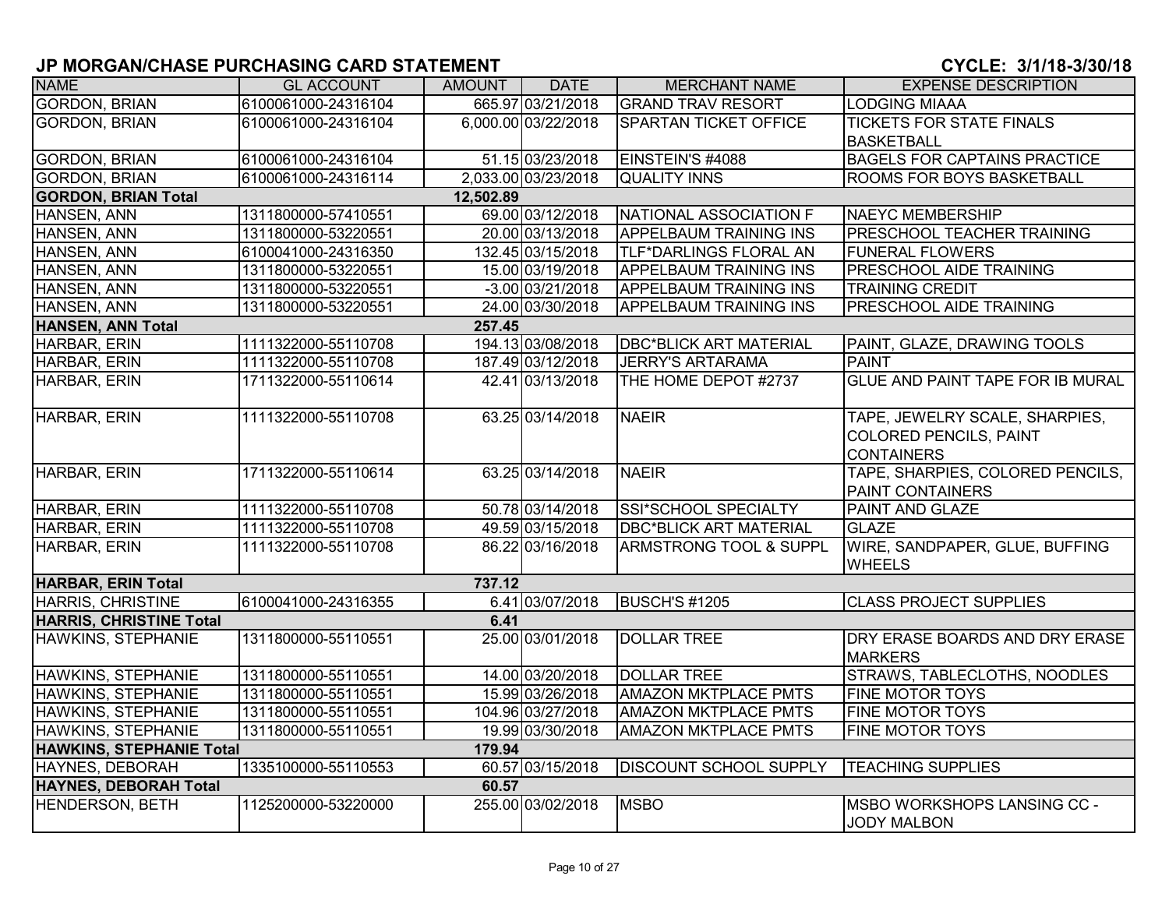| <b>NAME</b>                     | <b>GL ACCOUNT</b>   | AMOUNT    | <b>DATE</b>         | <b>MERCHANT NAME</b>          | <b>EXPENSE DESCRIPTION</b>              |
|---------------------------------|---------------------|-----------|---------------------|-------------------------------|-----------------------------------------|
| <b>GORDON, BRIAN</b>            | 6100061000-24316104 |           | 665.97 03/21/2018   | <b>GRAND TRAV RESORT</b>      | <b>LODGING MIAAA</b>                    |
| <b>GORDON, BRIAN</b>            | 6100061000-24316104 |           | 6,000.00 03/22/2018 | <b>SPARTAN TICKET OFFICE</b>  | <b>TICKETS FOR STATE FINALS</b>         |
|                                 |                     |           |                     |                               | <b>BASKETBALL</b>                       |
| <b>GORDON, BRIAN</b>            | 6100061000-24316104 |           | 51.15 03/23/2018    | EINSTEIN'S #4088              | <b>BAGELS FOR CAPTAINS PRACTICE</b>     |
| <b>GORDON, BRIAN</b>            | 6100061000-24316114 |           | 2,033.00 03/23/2018 | <b>QUALITY INNS</b>           | <b>ROOMS FOR BOYS BASKETBALL</b>        |
| <b>GORDON, BRIAN Total</b>      |                     | 12,502.89 |                     |                               |                                         |
| HANSEN, ANN                     | 1311800000-57410551 |           | 69.00 03/12/2018    | NATIONAL ASSOCIATION F        | <b>NAEYC MEMBERSHIP</b>                 |
| HANSEN, ANN                     | 1311800000-53220551 |           | 20.00 03/13/2018    | <b>APPELBAUM TRAINING INS</b> | <b>PRESCHOOL TEACHER TRAINING</b>       |
| HANSEN, ANN                     | 6100041000-24316350 |           | 132.45 03/15/2018   | TLF*DARLINGS FLORAL AN        | <b>FUNERAL FLOWERS</b>                  |
| HANSEN, ANN                     | 1311800000-53220551 |           | 15.00 03/19/2018    | APPELBAUM TRAINING INS        | <b>PRESCHOOL AIDE TRAINING</b>          |
| HANSEN, ANN                     | 1311800000-53220551 |           | $-3.00 03/21/2018$  | APPELBAUM TRAINING INS        | <b>TRAINING CREDIT</b>                  |
| HANSEN, ANN                     | 1311800000-53220551 |           | 24.00 03/30/2018    | APPELBAUM TRAINING INS        | <b>PRESCHOOL AIDE TRAINING</b>          |
| HANSEN, ANN Total               |                     | 257.45    |                     |                               |                                         |
| HARBAR, ERIN                    | 1111322000-55110708 |           | 194.13 03/08/2018   | <b>DBC*BLICK ART MATERIAL</b> | PAINT, GLAZE, DRAWING TOOLS             |
| HARBAR, ERIN                    | 1111322000-55110708 |           | 187.49 03/12/2018   | <b>JERRY'S ARTARAMA</b>       | <b>PAINT</b>                            |
| HARBAR, ERIN                    | 1711322000-55110614 |           | 42.41 03/13/2018    | THE HOME DEPOT #2737          | <b>GLUE AND PAINT TAPE FOR IB MURAL</b> |
|                                 |                     |           |                     |                               |                                         |
| HARBAR, ERIN                    | 1111322000-55110708 |           | 63.25 03/14/2018    | <b>NAEIR</b>                  | TAPE, JEWELRY SCALE, SHARPIES,          |
|                                 |                     |           |                     |                               | COLORED PENCILS, PAINT                  |
|                                 |                     |           |                     |                               | <b>CONTAINERS</b>                       |
| HARBAR, ERIN                    | 1711322000-55110614 |           | 63.25 03/14/2018    | <b>NAEIR</b>                  | TAPE, SHARPIES, COLORED PENCILS,        |
|                                 |                     |           |                     |                               | <b>PAINT CONTAINERS</b>                 |
| HARBAR, ERIN                    | 1111322000-55110708 |           | 50.78 03/14/2018    | SSI*SCHOOL SPECIALTY          | PAINT AND GLAZE                         |
| HARBAR, ERIN                    | 1111322000-55110708 |           | 49.59 03/15/2018    | <b>DBC*BLICK ART MATERIAL</b> | <b>GLAZE</b>                            |
| HARBAR, ERIN                    | 1111322000-55110708 |           | 86.22 03/16/2018    | ARMSTRONG TOOL & SUPPL        | WIRE, SANDPAPER, GLUE, BUFFING          |
|                                 |                     |           |                     |                               | <b>WHEELS</b>                           |
| <b>HARBAR, ERIN Total</b>       |                     | 737.12    |                     |                               |                                         |
| <b>HARRIS, CHRISTINE</b>        | 6100041000-24316355 |           | 6.41 03/07/2018     | <b>BUSCH'S #1205</b>          | <b>CLASS PROJECT SUPPLIES</b>           |
| <b>HARRIS, CHRISTINE Total</b>  |                     | 6.41      |                     |                               |                                         |
| HAWKINS, STEPHANIE              | 1311800000-55110551 |           | 25.00 03/01/2018    | <b>DOLLAR TREE</b>            | DRY ERASE BOARDS AND DRY ERASE          |
|                                 |                     |           |                     |                               | <b>MARKERS</b>                          |
| <b>HAWKINS, STEPHANIE</b>       | 1311800000-55110551 |           | 14.00 03/20/2018    | <b>DOLLAR TREE</b>            | <b>STRAWS, TABLECLOTHS, NOODLES</b>     |
| <b>HAWKINS, STEPHANIE</b>       | 1311800000-55110551 |           | 15.99 03/26/2018    | <b>AMAZON MKTPLACE PMTS</b>   | <b>FINE MOTOR TOYS</b>                  |
| HAWKINS, STEPHANIE              | 1311800000-55110551 |           | 104.96 03/27/2018   | <b>AMAZON MKTPLACE PMTS</b>   | <b>FINE MOTOR TOYS</b>                  |
| HAWKINS, STEPHANIE              | 1311800000-55110551 |           | 19.99 03/30/2018    | <b>AMAZON MKTPLACE PMTS</b>   | FINE MOTOR TOYS                         |
| <b>HAWKINS, STEPHANIE Total</b> |                     | 179.94    |                     |                               |                                         |
| <b>HAYNES, DEBORAH</b>          | 1335100000-55110553 |           | 60.57 03/15/2018    | <b>DISCOUNT SCHOOL SUPPLY</b> | <b>TEACHING SUPPLIES</b>                |
| <b>HAYNES, DEBORAH Total</b>    |                     | 60.57     |                     |                               |                                         |
| <b>HENDERSON, BETH</b>          | 1125200000-53220000 |           | 255.00 03/02/2018   | <b>MSBO</b>                   | <b>IMSBO WORKSHOPS LANSING CC -</b>     |
|                                 |                     |           |                     |                               | JODY MALBON                             |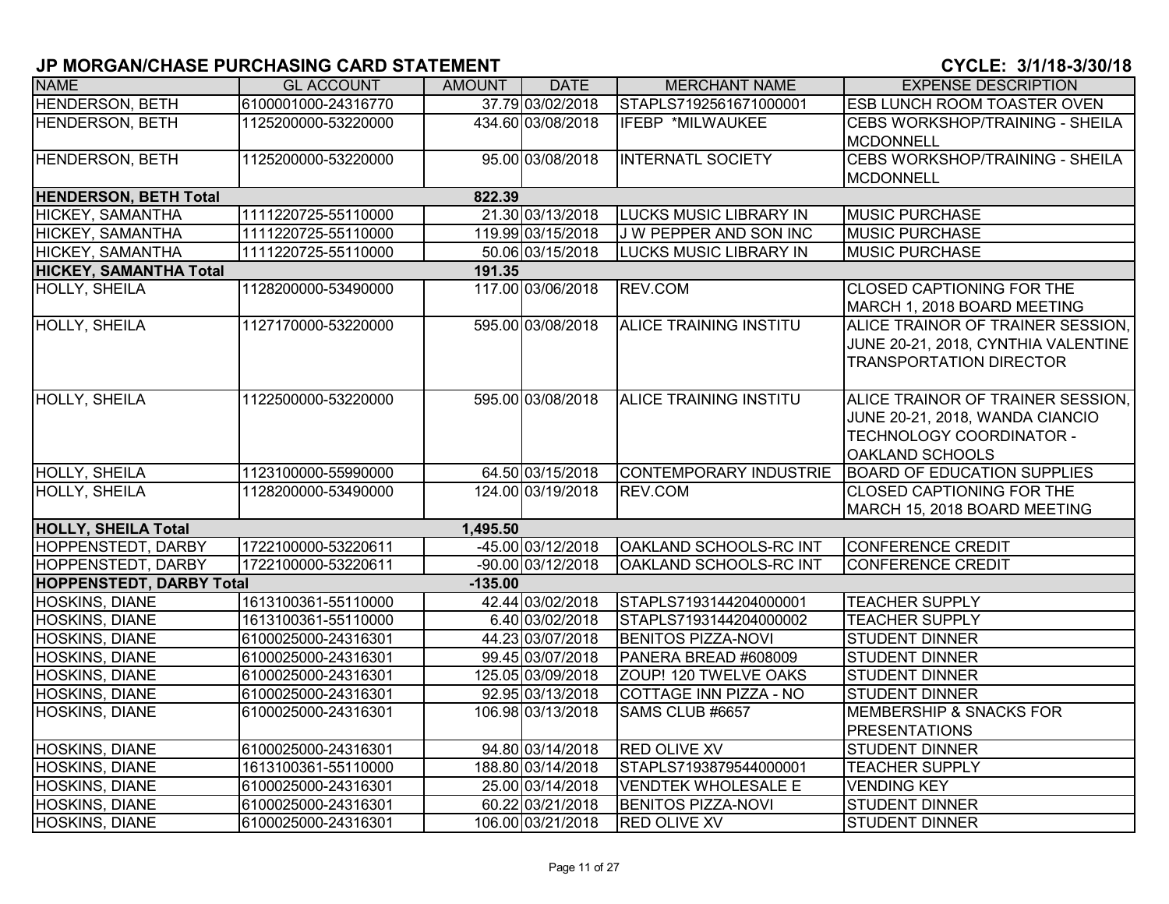| <b>NAME</b>                     | <b>GL ACCOUNT</b>   | AMOUNT    | <b>DATE</b>       | <b>MERCHANT NAME</b>          | <b>EXPENSE DESCRIPTION</b>                                                                                                 |
|---------------------------------|---------------------|-----------|-------------------|-------------------------------|----------------------------------------------------------------------------------------------------------------------------|
| <b>HENDERSON, BETH</b>          | 6100001000-24316770 |           | 37.79 03/02/2018  | STAPLS7192561671000001        | <b>ESB LUNCH ROOM TOASTER OVEN</b>                                                                                         |
| <b>HENDERSON, BETH</b>          | 1125200000-53220000 |           | 434.60 03/08/2018 | IFEBP *MILWAUKEE              | <b>CEBS WORKSHOP/TRAINING - SHEILA</b><br><b>MCDONNELL</b>                                                                 |
| HENDERSON, BETH                 | 1125200000-53220000 |           | 95.00 03/08/2018  | <b>INTERNATL SOCIETY</b>      | <b>CEBS WORKSHOP/TRAINING - SHEILA</b><br>MCDONNELL                                                                        |
| <b>HENDERSON, BETH Total</b>    |                     | 822.39    |                   |                               |                                                                                                                            |
| <b>HICKEY, SAMANTHA</b>         | 1111220725-55110000 |           | 21.30 03/13/2018  | <b>LUCKS MUSIC LIBRARY IN</b> | <b>MUSIC PURCHASE</b>                                                                                                      |
| <b>HICKEY, SAMANTHA</b>         | 1111220725-55110000 |           | 119.99 03/15/2018 | <b>J W PEPPER AND SON INC</b> | <b>MUSIC PURCHASE</b>                                                                                                      |
| HICKEY, SAMANTHA                | 1111220725-55110000 |           | 50.06 03/15/2018  | <b>LUCKS MUSIC LIBRARY IN</b> | <b>MUSIC PURCHASE</b>                                                                                                      |
| <b>HICKEY, SAMANTHA Total</b>   |                     | 191.35    |                   |                               |                                                                                                                            |
| HOLLY, SHEILA                   | 1128200000-53490000 |           | 117.00 03/06/2018 | REV.COM                       | <b>CLOSED CAPTIONING FOR THE</b><br>MARCH 1, 2018 BOARD MEETING                                                            |
| <b>HOLLY, SHEILA</b>            | 1127170000-53220000 |           | 595.00 03/08/2018 | ALICE TRAINING INSTITU        | ALICE TRAINOR OF TRAINER SESSION.<br>JUNE 20-21, 2018, CYNTHIA VALENTINE<br><b>TRANSPORTATION DIRECTOR</b>                 |
| HOLLY, SHEILA                   | 1122500000-53220000 |           | 595.00 03/08/2018 | ALICE TRAINING INSTITU        | ALICE TRAINOR OF TRAINER SESSION,<br>JUNE 20-21, 2018, WANDA CIANCIO<br>TECHNOLOGY COORDINATOR -<br><b>OAKLAND SCHOOLS</b> |
| HOLLY, SHEILA                   | 1123100000-55990000 |           | 64.50 03/15/2018  | CONTEMPORARY INDUSTRIE        | <b>BOARD OF EDUCATION SUPPLIES</b>                                                                                         |
| <b>HOLLY, SHEILA</b>            | 1128200000-53490000 |           | 124.00 03/19/2018 | <b>REV.COM</b>                | <b>CLOSED CAPTIONING FOR THE</b><br>MARCH 15, 2018 BOARD MEETING                                                           |
| <b>HOLLY, SHEILA Total</b>      |                     | 1,495.50  |                   |                               |                                                                                                                            |
| HOPPENSTEDT, DARBY              | 1722100000-53220611 |           | -45.00 03/12/2018 | OAKLAND SCHOOLS-RC INT        | CONFERENCE CREDIT                                                                                                          |
| <b>HOPPENSTEDT, DARBY</b>       | 1722100000-53220611 |           | -90.00 03/12/2018 | OAKLAND SCHOOLS-RC INT        | <b>CONFERENCE CREDIT</b>                                                                                                   |
| <b>HOPPENSTEDT, DARBY Total</b> |                     | $-135.00$ |                   |                               |                                                                                                                            |
| HOSKINS, DIANE                  | 1613100361-55110000 |           | 42.44 03/02/2018  | STAPLS7193144204000001        | <b>TEACHER SUPPLY</b>                                                                                                      |
| HOSKINS, DIANE                  | 1613100361-55110000 |           | 6.40 03/02/2018   | STAPLS7193144204000002        | <b>TEACHER SUPPLY</b>                                                                                                      |
| <b>HOSKINS, DIANE</b>           | 6100025000-24316301 |           | 44.23 03/07/2018  | <b>BENITOS PIZZA-NOVI</b>     | <b>STUDENT DINNER</b>                                                                                                      |
| HOSKINS, DIANE                  | 6100025000-24316301 |           | 99.45 03/07/2018  | PANERA BREAD #608009          | <b>STUDENT DINNER</b>                                                                                                      |
| <b>HOSKINS, DIANE</b>           | 6100025000-24316301 |           | 125.05 03/09/2018 | ZOUP! 120 TWELVE OAKS         | <b>STUDENT DINNER</b>                                                                                                      |
| <b>HOSKINS, DIANE</b>           | 6100025000-24316301 |           | 92.95 03/13/2018  | <b>COTTAGE INN PIZZA - NO</b> | <b>STUDENT DINNER</b>                                                                                                      |
| <b>HOSKINS, DIANE</b>           | 6100025000-24316301 |           | 106.98 03/13/2018 | SAMS CLUB #6657               | <b>MEMBERSHIP &amp; SNACKS FOR</b><br><b>PRESENTATIONS</b>                                                                 |
| <b>HOSKINS, DIANE</b>           | 6100025000-24316301 |           | 94.80 03/14/2018  | <b>RED OLIVE XV</b>           | <b>STUDENT DINNER</b>                                                                                                      |
| <b>HOSKINS, DIANE</b>           | 1613100361-55110000 |           | 188.80 03/14/2018 | STAPLS7193879544000001        | <b>TEACHER SUPPLY</b>                                                                                                      |
| HOSKINS, DIANE                  | 6100025000-24316301 |           | 25.00 03/14/2018  | <b>VENDTEK WHOLESALE E</b>    | <b>VENDING KEY</b>                                                                                                         |
| HOSKINS, DIANE                  | 6100025000-24316301 |           | 60.22 03/21/2018  | <b>BENITOS PIZZA-NOVI</b>     | <b>STUDENT DINNER</b>                                                                                                      |
| <b>HOSKINS, DIANE</b>           | 6100025000-24316301 |           | 106.00 03/21/2018 | <b>RED OLIVE XV</b>           | <b>STUDENT DINNER</b>                                                                                                      |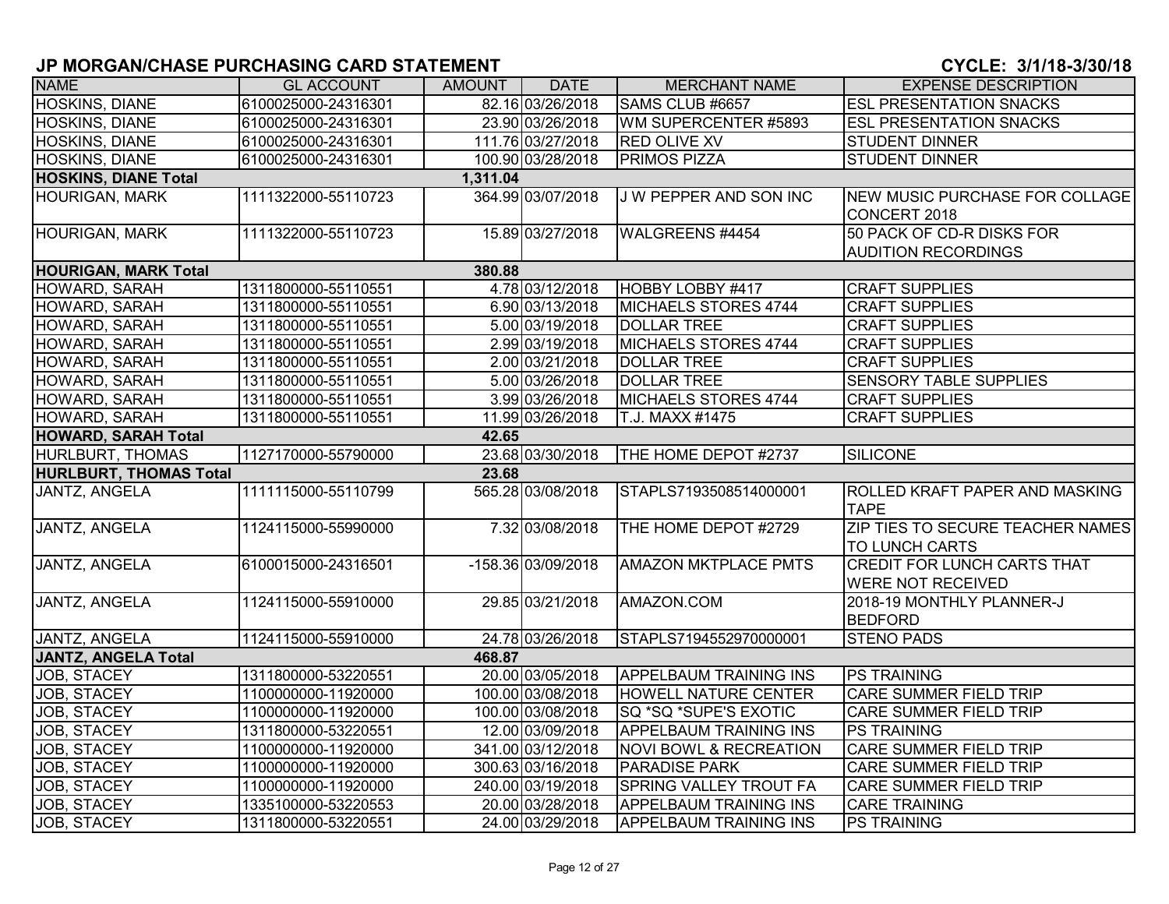| <b>NAME</b>                             | <b>GL ACCOUNT</b>   | AMOUNT | <b>DATE</b>        | <b>MERCHANT NAME</b>              | <b>EXPENSE DESCRIPTION</b>                                     |  |  |  |
|-----------------------------------------|---------------------|--------|--------------------|-----------------------------------|----------------------------------------------------------------|--|--|--|
| <b>HOSKINS, DIANE</b>                   | 6100025000-24316301 |        | 82.16 03/26/2018   | SAMS CLUB #6657                   | <b>ESL PRESENTATION SNACKS</b>                                 |  |  |  |
| HOSKINS, DIANE                          | 6100025000-24316301 |        | 23.90 03/26/2018   | WM SUPERCENTER #5893              | <b>ESL PRESENTATION SNACKS</b>                                 |  |  |  |
| HOSKINS, DIANE                          | 6100025000-24316301 |        | 111.76 03/27/2018  | <b>RED OLIVE XV</b>               | STUDENT DINNER                                                 |  |  |  |
| <b>HOSKINS, DIANE</b>                   | 6100025000-24316301 |        | 100.90 03/28/2018  | <b>PRIMOS PIZZA</b>               | <b>STUDENT DINNER</b>                                          |  |  |  |
| <b>HOSKINS, DIANE Total</b><br>1,311.04 |                     |        |                    |                                   |                                                                |  |  |  |
| <b>HOURIGAN, MARK</b>                   | 1111322000-55110723 |        | 364.99 03/07/2018  | J W PEPPER AND SON INC            | NEW MUSIC PURCHASE FOR COLLAGE<br>CONCERT 2018                 |  |  |  |
| <b>HOURIGAN, MARK</b>                   | 1111322000-55110723 |        | 15.89 03/27/2018   | WALGREENS #4454                   | 50 PACK OF CD-R DISKS FOR<br><b>AUDITION RECORDINGS</b>        |  |  |  |
| <b>HOURIGAN, MARK Total</b>             |                     | 380.88 |                    |                                   |                                                                |  |  |  |
| HOWARD, SARAH                           | 1311800000-55110551 |        | 4.78 03/12/2018    | HOBBY LOBBY #417                  | <b>CRAFT SUPPLIES</b>                                          |  |  |  |
| HOWARD, SARAH                           | 1311800000-55110551 |        | 6.90 03/13/2018    | <b>MICHAELS STORES 4744</b>       | <b>CRAFT SUPPLIES</b>                                          |  |  |  |
| HOWARD, SARAH                           | 1311800000-55110551 |        | 5.00 03/19/2018    | <b>DOLLAR TREE</b>                | <b>CRAFT SUPPLIES</b>                                          |  |  |  |
| HOWARD, SARAH                           | 1311800000-55110551 |        | 2.99 03/19/2018    | MICHAELS STORES 4744              | <b>CRAFT SUPPLIES</b>                                          |  |  |  |
| HOWARD, SARAH                           | 1311800000-55110551 |        | 2.00 03/21/2018    | <b>DOLLAR TREE</b>                | <b>CRAFT SUPPLIES</b>                                          |  |  |  |
| HOWARD, SARAH                           | 1311800000-55110551 |        | 5.00 03/26/2018    | <b>DOLLAR TREE</b>                | SENSORY TABLE SUPPLIES                                         |  |  |  |
| HOWARD, SARAH                           | 1311800000-55110551 |        | 3.99 03/26/2018    | MICHAELS STORES 4744              | <b>CRAFT SUPPLIES</b>                                          |  |  |  |
| HOWARD, SARAH                           | 1311800000-55110551 |        | 11.99 03/26/2018   | T.J. MAXX #1475                   | <b>CRAFT SUPPLIES</b>                                          |  |  |  |
| <b>HOWARD, SARAH Total</b>              |                     | 42.65  |                    |                                   |                                                                |  |  |  |
| HURLBURT, THOMAS                        | 1127170000-55790000 |        | 23.68 03/30/2018   | THE HOME DEPOT #2737              | <b>SILICONE</b>                                                |  |  |  |
| <b>HURLBURT, THOMAS Total</b>           |                     | 23.68  |                    |                                   |                                                                |  |  |  |
| JANTZ, ANGELA                           | 1111115000-55110799 |        | 565.28 03/08/2018  | STAPLS7193508514000001            | ROLLED KRAFT PAPER AND MASKING<br><b>TAPE</b>                  |  |  |  |
| JANTZ, ANGELA                           | 1124115000-55990000 |        | 7.32 03/08/2018    | THE HOME DEPOT #2729              | ZIP TIES TO SECURE TEACHER NAMES<br>TO LUNCH CARTS             |  |  |  |
| <b>JANTZ, ANGELA</b>                    | 6100015000-24316501 |        | -158.36 03/09/2018 | <b>AMAZON MKTPLACE PMTS</b>       | <b>CREDIT FOR LUNCH CARTS THAT</b><br><b>WERE NOT RECEIVED</b> |  |  |  |
| JANTZ, ANGELA                           | 1124115000-55910000 |        | 29.85 03/21/2018   | AMAZON.COM                        | 2018-19 MONTHLY PLANNER-J<br><b>BEDFORD</b>                    |  |  |  |
| JANTZ, ANGELA                           | 1124115000-55910000 |        | 24.78 03/26/2018   | STAPLS7194552970000001            | <b>STENO PADS</b>                                              |  |  |  |
| <b>JANTZ, ANGELA Total</b>              |                     | 468.87 |                    |                                   |                                                                |  |  |  |
| <b>JOB, STACEY</b>                      | 1311800000-53220551 |        | 20.00 03/05/2018   | <b>APPELBAUM TRAINING INS</b>     | <b>PS TRAINING</b>                                             |  |  |  |
| <b>JOB, STACEY</b>                      | 1100000000-11920000 |        | 100.00 03/08/2018  | <b>HOWELL NATURE CENTER</b>       | <b>CARE SUMMER FIELD TRIP</b>                                  |  |  |  |
| JOB, STACEY                             | 1100000000-11920000 |        | 100.00 03/08/2018  | SQ *SQ *SUPE'S EXOTIC             | CARE SUMMER FIELD TRIP                                         |  |  |  |
| <b>JOB, STACEY</b>                      | 1311800000-53220551 |        | 12.00 03/09/2018   | <b>APPELBAUM TRAINING INS</b>     | <b>PS TRAINING</b>                                             |  |  |  |
| <b>JOB, STACEY</b>                      | 1100000000-11920000 |        | 341.00 03/12/2018  | <b>NOVI BOWL &amp; RECREATION</b> | <b>CARE SUMMER FIELD TRIP</b>                                  |  |  |  |
| <b>JOB, STACEY</b>                      | 1100000000-11920000 |        | 300.63 03/16/2018  | <b>PARADISE PARK</b>              | <b>CARE SUMMER FIELD TRIP</b>                                  |  |  |  |
| JOB, STACEY                             | 1100000000-11920000 |        | 240.00 03/19/2018  | <b>SPRING VALLEY TROUT FA</b>     | CARE SUMMER FIELD TRIP                                         |  |  |  |
| JOB, STACEY                             | 1335100000-53220553 |        | 20.00 03/28/2018   | <b>APPELBAUM TRAINING INS</b>     | <b>CARE TRAINING</b>                                           |  |  |  |
| JOB, STACEY                             | 1311800000-53220551 |        | 24.00 03/29/2018   | <b>APPELBAUM TRAINING INS</b>     | <b>PS TRAINING</b>                                             |  |  |  |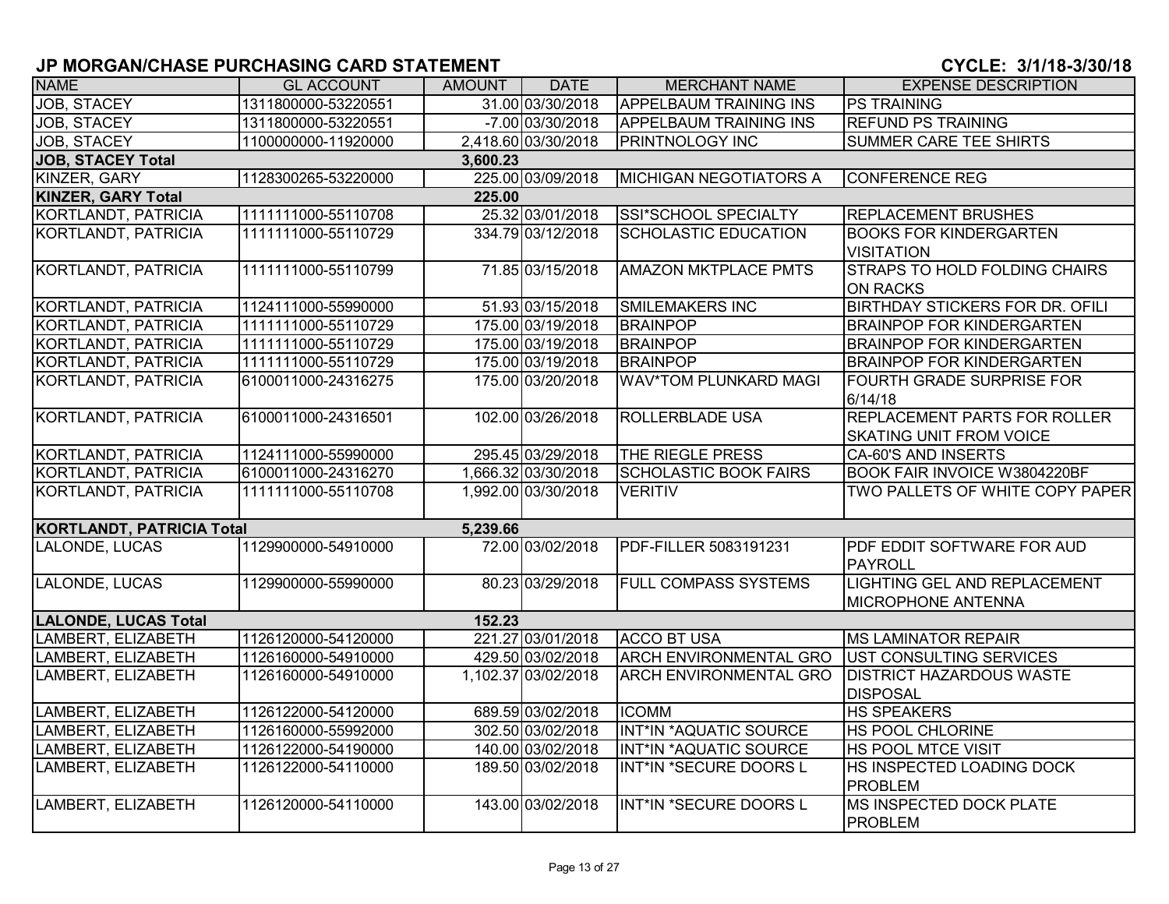| <b>NAME</b>                      | <b>GL ACCOUNT</b>   | AMOUNT   | <b>DATE</b>         | <b>MERCHANT NAME</b>          | <b>EXPENSE DESCRIPTION</b>                                            |
|----------------------------------|---------------------|----------|---------------------|-------------------------------|-----------------------------------------------------------------------|
| <b>JOB, STACEY</b>               | 1311800000-53220551 |          | 31.00 03/30/2018    | <b>APPELBAUM TRAINING INS</b> | <b>PS TRAINING</b>                                                    |
| <b>JOB, STACEY</b>               | 1311800000-53220551 |          | -7.00 03/30/2018    | <b>APPELBAUM TRAINING INS</b> | <b>REFUND PS TRAINING</b>                                             |
| JOB, STACEY                      | 1100000000-11920000 |          | 2,418.60 03/30/2018 | <b>PRINTNOLOGY INC</b>        | <b>SUMMER CARE TEE SHIRTS</b>                                         |
| <b>JOB, STACEY Total</b>         |                     | 3,600.23 |                     |                               |                                                                       |
| KINZER, GARY                     | 1128300265-53220000 |          | 225.00 03/09/2018   | <b>MICHIGAN NEGOTIATORS A</b> | <b>CONFERENCE REG</b>                                                 |
| <b>KINZER, GARY Total</b>        |                     | 225.00   |                     |                               |                                                                       |
| KORTLANDT, PATRICIA              | 1111111000-55110708 |          | 25.32 03/01/2018    | SSI*SCHOOL SPECIALTY          | <b>REPLACEMENT BRUSHES</b>                                            |
| <b>KORTLANDT, PATRICIA</b>       | 1111111000-55110729 |          | 334.79 03/12/2018   | <b>SCHOLASTIC EDUCATION</b>   | <b>BOOKS FOR KINDERGARTEN</b><br><b>VISITATION</b>                    |
| KORTLANDT, PATRICIA              | 1111111000-55110799 |          | 71.85 03/15/2018    | <b>AMAZON MKTPLACE PMTS</b>   | <b>STRAPS TO HOLD FOLDING CHAIRS</b><br><b>ON RACKS</b>               |
| KORTLANDT, PATRICIA              | 1124111000-55990000 |          | 51.93 03/15/2018    | <b>SMILEMAKERS INC</b>        | <b>BIRTHDAY STICKERS FOR DR. OFILI</b>                                |
| KORTLANDT, PATRICIA              | 1111111000-55110729 |          | 175.00 03/19/2018   | <b>BRAINPOP</b>               | <b>BRAINPOP FOR KINDERGARTEN</b>                                      |
| KORTLANDT, PATRICIA              | 1111111000-55110729 |          | 175.00 03/19/2018   | <b>BRAINPOP</b>               | <b>BRAINPOP FOR KINDERGARTEN</b>                                      |
| KORTLANDT, PATRICIA              | 1111111000-55110729 |          | 175.00 03/19/2018   | <b>BRAINPOP</b>               | <b>BRAINPOP FOR KINDERGARTEN</b>                                      |
| KORTLANDT, PATRICIA              | 6100011000-24316275 |          | 175.00 03/20/2018   | WAV*TOM PLUNKARD MAGI         | <b>FOURTH GRADE SURPRISE FOR</b><br>6/14/18                           |
| KORTLANDT, PATRICIA              | 6100011000-24316501 |          | 102.00 03/26/2018   | <b>ROLLERBLADE USA</b>        | <b>REPLACEMENT PARTS FOR ROLLER</b><br><b>SKATING UNIT FROM VOICE</b> |
| KORTLANDT, PATRICIA              | 1124111000-55990000 |          | 295.45 03/29/2018   | THE RIEGLE PRESS              | CA-60'S AND INSERTS                                                   |
| KORTLANDT, PATRICIA              | 6100011000-24316270 |          | 1,666.32 03/30/2018 | <b>SCHOLASTIC BOOK FAIRS</b>  | <b>BOOK FAIR INVOICE W3804220BF</b>                                   |
| <b>KORTLANDT, PATRICIA</b>       | 1111111000-55110708 |          | 1,992.00 03/30/2018 | <b>VERITIV</b>                | TWO PALLETS OF WHITE COPY PAPER                                       |
| <b>KORTLANDT, PATRICIA Total</b> |                     | 5,239.66 |                     |                               |                                                                       |
| LALONDE, LUCAS                   | 1129900000-54910000 |          | 72.00 03/02/2018    | PDF-FILLER 5083191231         | PDF EDDIT SOFTWARE FOR AUD<br>PAYROLL                                 |
| LALONDE, LUCAS                   | 1129900000-55990000 |          | 80.23 03/29/2018    | <b>FULL COMPASS SYSTEMS</b>   | LIGHTING GEL AND REPLACEMENT<br><b>MICROPHONE ANTENNA</b>             |
| <b>LALONDE, LUCAS Total</b>      |                     | 152.23   |                     |                               |                                                                       |
| LAMBERT, ELIZABETH               | 1126120000-54120000 |          | 221.27 03/01/2018   | <b>ACCO BT USA</b>            | MS LAMINATOR REPAIR                                                   |
| LAMBERT, ELIZABETH               | 1126160000-54910000 |          | 429.50 03/02/2018   | <b>ARCH ENVIRONMENTAL GRO</b> | UST CONSULTING SERVICES                                               |
| LAMBERT, ELIZABETH               | 1126160000-54910000 |          | 1,102.37 03/02/2018 | <b>ARCH ENVIRONMENTAL GRO</b> | <b>DISTRICT HAZARDOUS WASTE</b><br><b>DISPOSAL</b>                    |
| LAMBERT, ELIZABETH               | 1126122000-54120000 |          | 689.59 03/02/2018   | <b>ICOMM</b>                  | <b>HS SPEAKERS</b>                                                    |
| LAMBERT, ELIZABETH               | 1126160000-55992000 |          | 302.50 03/02/2018   | INT*IN *AQUATIC SOURCE        | <b>HS POOL CHLORINE</b>                                               |
| LAMBERT, ELIZABETH               | 1126122000-54190000 |          | 140.00 03/02/2018   | INT*IN *AQUATIC SOURCE        | <b>HS POOL MTCE VISIT</b>                                             |
| LAMBERT, ELIZABETH               | 1126122000-54110000 |          | 189.50 03/02/2018   | INT*IN *SECURE DOORS L        | HS INSPECTED LOADING DOCK<br><b>PROBLEM</b>                           |
| LAMBERT, ELIZABETH               | 1126120000-54110000 |          | 143.00 03/02/2018   | INT*IN *SECURE DOORS L        | <b>MS INSPECTED DOCK PLATE</b><br>PROBLEM                             |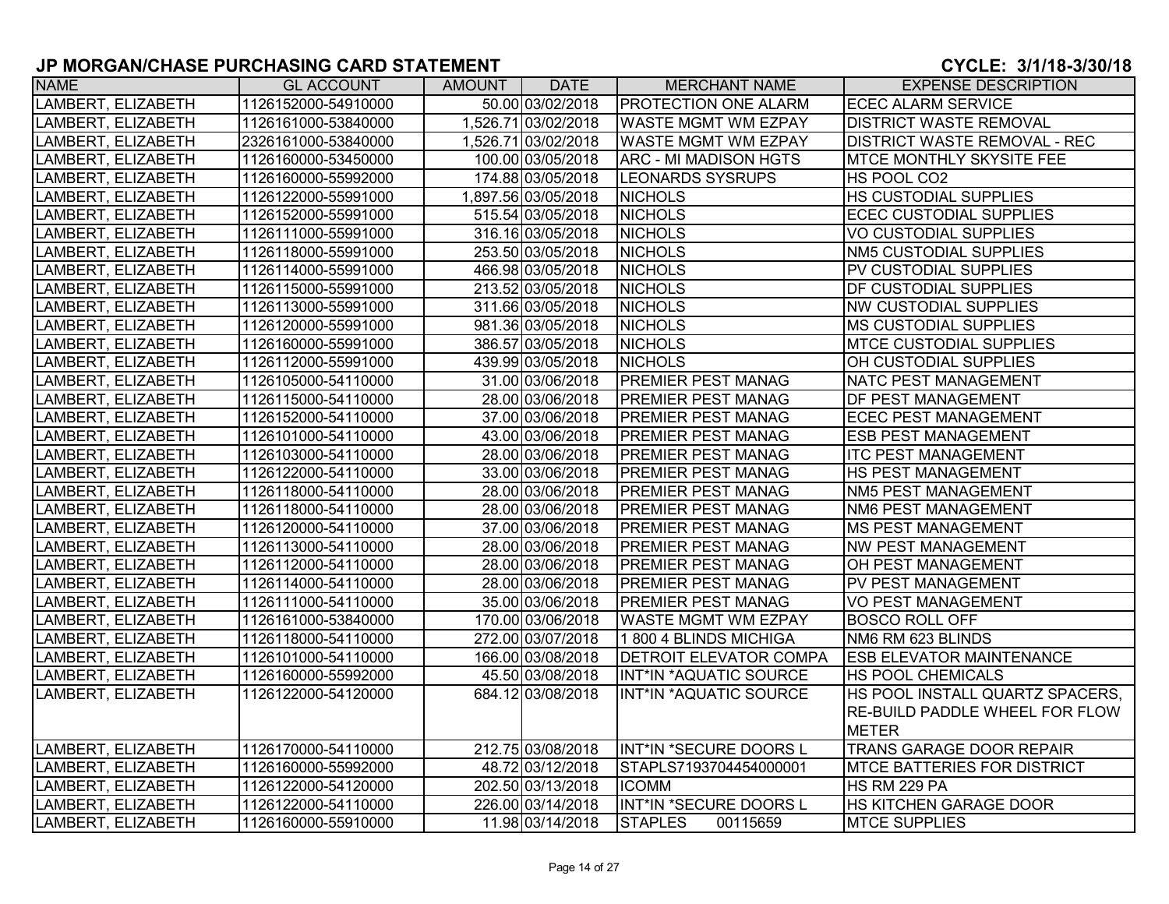| <b>NAME</b>        | <b>GL ACCOUNT</b>   | AMOUNT | <b>DATE</b>         | <b>MERCHANT NAME</b>          | <b>EXPENSE DESCRIPTION</b>            |
|--------------------|---------------------|--------|---------------------|-------------------------------|---------------------------------------|
| LAMBERT, ELIZABETH | 1126152000-54910000 |        | 50.00 03/02/2018    | <b>PROTECTION ONE ALARM</b>   | <b>ECEC ALARM SERVICE</b>             |
| LAMBERT, ELIZABETH | 1126161000-53840000 |        | 1,526.71 03/02/2018 | <b>WASTE MGMT WM EZPAY</b>    | <b>DISTRICT WASTE REMOVAL</b>         |
| LAMBERT, ELIZABETH | 2326161000-53840000 |        | 1,526.71 03/02/2018 | <b>WASTE MGMT WM EZPAY</b>    | <b>DISTRICT WASTE REMOVAL - REC</b>   |
| LAMBERT, ELIZABETH | 1126160000-53450000 |        | 100.00 03/05/2018   | <b>ARC - MI MADISON HGTS</b>  | <b>IMTCE MONTHLY SKYSITE FEE</b>      |
| LAMBERT, ELIZABETH | 1126160000-55992000 |        | 174.88 03/05/2018   | <b>LEONARDS SYSRUPS</b>       | HS POOL CO2                           |
| LAMBERT, ELIZABETH | 1126122000-55991000 |        | 1,897.56 03/05/2018 | <b>NICHOLS</b>                | <b>HS CUSTODIAL SUPPLIES</b>          |
| LAMBERT, ELIZABETH | 1126152000-55991000 |        | 515.54 03/05/2018   | <b>NICHOLS</b>                | <b>ECEC CUSTODIAL SUPPLIES</b>        |
| LAMBERT, ELIZABETH | 1126111000-55991000 |        | 316.16 03/05/2018   | <b>NICHOLS</b>                | <b>VO CUSTODIAL SUPPLIES</b>          |
| LAMBERT, ELIZABETH | 1126118000-55991000 |        | 253.50 03/05/2018   | <b>NICHOLS</b>                | NM5 CUSTODIAL SUPPLIES                |
| LAMBERT, ELIZABETH | 1126114000-55991000 |        | 466.98 03/05/2018   | <b>NICHOLS</b>                | PV CUSTODIAL SUPPLIES                 |
| LAMBERT, ELIZABETH | 1126115000-55991000 |        | 213.52 03/05/2018   | <b>NICHOLS</b>                | <b>DF CUSTODIAL SUPPLIES</b>          |
| LAMBERT, ELIZABETH | 1126113000-55991000 |        | 311.66 03/05/2018   | <b>NICHOLS</b>                | <b>NW CUSTODIAL SUPPLIES</b>          |
| LAMBERT, ELIZABETH | 1126120000-55991000 |        | 981.36 03/05/2018   | <b>NICHOLS</b>                | <b>MS CUSTODIAL SUPPLIES</b>          |
| LAMBERT, ELIZABETH | 1126160000-55991000 |        | 386.57 03/05/2018   | <b>NICHOLS</b>                | <b>MTCE CUSTODIAL SUPPLIES</b>        |
| LAMBERT, ELIZABETH | 1126112000-55991000 |        | 439.99 03/05/2018   | <b>NICHOLS</b>                | OH CUSTODIAL SUPPLIES                 |
| LAMBERT, ELIZABETH | 1126105000-54110000 |        | 31.00 03/06/2018    | <b>PREMIER PEST MANAG</b>     | NATC PEST MANAGEMENT                  |
| LAMBERT, ELIZABETH | 1126115000-54110000 |        | 28.00 03/06/2018    | <b>PREMIER PEST MANAG</b>     | <b>DF PEST MANAGEMENT</b>             |
| LAMBERT, ELIZABETH | 1126152000-54110000 |        | 37.00 03/06/2018    | <b>PREMIER PEST MANAG</b>     | <b>ECEC PEST MANAGEMENT</b>           |
| LAMBERT, ELIZABETH | 1126101000-54110000 |        | 43.00 03/06/2018    | <b>PREMIER PEST MANAG</b>     | <b>ESB PEST MANAGEMENT</b>            |
| LAMBERT, ELIZABETH | 1126103000-54110000 |        | 28.00 03/06/2018    | <b>PREMIER PEST MANAG</b>     | <b>ITC PEST MANAGEMENT</b>            |
| LAMBERT, ELIZABETH | 1126122000-54110000 |        | 33.00 03/06/2018    | <b>PREMIER PEST MANAG</b>     | <b>HS PEST MANAGEMENT</b>             |
| LAMBERT, ELIZABETH | 1126118000-54110000 |        | 28.00 03/06/2018    | <b>PREMIER PEST MANAG</b>     | NM5 PEST MANAGEMENT                   |
| LAMBERT, ELIZABETH | 1126118000-54110000 |        | 28.00 03/06/2018    | <b>PREMIER PEST MANAG</b>     | NM6 PEST MANAGEMENT                   |
| LAMBERT, ELIZABETH | 1126120000-54110000 |        | 37.00 03/06/2018    | <b>PREMIER PEST MANAG</b>     | <b>MS PEST MANAGEMENT</b>             |
| LAMBERT, ELIZABETH | 1126113000-54110000 |        | 28.00 03/06/2018    | <b>PREMIER PEST MANAG</b>     | <b>NW PEST MANAGEMENT</b>             |
| LAMBERT, ELIZABETH | 1126112000-54110000 |        | 28.00 03/06/2018    | <b>PREMIER PEST MANAG</b>     | OH PEST MANAGEMENT                    |
| LAMBERT, ELIZABETH | 1126114000-54110000 |        | 28.00 03/06/2018    | <b>PREMIER PEST MANAG</b>     | <b>PV PEST MANAGEMENT</b>             |
| LAMBERT, ELIZABETH | 1126111000-54110000 |        | 35.00 03/06/2018    | <b>PREMIER PEST MANAG</b>     | <b>VO PEST MANAGEMENT</b>             |
| LAMBERT, ELIZABETH | 1126161000-53840000 |        | 170.00 03/06/2018   | <b>WASTE MGMT WM EZPAY</b>    | <b>BOSCO ROLL OFF</b>                 |
| LAMBERT, ELIZABETH | 1126118000-54110000 |        | 272.00 03/07/2018   | 1 800 4 BLINDS MICHIGA        | NM6 RM 623 BLINDS                     |
| LAMBERT, ELIZABETH | 1126101000-54110000 |        | 166.00 03/08/2018   | <b>DETROIT ELEVATOR COMPA</b> | <b>ESB ELEVATOR MAINTENANCE</b>       |
| LAMBERT, ELIZABETH | 1126160000-55992000 |        | 45.50 03/08/2018    | INT*IN *AQUATIC SOURCE        | <b>HS POOL CHEMICALS</b>              |
| LAMBERT, ELIZABETH | 1126122000-54120000 |        | 684.12 03/08/2018   | INT*IN *AQUATIC SOURCE        | HS POOL INSTALL QUARTZ SPACERS,       |
|                    |                     |        |                     |                               | <b>RE-BUILD PADDLE WHEEL FOR FLOW</b> |
|                    |                     |        |                     |                               | <b>METER</b>                          |
| LAMBERT, ELIZABETH | 1126170000-54110000 |        | 212.75 03/08/2018   | INT*IN *SECURE DOORS L        | <b>TRANS GARAGE DOOR REPAIR</b>       |
| LAMBERT, ELIZABETH | 1126160000-55992000 |        | 48.72 03/12/2018    | STAPLS7193704454000001        | <b>MTCE BATTERIES FOR DISTRICT</b>    |
| LAMBERT, ELIZABETH | 1126122000-54120000 |        | 202.50 03/13/2018   | <b>ICOMM</b>                  | HS RM 229 PA                          |
| LAMBERT, ELIZABETH | 1126122000-54110000 |        | 226.00 03/14/2018   | INT*IN *SECURE DOORS L        | <b>HS KITCHEN GARAGE DOOR</b>         |
| LAMBERT, ELIZABETH | 1126160000-55910000 |        | 11.98 03/14/2018    | <b>STAPLES</b><br>00115659    | <b>MTCE SUPPLIES</b>                  |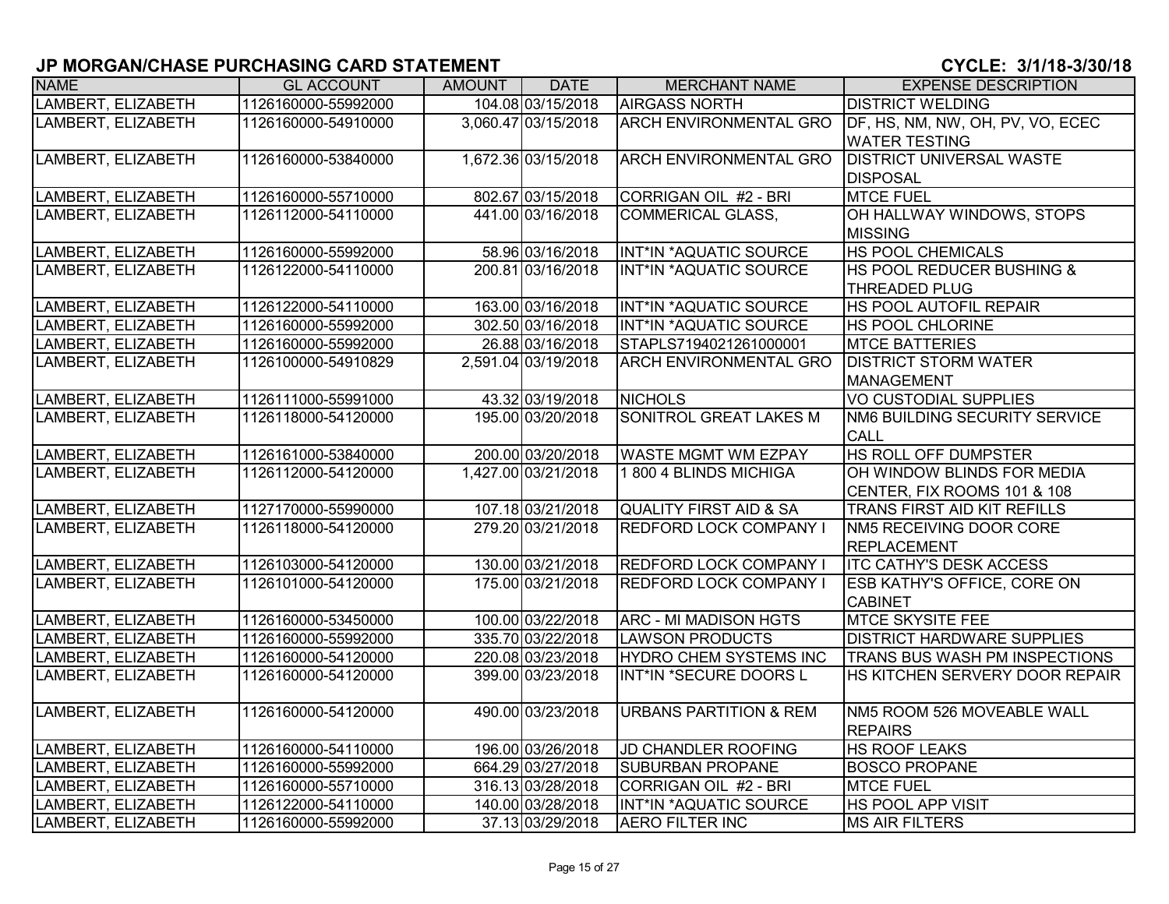| <b>NAME</b>        | <b>GL ACCOUNT</b>   | AMOUNT | <b>DATE</b>         | <b>MERCHANT NAME</b>              | <b>EXPENSE DESCRIPTION</b>        |
|--------------------|---------------------|--------|---------------------|-----------------------------------|-----------------------------------|
| LAMBERT, ELIZABETH | 1126160000-55992000 |        | 104.08 03/15/2018   | <b>AIRGASS NORTH</b>              | <b>DISTRICT WELDING</b>           |
| LAMBERT, ELIZABETH | 1126160000-54910000 |        | 3,060.47 03/15/2018 | <b>ARCH ENVIRONMENTAL GRO</b>     | DF, HS, NM, NW, OH, PV, VO, ECEC  |
|                    |                     |        |                     |                                   | <b>WATER TESTING</b>              |
| LAMBERT, ELIZABETH | 1126160000-53840000 |        | 1,672.36 03/15/2018 | <b>ARCH ENVIRONMENTAL GRO</b>     | <b>DISTRICT UNIVERSAL WASTE</b>   |
|                    |                     |        |                     |                                   | <b>DISPOSAL</b>                   |
| LAMBERT, ELIZABETH | 1126160000-55710000 |        | 802.67 03/15/2018   | CORRIGAN OIL #2 - BRI             | <b>MTCE FUEL</b>                  |
| LAMBERT, ELIZABETH | 1126112000-54110000 |        | 441.00 03/16/2018   | <b>COMMERICAL GLASS,</b>          | OH HALLWAY WINDOWS, STOPS         |
|                    |                     |        |                     |                                   | <b>MISSING</b>                    |
| LAMBERT, ELIZABETH | 1126160000-55992000 |        | 58.96 03/16/2018    | INT*IN *AQUATIC SOURCE            | HS POOL CHEMICALS                 |
| LAMBERT, ELIZABETH | 1126122000-54110000 |        | 200.81 03/16/2018   | INT*IN *AQUATIC SOURCE            | HS POOL REDUCER BUSHING &         |
|                    |                     |        |                     |                                   | <b>THREADED PLUG</b>              |
| LAMBERT, ELIZABETH | 1126122000-54110000 |        | 163.00 03/16/2018   | INT*IN *AQUATIC SOURCE            | HS POOL AUTOFIL REPAIR            |
| LAMBERT, ELIZABETH | 1126160000-55992000 |        | 302.50 03/16/2018   | INT*IN *AQUATIC SOURCE            | HS POOL CHLORINE                  |
| LAMBERT, ELIZABETH | 1126160000-55992000 |        | 26.88 03/16/2018    | STAPLS7194021261000001            | <b>MTCE BATTERIES</b>             |
| LAMBERT, ELIZABETH | 1126100000-54910829 |        | 2,591.04 03/19/2018 | <b>ARCH ENVIRONMENTAL GRO</b>     | <b>DISTRICT STORM WATER</b>       |
|                    |                     |        |                     |                                   | <b>MANAGEMENT</b>                 |
| LAMBERT, ELIZABETH | 1126111000-55991000 |        | 43.32 03/19/2018    | <b>NICHOLS</b>                    | <b>VO CUSTODIAL SUPPLIES</b>      |
| LAMBERT, ELIZABETH | 1126118000-54120000 |        | 195.00 03/20/2018   | <b>SONITROL GREAT LAKES M</b>     | NM6 BUILDING SECURITY SERVICE     |
|                    |                     |        |                     |                                   | <b>CALL</b>                       |
| LAMBERT, ELIZABETH | 1126161000-53840000 |        | 200.00 03/20/2018   | <b>WASTE MGMT WM EZPAY</b>        | HS ROLL OFF DUMPSTER              |
| LAMBERT, ELIZABETH | 1126112000-54120000 |        | 1,427.00 03/21/2018 | 1 800 4 BLINDS MICHIGA            | OH WINDOW BLINDS FOR MEDIA        |
|                    |                     |        |                     |                                   | CENTER, FIX ROOMS 101 & 108       |
| LAMBERT, ELIZABETH | 1127170000-55990000 |        | 107.18 03/21/2018   | QUALITY FIRST AID & SA            | TRANS FIRST AID KIT REFILLS       |
| LAMBERT, ELIZABETH | 1126118000-54120000 |        | 279.20 03/21/2018   | <b>REDFORD LOCK COMPANY I</b>     | <b>NM5 RECEIVING DOOR CORE</b>    |
|                    |                     |        |                     |                                   | REPLACEMENT                       |
| LAMBERT, ELIZABETH | 1126103000-54120000 |        | 130.00 03/21/2018   | <b>REDFORD LOCK COMPANY I</b>     | <b>ITC CATHY'S DESK ACCESS</b>    |
| LAMBERT, ELIZABETH | 1126101000-54120000 |        | 175.00 03/21/2018   | <b>REDFORD LOCK COMPANY I</b>     | ESB KATHY'S OFFICE, CORE ON       |
|                    |                     |        |                     |                                   | <b>CABINET</b>                    |
| LAMBERT, ELIZABETH | 1126160000-53450000 |        | 100.00 03/22/2018   | <b>ARC - MI MADISON HGTS</b>      | <b>MTCE SKYSITE FEE</b>           |
| LAMBERT, ELIZABETH | 1126160000-55992000 |        | 335.70 03/22/2018   | <b>LAWSON PRODUCTS</b>            | <b>DISTRICT HARDWARE SUPPLIES</b> |
| LAMBERT, ELIZABETH | 1126160000-54120000 |        | 220.08 03/23/2018   | HYDRO CHEM SYSTEMS INC            | TRANS BUS WASH PM INSPECTIONS     |
| LAMBERT, ELIZABETH | 1126160000-54120000 |        | 399.00 03/23/2018   | INT*IN *SECURE DOORS L            | HS KITCHEN SERVERY DOOR REPAIR    |
|                    |                     |        |                     |                                   |                                   |
| LAMBERT, ELIZABETH | 1126160000-54120000 |        | 490.00 03/23/2018   | <b>URBANS PARTITION &amp; REM</b> | NM5 ROOM 526 MOVEABLE WALL        |
|                    |                     |        |                     |                                   | <b>REPAIRS</b>                    |
| LAMBERT, ELIZABETH | 1126160000-54110000 |        | 196.00 03/26/2018   | JD CHANDLER ROOFING               | <b>HS ROOF LEAKS</b>              |
| LAMBERT, ELIZABETH | 1126160000-55992000 |        | 664.29 03/27/2018   | <b>SUBURBAN PROPANE</b>           | <b>BOSCO PROPANE</b>              |
| LAMBERT, ELIZABETH | 1126160000-55710000 |        | 316.13 03/28/2018   | CORRIGAN OIL #2 - BRI             | <b>MTCE FUEL</b>                  |
| LAMBERT, ELIZABETH | 1126122000-54110000 |        | 140.00 03/28/2018   | INT*IN *AQUATIC SOURCE            | HS POOL APP VISIT                 |
| LAMBERT, ELIZABETH | 1126160000-55992000 |        | 37.13 03/29/2018    | <b>AERO FILTER INC</b>            | <b>MS AIR FILTERS</b>             |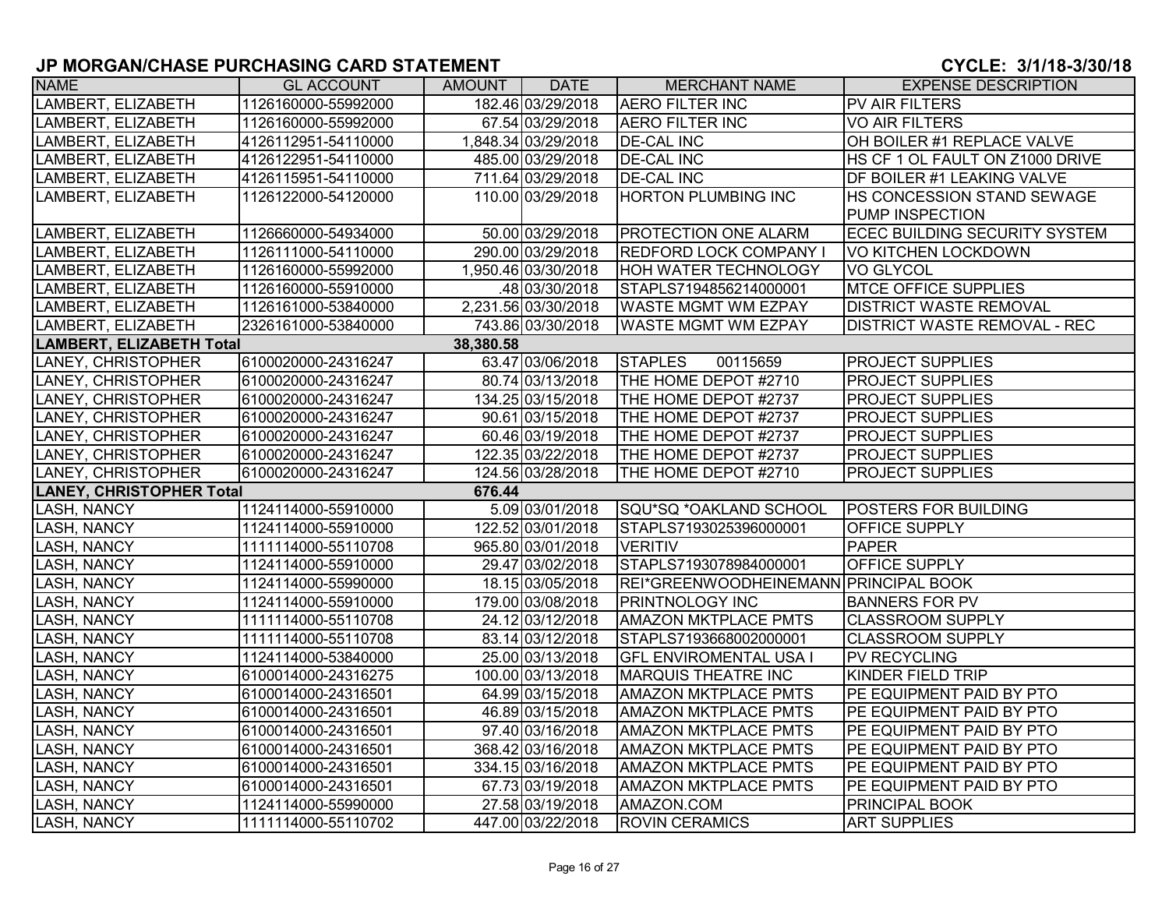| <b>NAME</b>                     | <b>GL ACCOUNT</b>   | AMOUNT    | <b>DATE</b>         | <b>MERCHANT NAME</b>                  | <b>EXPENSE DESCRIPTION</b>           |
|---------------------------------|---------------------|-----------|---------------------|---------------------------------------|--------------------------------------|
| LAMBERT, ELIZABETH              | 1126160000-55992000 |           | 182.46 03/29/2018   | <b>AERO FILTER INC</b>                | PV AIR FILTERS                       |
| LAMBERT, ELIZABETH              | 1126160000-55992000 |           | 67.54 03/29/2018    | <b>AERO FILTER INC</b>                | <b>VO AIR FILTERS</b>                |
| LAMBERT, ELIZABETH              | 4126112951-54110000 |           | 1,848.34 03/29/2018 | <b>DE-CAL INC</b>                     | OH BOILER #1 REPLACE VALVE           |
| LAMBERT, ELIZABETH              | 4126122951-54110000 |           | 485.00 03/29/2018   | <b>DE-CAL INC</b>                     | HS CF 1 OL FAULT ON Z1000 DRIVE      |
| LAMBERT, ELIZABETH              | 4126115951-54110000 |           | 711.64 03/29/2018   | <b>DE-CAL INC</b>                     | DF BOILER #1 LEAKING VALVE           |
| LAMBERT, ELIZABETH              | 1126122000-54120000 |           | 110.00 03/29/2018   | <b>HORTON PLUMBING INC</b>            | HS CONCESSION STAND SEWAGE           |
|                                 |                     |           |                     |                                       | PUMP INSPECTION                      |
| LAMBERT, ELIZABETH              | 1126660000-54934000 |           | 50.00 03/29/2018    | <b>PROTECTION ONE ALARM</b>           | <b>ECEC BUILDING SECURITY SYSTEM</b> |
| LAMBERT, ELIZABETH              | 1126111000-54110000 |           | 290.00 03/29/2018   | <b>REDFORD LOCK COMPANY I</b>         | VO KITCHEN LOCKDOWN                  |
| LAMBERT, ELIZABETH              | 1126160000-55992000 |           | 1,950.46 03/30/2018 | <b>HOH WATER TECHNOLOGY</b>           | <b>VO GLYCOL</b>                     |
| LAMBERT, ELIZABETH              | 1126160000-55910000 |           | .48 03/30/2018      | STAPLS7194856214000001                | <b>MTCE OFFICE SUPPLIES</b>          |
| LAMBERT, ELIZABETH              | 1126161000-53840000 |           | 2,231.56 03/30/2018 | <b>WASTE MGMT WM EZPAY</b>            | <b>DISTRICT WASTE REMOVAL</b>        |
| LAMBERT, ELIZABETH              | 2326161000-53840000 |           | 743.86 03/30/2018   | <b>WASTE MGMT WM EZPAY</b>            | <b>DISTRICT WASTE REMOVAL - REC</b>  |
| <b>LAMBERT, ELIZABETH Total</b> |                     | 38,380.58 |                     |                                       |                                      |
| LANEY, CHRISTOPHER              | 6100020000-24316247 |           | 63.47 03/06/2018    | <b>STAPLES</b><br>00115659            | <b>PROJECT SUPPLIES</b>              |
| LANEY, CHRISTOPHER              | 6100020000-24316247 |           | 80.74 03/13/2018    | THE HOME DEPOT #2710                  | <b>PROJECT SUPPLIES</b>              |
| LANEY, CHRISTOPHER              | 6100020000-24316247 |           | 134.25 03/15/2018   | THE HOME DEPOT #2737                  | <b>PROJECT SUPPLIES</b>              |
| LANEY, CHRISTOPHER              | 6100020000-24316247 |           | 90.61 03/15/2018    | THE HOME DEPOT #2737                  | <b>PROJECT SUPPLIES</b>              |
| <b>LANEY, CHRISTOPHER</b>       | 6100020000-24316247 |           | 60.46 03/19/2018    | THE HOME DEPOT #2737                  | <b>PROJECT SUPPLIES</b>              |
| LANEY, CHRISTOPHER              | 6100020000-24316247 |           | 122.35 03/22/2018   | THE HOME DEPOT #2737                  | <b>PROJECT SUPPLIES</b>              |
| LANEY, CHRISTOPHER              | 6100020000-24316247 |           | 124.56 03/28/2018   | THE HOME DEPOT #2710                  | <b>PROJECT SUPPLIES</b>              |
| <b>LANEY, CHRISTOPHER Total</b> |                     | 676.44    |                     |                                       |                                      |
| LASH, NANCY                     | 1124114000-55910000 |           | 5.09 03/01/2018     | SQU*SQ *OAKLAND SCHOOL                | <b>POSTERS FOR BUILDING</b>          |
| <b>LASH, NANCY</b>              | 1124114000-55910000 |           | 122.52 03/01/2018   | STAPLS7193025396000001                | OFFICE SUPPLY                        |
| <b>LASH, NANCY</b>              | 1111114000-55110708 |           | 965.80 03/01/2018   | <b>VERITIV</b>                        | <b>PAPER</b>                         |
| <b>LASH, NANCY</b>              | 1124114000-55910000 |           | 29.47 03/02/2018    | STAPLS7193078984000001                | <b>OFFICE SUPPLY</b>                 |
| <b>LASH, NANCY</b>              | 1124114000-55990000 |           | 18.15 03/05/2018    | REI*GREENWOODHEINEMANN PRINCIPAL BOOK |                                      |
| <b>LASH, NANCY</b>              | 1124114000-55910000 |           | 179.00 03/08/2018   | <b>PRINTNOLOGY INC</b>                | <b>BANNERS FOR PV</b>                |
| <b>LASH, NANCY</b>              | 1111114000-55110708 |           | 24.12 03/12/2018    | <b>AMAZON MKTPLACE PMTS</b>           | <b>CLASSROOM SUPPLY</b>              |
| <b>LASH, NANCY</b>              | 1111114000-55110708 |           | 83.14 03/12/2018    | STAPLS7193668002000001                | <b>CLASSROOM SUPPLY</b>              |
| <b>LASH, NANCY</b>              | 1124114000-53840000 |           | 25.00 03/13/2018    | <b>GFL ENVIROMENTAL USA I</b>         | PV RECYCLING                         |
| <b>LASH, NANCY</b>              | 6100014000-24316275 |           | 100.00 03/13/2018   | <b>MARQUIS THEATRE INC</b>            | <b>KINDER FIELD TRIP</b>             |
| LASH, NANCY                     | 6100014000-24316501 |           | 64.99 03/15/2018    | <b>AMAZON MKTPLACE PMTS</b>           | PE EQUIPMENT PAID BY PTO             |
| LASH, NANCY                     | 6100014000-24316501 |           | 46.89 03/15/2018    | <b>AMAZON MKTPLACE PMTS</b>           | PE EQUIPMENT PAID BY PTO             |
| <b>LASH, NANCY</b>              | 6100014000-24316501 |           | 97.40 03/16/2018    | <b>AMAZON MKTPLACE PMTS</b>           | PE EQUIPMENT PAID BY PTO             |
| <b>LASH, NANCY</b>              | 6100014000-24316501 |           | 368.42 03/16/2018   | <b>AMAZON MKTPLACE PMTS</b>           | PE EQUIPMENT PAID BY PTO             |
| <b>LASH, NANCY</b>              | 6100014000-24316501 |           | 334.15 03/16/2018   | <b>AMAZON MKTPLACE PMTS</b>           | PE EQUIPMENT PAID BY PTO             |
| <b>LASH, NANCY</b>              | 6100014000-24316501 |           | 67.73 03/19/2018    | <b>AMAZON MKTPLACE PMTS</b>           | PE EQUIPMENT PAID BY PTO             |
| <b>LASH, NANCY</b>              | 1124114000-55990000 |           | 27.58 03/19/2018    | AMAZON.COM                            | <b>PRINCIPAL BOOK</b>                |
| <b>LASH, NANCY</b>              | 1111114000-55110702 |           | 447.00 03/22/2018   | <b>ROVIN CERAMICS</b>                 | <b>ART SUPPLIES</b>                  |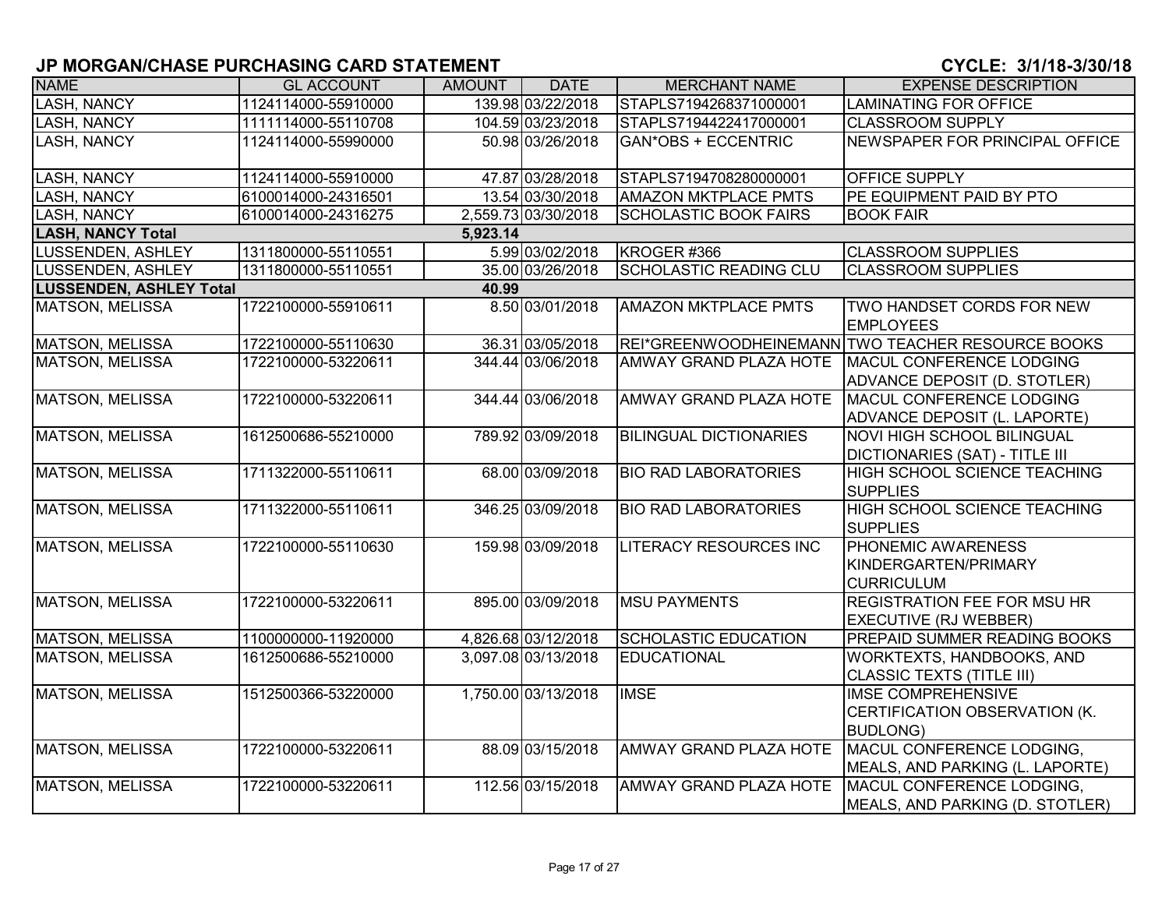| <b>NAME</b>                    | <b>GL ACCOUNT</b>   | AMOUNT   | <b>DATE</b>         | <b>MERCHANT NAME</b>          | <b>EXPENSE DESCRIPTION</b>                                                    |
|--------------------------------|---------------------|----------|---------------------|-------------------------------|-------------------------------------------------------------------------------|
| <b>LASH, NANCY</b>             | 1124114000-55910000 |          | 139.98 03/22/2018   | STAPLS7194268371000001        | <b>LAMINATING FOR OFFICE</b>                                                  |
| <b>LASH, NANCY</b>             | 1111114000-55110708 |          | 104.59 03/23/2018   | STAPLS7194422417000001        | <b>CLASSROOM SUPPLY</b>                                                       |
| <b>LASH, NANCY</b>             | 1124114000-55990000 |          | 50.98 03/26/2018    | <b>GAN*OBS + ECCENTRIC</b>    | NEWSPAPER FOR PRINCIPAL OFFICE                                                |
| <b>LASH, NANCY</b>             | 1124114000-55910000 |          | 47.87 03/28/2018    | STAPLS7194708280000001        | OFFICE SUPPLY                                                                 |
| <b>LASH, NANCY</b>             | 6100014000-24316501 |          | 13.54 03/30/2018    | <b>AMAZON MKTPLACE PMTS</b>   | PE EQUIPMENT PAID BY PTO                                                      |
| <b>LASH, NANCY</b>             | 6100014000-24316275 |          | 2,559.73 03/30/2018 | <b>SCHOLASTIC BOOK FAIRS</b>  | <b>BOOK FAIR</b>                                                              |
| <b>LASH, NANCY Total</b>       |                     | 5,923.14 |                     |                               |                                                                               |
| <b>LUSSENDEN, ASHLEY</b>       | 1311800000-55110551 |          | 5.99 03/02/2018     | KROGER #366                   | <b>CLASSROOM SUPPLIES</b>                                                     |
| LUSSENDEN, ASHLEY              | 1311800000-55110551 |          | 35.00 03/26/2018    | <b>SCHOLASTIC READING CLU</b> | <b>CLASSROOM SUPPLIES</b>                                                     |
| <b>LUSSENDEN, ASHLEY Total</b> |                     | 40.99    |                     |                               |                                                                               |
| <b>MATSON, MELISSA</b>         | 1722100000-55910611 |          | 8.50 03/01/2018     | <b>AMAZON MKTPLACE PMTS</b>   | TWO HANDSET CORDS FOR NEW<br><b>EMPLOYEES</b>                                 |
| <b>MATSON, MELISSA</b>         | 1722100000-55110630 |          | 36.31 03/05/2018    |                               | REI*GREENWOODHEINEMANN TWO TEACHER RESOURCE BOOKS                             |
| <b>MATSON, MELISSA</b>         | 1722100000-53220611 |          | 344.44 03/06/2018   | AMWAY GRAND PLAZA HOTE        | MACUL CONFERENCE LODGING<br>ADVANCE DEPOSIT (D. STOTLER)                      |
| <b>MATSON, MELISSA</b>         | 1722100000-53220611 |          | 344.44 03/06/2018   | AMWAY GRAND PLAZA HOTE        | MACUL CONFERENCE LODGING<br>ADVANCE DEPOSIT (L. LAPORTE)                      |
| <b>MATSON, MELISSA</b>         | 1612500686-55210000 |          | 789.92 03/09/2018   | <b>BILINGUAL DICTIONARIES</b> | <b>NOVI HIGH SCHOOL BILINGUAL</b><br><b>DICTIONARIES (SAT) - TITLE III</b>    |
| <b>MATSON, MELISSA</b>         | 1711322000-55110611 |          | 68.00 03/09/2018    | <b>BIO RAD LABORATORIES</b>   | HIGH SCHOOL SCIENCE TEACHING<br><b>SUPPLIES</b>                               |
| <b>MATSON, MELISSA</b>         | 1711322000-55110611 |          | 346.25 03/09/2018   | <b>BIO RAD LABORATORIES</b>   | <b>HIGH SCHOOL SCIENCE TEACHING</b><br><b>SUPPLIES</b>                        |
| <b>MATSON, MELISSA</b>         | 1722100000-55110630 |          | 159.98 03/09/2018   | <b>LITERACY RESOURCES INC</b> | PHONEMIC AWARENESS<br>KINDERGARTEN/PRIMARY<br><b>CURRICULUM</b>               |
| <b>MATSON, MELISSA</b>         | 1722100000-53220611 |          | 895.00 03/09/2018   | <b>MSU PAYMENTS</b>           | <b>REGISTRATION FEE FOR MSU HR</b><br><b>EXECUTIVE (RJ WEBBER)</b>            |
| MATSON, MELISSA                | 1100000000-11920000 |          | 4,826.68 03/12/2018 | <b>SCHOLASTIC EDUCATION</b>   | PREPAID SUMMER READING BOOKS                                                  |
| <b>MATSON, MELISSA</b>         | 1612500686-55210000 |          | 3,097.08 03/13/2018 | EDUCATIONAL                   | WORKTEXTS, HANDBOOKS, AND<br><b>CLASSIC TEXTS (TITLE III)</b>                 |
| <b>MATSON, MELISSA</b>         | 1512500366-53220000 |          | 1,750.00 03/13/2018 | <b>IMSE</b>                   | <b>IMSE COMPREHENSIVE</b><br>CERTIFICATION OBSERVATION (K.<br><b>BUDLONG)</b> |
| <b>MATSON, MELISSA</b>         | 1722100000-53220611 |          | 88.09 03/15/2018    | AMWAY GRAND PLAZA HOTE        | MACUL CONFERENCE LODGING,<br>MEALS, AND PARKING (L. LAPORTE)                  |
| <b>MATSON, MELISSA</b>         | 1722100000-53220611 |          | 112.56 03/15/2018   | AMWAY GRAND PLAZA HOTE        | MACUL CONFERENCE LODGING,<br>MEALS, AND PARKING (D. STOTLER)                  |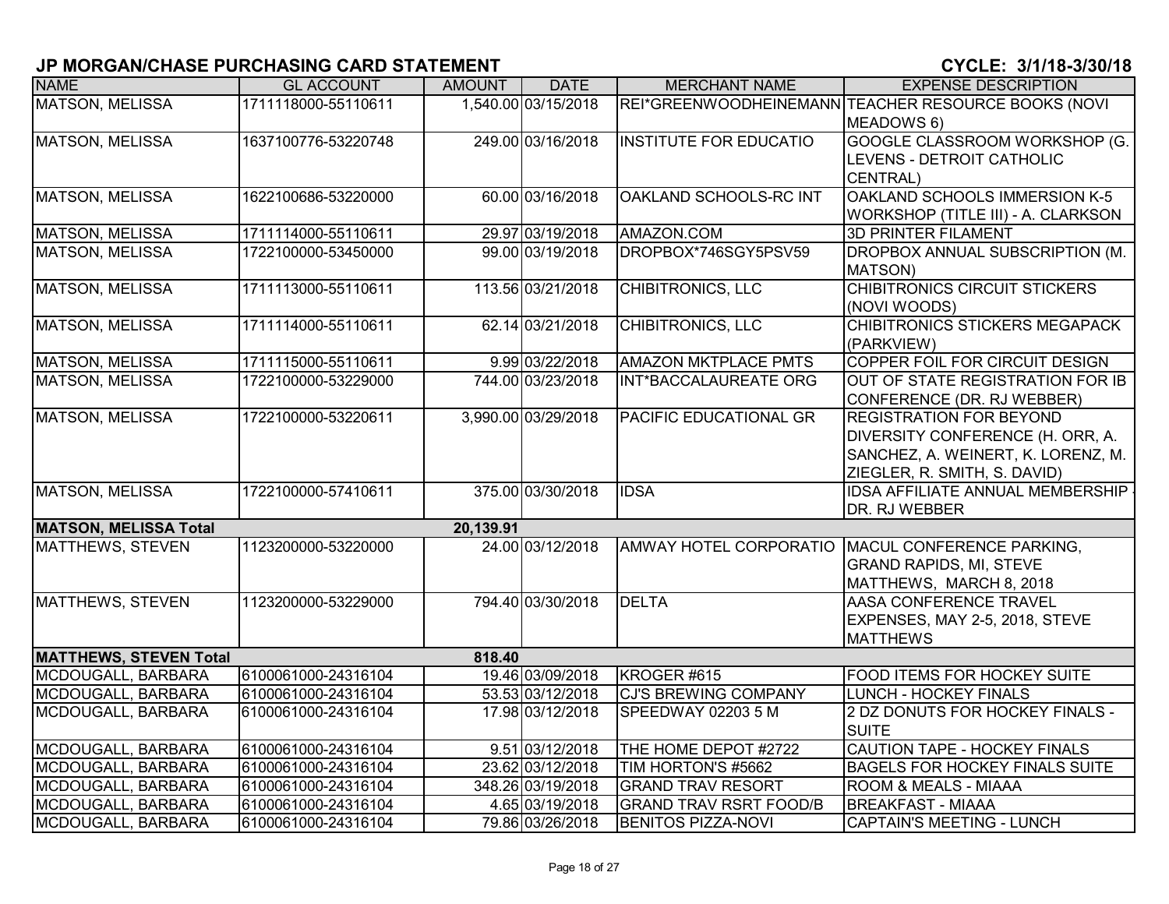| <b>NAME</b>                   | <b>GL ACCOUNT</b>   | <b>AMOUNT</b> | <b>DATE</b>         | <b>MERCHANT NAME</b>          | <b>EXPENSE DESCRIPTION</b>                          |
|-------------------------------|---------------------|---------------|---------------------|-------------------------------|-----------------------------------------------------|
| <b>MATSON, MELISSA</b>        | 1711118000-55110611 |               | 1,540.00 03/15/2018 |                               | REI*GREENWOODHEINEMANN TEACHER RESOURCE BOOKS (NOVI |
|                               |                     |               |                     |                               | MEADOWS 6)                                          |
| <b>MATSON, MELISSA</b>        | 1637100776-53220748 |               | 249.00 03/16/2018   | <b>INSTITUTE FOR EDUCATIO</b> | GOOGLE CLASSROOM WORKSHOP (G.                       |
|                               |                     |               |                     |                               | LEVENS - DETROIT CATHOLIC                           |
|                               |                     |               |                     |                               | CENTRAL)                                            |
| <b>MATSON, MELISSA</b>        | 1622100686-53220000 |               | 60.00 03/16/2018    | OAKLAND SCHOOLS-RC INT        | OAKLAND SCHOOLS IMMERSION K-5                       |
|                               |                     |               |                     |                               | WORKSHOP (TITLE III) - A. CLARKSON                  |
| <b>MATSON, MELISSA</b>        | 1711114000-55110611 |               | 29.97 03/19/2018    | AMAZON.COM                    | <b>3D PRINTER FILAMENT</b>                          |
| MATSON, MELISSA               | 1722100000-53450000 |               | 99.00 03/19/2018    | DROPBOX*746SGY5PSV59          | DROPBOX ANNUAL SUBSCRIPTION (M.<br>MATSON)          |
| MATSON, MELISSA               | 1711113000-55110611 |               | 113.56 03/21/2018   | CHIBITRONICS, LLC             | <b>CHIBITRONICS CIRCUIT STICKERS</b>                |
|                               |                     |               |                     |                               | (NOVI WOODS)                                        |
| <b>MATSON, MELISSA</b>        | 1711114000-55110611 |               | 62.14 03/21/2018    | <b>CHIBITRONICS, LLC</b>      | <b>CHIBITRONICS STICKERS MEGAPACK</b>               |
|                               |                     |               |                     |                               | (PARKVIEW)                                          |
| <b>MATSON, MELISSA</b>        | 1711115000-55110611 |               | 9.99 03/22/2018     | <b>AMAZON MKTPLACE PMTS</b>   | COPPER FOIL FOR CIRCUIT DESIGN                      |
| <b>MATSON, MELISSA</b>        | 1722100000-53229000 |               | 744.00 03/23/2018   | INT*BACCALAUREATE ORG         | OUT OF STATE REGISTRATION FOR IB                    |
|                               |                     |               |                     |                               | CONFERENCE (DR. RJ WEBBER)                          |
| <b>MATSON, MELISSA</b>        | 1722100000-53220611 |               | 3,990.00 03/29/2018 | PACIFIC EDUCATIONAL GR        | <b>REGISTRATION FOR BEYOND</b>                      |
|                               |                     |               |                     |                               | DIVERSITY CONFERENCE (H. ORR, A.                    |
|                               |                     |               |                     |                               | SANCHEZ, A. WEINERT, K. LORENZ, M.                  |
|                               |                     |               |                     |                               | ZIEGLER, R. SMITH, S. DAVID)                        |
| <b>MATSON, MELISSA</b>        | 1722100000-57410611 |               | 375.00 03/30/2018   | <b>IDSA</b>                   | <b>IDSA AFFILIATE ANNUAL MEMBERSHIP</b>             |
|                               |                     |               |                     |                               | DR. RJ WEBBER                                       |
| <b>MATSON, MELISSA Total</b>  |                     | 20,139.91     |                     |                               |                                                     |
| <b>MATTHEWS, STEVEN</b>       | 1123200000-53220000 |               | 24.00 03/12/2018    |                               | AMWAY HOTEL CORPORATIO MACUL CONFERENCE PARKING,    |
|                               |                     |               |                     |                               | <b>GRAND RAPIDS, MI, STEVE</b>                      |
|                               |                     |               |                     |                               | MATTHEWS, MARCH 8, 2018                             |
| MATTHEWS, STEVEN              | 1123200000-53229000 |               | 794.40 03/30/2018   | <b>DELTA</b>                  | AASA CONFERENCE TRAVEL                              |
|                               |                     |               |                     |                               | EXPENSES, MAY 2-5, 2018, STEVE                      |
|                               |                     |               |                     |                               | <b>MATTHEWS</b>                                     |
| <b>MATTHEWS, STEVEN Total</b> |                     | 818.40        |                     |                               |                                                     |
| MCDOUGALL, BARBARA            | 6100061000-24316104 |               | 19.46 03/09/2018    | KROGER #615                   | <b>FOOD ITEMS FOR HOCKEY SUITE</b>                  |
| MCDOUGALL, BARBARA            | 6100061000-24316104 |               | 53.53 03/12/2018    | <b>CJ'S BREWING COMPANY</b>   | <b>LUNCH - HOCKEY FINALS</b>                        |
| MCDOUGALL, BARBARA            | 6100061000-24316104 |               | 17.98 03/12/2018    | SPEEDWAY 02203 5 M            | 2 DZ DONUTS FOR HOCKEY FINALS -<br><b>SUITE</b>     |
| MCDOUGALL, BARBARA            | 6100061000-24316104 |               | 9.51 03/12/2018     | THE HOME DEPOT #2722          | CAUTION TAPE - HOCKEY FINALS                        |
| MCDOUGALL, BARBARA            | 6100061000-24316104 |               | 23.62 03/12/2018    | TIM HORTON'S #5662            | <b>BAGELS FOR HOCKEY FINALS SUITE</b>               |
| MCDOUGALL, BARBARA            | 6100061000-24316104 |               | 348.26 03/19/2018   | <b>GRAND TRAV RESORT</b>      | <b>ROOM &amp; MEALS - MIAAA</b>                     |
| MCDOUGALL, BARBARA            | 6100061000-24316104 |               | 4.65 03/19/2018     | <b>GRAND TRAV RSRT FOOD/B</b> | <b>BREAKFAST - MIAAA</b>                            |
| MCDOUGALL, BARBARA            | 6100061000-24316104 |               | 79.86 03/26/2018    | <b>BENITOS PIZZA-NOVI</b>     | <b>CAPTAIN'S MEETING - LUNCH</b>                    |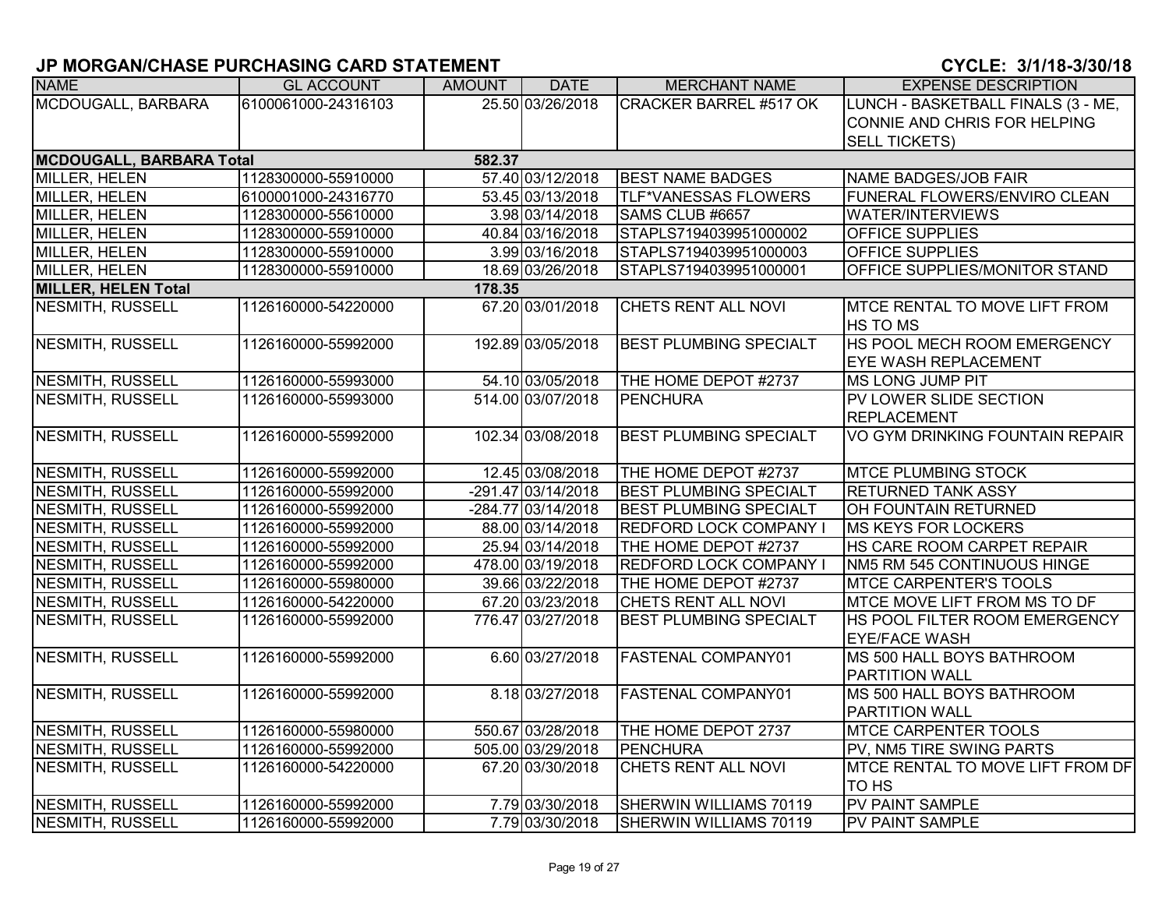| <b>NAME</b>                     | <b>GL ACCOUNT</b>   | <b>AMOUNT</b> | <b>DATE</b>          | <b>MERCHANT NAME</b>          | <b>EXPENSE DESCRIPTION</b>                              |
|---------------------------------|---------------------|---------------|----------------------|-------------------------------|---------------------------------------------------------|
| MCDOUGALL, BARBARA              | 6100061000-24316103 |               | 25.50 03/26/2018     | <b>CRACKER BARREL #517 OK</b> | LUNCH - BASKETBALL FINALS (3 - ME,                      |
|                                 |                     |               |                      |                               | CONNIE AND CHRIS FOR HELPING                            |
|                                 |                     |               |                      |                               | <b>SELL TICKETS)</b>                                    |
| <b>MCDOUGALL, BARBARA Total</b> |                     | 582.37        |                      |                               |                                                         |
| <b>MILLER, HELEN</b>            | 1128300000-55910000 |               | 57.40 03/12/2018     | <b>BEST NAME BADGES</b>       | NAME BADGES/JOB FAIR                                    |
| <b>MILLER, HELEN</b>            | 6100001000-24316770 |               | 53.45 03/13/2018     | <b>TLF*VANESSAS FLOWERS</b>   | <b>FUNERAL FLOWERS/ENVIRO CLEAN</b>                     |
| MILLER, HELEN                   | 1128300000-55610000 |               | 3.98 03/14/2018      | SAMS CLUB #6657               | <b>WATER/INTERVIEWS</b>                                 |
| <b>MILLER, HELEN</b>            | 1128300000-55910000 |               | 40.84 03/16/2018     | STAPLS7194039951000002        | <b>OFFICE SUPPLIES</b>                                  |
| MILLER, HELEN                   | 1128300000-55910000 |               | 3.99 03/16/2018      | STAPLS7194039951000003        | <b>OFFICE SUPPLIES</b>                                  |
| MILLER, HELEN                   | 1128300000-55910000 |               | 18.69 03/26/2018     | STAPLS7194039951000001        | OFFICE SUPPLIES/MONITOR STAND                           |
| <b>MILLER, HELEN Total</b>      |                     | 178.35        |                      |                               |                                                         |
| <b>NESMITH, RUSSELL</b>         | 1126160000-54220000 |               | 67.20 03/01/2018     | CHETS RENT ALL NOVI           | <b>MTCE RENTAL TO MOVE LIFT FROM</b><br><b>HS TO MS</b> |
| <b>NESMITH, RUSSELL</b>         | 1126160000-55992000 |               | 192.89 03/05/2018    | <b>BEST PLUMBING SPECIALT</b> | HS POOL MECH ROOM EMERGENCY                             |
|                                 |                     |               |                      |                               | <b>EYE WASH REPLACEMENT</b>                             |
| NESMITH, RUSSELL                | 1126160000-55993000 |               | 54.10 03/05/2018     | THE HOME DEPOT #2737          | <b>MS LONG JUMP PIT</b>                                 |
| <b>NESMITH, RUSSELL</b>         | 1126160000-55993000 |               | 514.00 03/07/2018    | <b>PENCHURA</b>               | PV LOWER SLIDE SECTION                                  |
|                                 |                     |               |                      |                               | <b>REPLACEMENT</b>                                      |
| <b>NESMITH, RUSSELL</b>         | 1126160000-55992000 |               | 102.34 03/08/2018    | <b>BEST PLUMBING SPECIALT</b> | VO GYM DRINKING FOUNTAIN REPAIR                         |
| NESMITH, RUSSELL                | 1126160000-55992000 |               | 12.45 03/08/2018     | THE HOME DEPOT #2737          | <b>MTCE PLUMBING STOCK</b>                              |
| <b>NESMITH, RUSSELL</b>         | 1126160000-55992000 |               | -291.47 03/14/2018   | <b>BEST PLUMBING SPECIALT</b> | <b>RETURNED TANK ASSY</b>                               |
| <b>NESMITH, RUSSELL</b>         | 1126160000-55992000 |               | $-284.77$ 03/14/2018 | <b>BEST PLUMBING SPECIALT</b> | OH FOUNTAIN RETURNED                                    |
| NESMITH, RUSSELL                | 1126160000-55992000 |               | 88.00 03/14/2018     | <b>REDFORD LOCK COMPANY I</b> | MS KEYS FOR LOCKERS                                     |
| NESMITH, RUSSELL                | 1126160000-55992000 |               | 25.94 03/14/2018     | THE HOME DEPOT #2737          | HS CARE ROOM CARPET REPAIR                              |
| <b>NESMITH, RUSSELL</b>         | 1126160000-55992000 |               | 478.00 03/19/2018    | <b>REDFORD LOCK COMPANY I</b> | NM5 RM 545 CONTINUOUS HINGE                             |
| NESMITH, RUSSELL                | 1126160000-55980000 |               | 39.66 03/22/2018     | THE HOME DEPOT #2737          | <b>MTCE CARPENTER'S TOOLS</b>                           |
| NESMITH, RUSSELL                | 1126160000-54220000 |               | 67.20 03/23/2018     | CHETS RENT ALL NOVI           | MTCE MOVE LIFT FROM MS TO DF                            |
| NESMITH, RUSSELL                | 1126160000-55992000 |               | 776.47 03/27/2018    | <b>BEST PLUMBING SPECIALT</b> | HS POOL FILTER ROOM EMERGENCY                           |
|                                 |                     |               |                      |                               | <b>EYE/FACE WASH</b>                                    |
| <b>NESMITH, RUSSELL</b>         | 1126160000-55992000 |               | 6.60 03/27/2018      | FASTENAL COMPANY01            | MS 500 HALL BOYS BATHROOM                               |
|                                 |                     |               |                      |                               | <b>PARTITION WALL</b>                                   |
| <b>NESMITH, RUSSELL</b>         | 1126160000-55992000 |               | 8.18 03/27/2018      | <b>FASTENAL COMPANY01</b>     | MS 500 HALL BOYS BATHROOM                               |
|                                 |                     |               |                      |                               | PARTITION WALL                                          |
| NESMITH, RUSSELL                | 1126160000-55980000 |               | 550.67 03/28/2018    | THE HOME DEPOT 2737           | <b>MTCE CARPENTER TOOLS</b>                             |
| NESMITH, RUSSELL                | 1126160000-55992000 |               | 505.00 03/29/2018    | <b>PENCHURA</b>               | PV, NM5 TIRE SWING PARTS                                |
| <b>NESMITH, RUSSELL</b>         | 1126160000-54220000 |               | 67.20 03/30/2018     | CHETS RENT ALL NOVI           | <b>MTCE RENTAL TO MOVE LIFT FROM DF</b>                 |
|                                 |                     |               |                      |                               | <b>TO HS</b>                                            |
| NESMITH, RUSSELL                | 1126160000-55992000 |               | 7.79 03/30/2018      | SHERWIN WILLIAMS 70119        | PV PAINT SAMPLE                                         |
| <b>NESMITH, RUSSELL</b>         | 1126160000-55992000 |               | 7.79 03/30/2018      | SHERWIN WILLIAMS 70119        | <b>PV PAINT SAMPLE</b>                                  |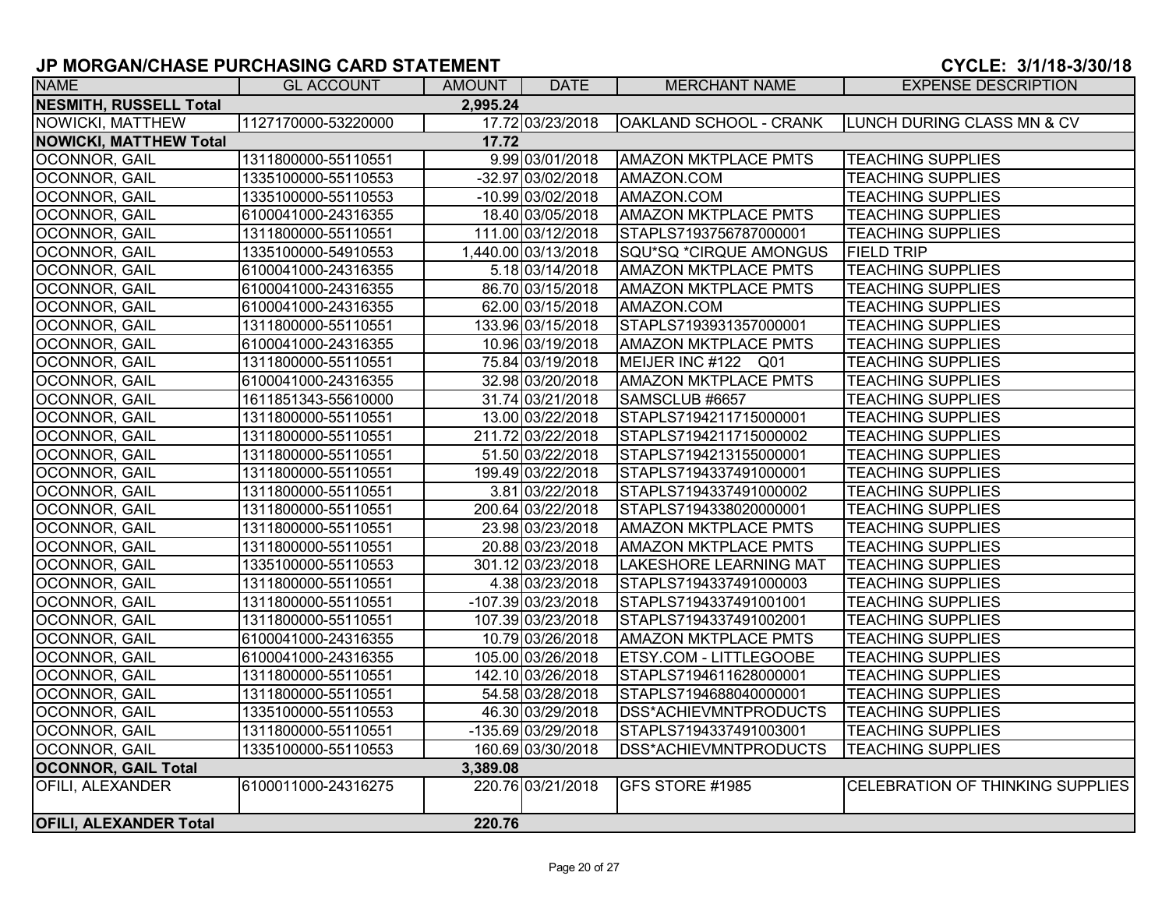| <b>NAME</b>                   | <b>GL ACCOUNT</b>   | AMOUNT   | <b>DATE</b>         | <b>MERCHANT NAME</b>          | <b>EXPENSE DESCRIPTION</b>       |
|-------------------------------|---------------------|----------|---------------------|-------------------------------|----------------------------------|
| <b>NESMITH, RUSSELL Total</b> |                     | 2,995.24 |                     |                               |                                  |
| NOWICKI, MATTHEW              | 1127170000-53220000 |          | 17.72 03/23/2018    | OAKLAND SCHOOL - CRANK        | LUNCH DURING CLASS MN & CV       |
| <b>NOWICKI, MATTHEW Total</b> |                     | 17.72    |                     |                               |                                  |
| <b>OCONNOR, GAIL</b>          | 1311800000-55110551 |          | 9.99 03/01/2018     | <b>AMAZON MKTPLACE PMTS</b>   | <b>TEACHING SUPPLIES</b>         |
| OCONNOR, GAIL                 | 1335100000-55110553 |          | -32.97 03/02/2018   | AMAZON.COM                    | <b>TEACHING SUPPLIES</b>         |
| OCONNOR, GAIL                 | 1335100000-55110553 |          | -10.99 03/02/2018   | AMAZON.COM                    | <b>TEACHING SUPPLIES</b>         |
| OCONNOR, GAIL                 | 6100041000-24316355 |          | 18.40 03/05/2018    | <b>AMAZON MKTPLACE PMTS</b>   | <b>TEACHING SUPPLIES</b>         |
| OCONNOR, GAIL                 | 1311800000-55110551 |          | 111.00 03/12/2018   | STAPLS7193756787000001        | <b>TEACHING SUPPLIES</b>         |
| <b>OCONNOR, GAIL</b>          | 1335100000-54910553 |          | 1,440.00 03/13/2018 | SQU*SQ *CIRQUE AMONGUS        | <b>FIELD TRIP</b>                |
| OCONNOR, GAIL                 | 6100041000-24316355 |          | 5.18 03/14/2018     | <b>AMAZON MKTPLACE PMTS</b>   | <b>TEACHING SUPPLIES</b>         |
| OCONNOR, GAIL                 | 6100041000-24316355 |          | 86.70 03/15/2018    | <b>AMAZON MKTPLACE PMTS</b>   | <b>TEACHING SUPPLIES</b>         |
| OCONNOR, GAIL                 | 6100041000-24316355 |          | 62.00 03/15/2018    | AMAZON.COM                    | <b>TEACHING SUPPLIES</b>         |
| OCONNOR, GAIL                 | 1311800000-55110551 |          | 133.96 03/15/2018   | STAPLS7193931357000001        | <b>TEACHING SUPPLIES</b>         |
| <b>OCONNOR, GAIL</b>          | 6100041000-24316355 |          | 10.96 03/19/2018    | <b>AMAZON MKTPLACE PMTS</b>   | <b>TEACHING SUPPLIES</b>         |
| <b>OCONNOR, GAIL</b>          | 1311800000-55110551 |          | 75.84 03/19/2018    | MEIJER INC #122 Q01           | <b>TEACHING SUPPLIES</b>         |
| OCONNOR, GAIL                 | 6100041000-24316355 |          | 32.98 03/20/2018    | <b>AMAZON MKTPLACE PMTS</b>   | <b>TEACHING SUPPLIES</b>         |
| OCONNOR, GAIL                 | 1611851343-55610000 |          | 31.74 03/21/2018    | SAMSCLUB #6657                | <b>TEACHING SUPPLIES</b>         |
| OCONNOR, GAIL                 | 1311800000-55110551 |          | 13.00 03/22/2018    | STAPLS7194211715000001        | <b>TEACHING SUPPLIES</b>         |
| OCONNOR, GAIL                 | 1311800000-55110551 |          | 211.72 03/22/2018   | STAPLS7194211715000002        | <b>TEACHING SUPPLIES</b>         |
| <b>OCONNOR, GAIL</b>          | 1311800000-55110551 |          | 51.50 03/22/2018    | STAPLS7194213155000001        | <b>TEACHING SUPPLIES</b>         |
| <b>OCONNOR, GAIL</b>          | 1311800000-55110551 |          | 199.49 03/22/2018   | STAPLS7194337491000001        | <b>TEACHING SUPPLIES</b>         |
| OCONNOR, GAIL                 | 1311800000-55110551 |          | 3.81 03/22/2018     | STAPLS7194337491000002        | <b>TEACHING SUPPLIES</b>         |
| OCONNOR, GAIL                 | 1311800000-55110551 |          | 200.64 03/22/2018   | STAPLS7194338020000001        | <b>TEACHING SUPPLIES</b>         |
| <b>OCONNOR, GAIL</b>          | 1311800000-55110551 |          | 23.98 03/23/2018    | <b>AMAZON MKTPLACE PMTS</b>   | <b>TEACHING SUPPLIES</b>         |
| OCONNOR, GAIL                 | 1311800000-55110551 |          | 20.88 03/23/2018    | <b>AMAZON MKTPLACE PMTS</b>   | <b>TEACHING SUPPLIES</b>         |
| OCONNOR, GAIL                 | 1335100000-55110553 |          | 301.12 03/23/2018   | <b>LAKESHORE LEARNING MAT</b> | <b>TEACHING SUPPLIES</b>         |
| <b>OCONNOR, GAIL</b>          | 1311800000-55110551 |          | 4.38 03/23/2018     | STAPLS7194337491000003        | <b>TEACHING SUPPLIES</b>         |
| OCONNOR, GAIL                 | 1311800000-55110551 |          | -107.39 03/23/2018  | STAPLS7194337491001001        | <b>TEACHING SUPPLIES</b>         |
| OCONNOR, GAIL                 | 1311800000-55110551 |          | 107.39 03/23/2018   | STAPLS7194337491002001        | <b>TEACHING SUPPLIES</b>         |
| OCONNOR, GAIL                 | 6100041000-24316355 |          | 10.79 03/26/2018    | <b>AMAZON MKTPLACE PMTS</b>   | <b>TEACHING SUPPLIES</b>         |
| <b>OCONNOR, GAIL</b>          | 6100041000-24316355 |          | 105.00 03/26/2018   | <b>ETSY.COM - LITTLEGOOBE</b> | <b>TEACHING SUPPLIES</b>         |
| <b>OCONNOR, GAIL</b>          | 1311800000-55110551 |          | 142.10 03/26/2018   | STAPLS7194611628000001        | <b>TEACHING SUPPLIES</b>         |
| OCONNOR, GAIL                 | 1311800000-55110551 |          | 54.58 03/28/2018    | STAPLS7194688040000001        | <b>TEACHING SUPPLIES</b>         |
| OCONNOR, GAIL                 | 1335100000-55110553 |          | 46.30 03/29/2018    | DSS*ACHIEVMNTPRODUCTS         | <b>TEACHING SUPPLIES</b>         |
| OCONNOR, GAIL                 | 1311800000-55110551 |          | -135.69 03/29/2018  | STAPLS7194337491003001        | <b>TEACHING SUPPLIES</b>         |
| OCONNOR, GAIL                 | 1335100000-55110553 |          | 160.69 03/30/2018   | DSS*ACHIEVMNTPRODUCTS         | <b>TEACHING SUPPLIES</b>         |
| <b>OCONNOR, GAIL Total</b>    |                     | 3,389.08 |                     |                               |                                  |
| <b>OFILI, ALEXANDER</b>       | 6100011000-24316275 |          | 220.76 03/21/2018   | <b>GFS STORE #1985</b>        | CELEBRATION OF THINKING SUPPLIES |
| <b>OFILI, ALEXANDER Total</b> |                     | 220.76   |                     |                               |                                  |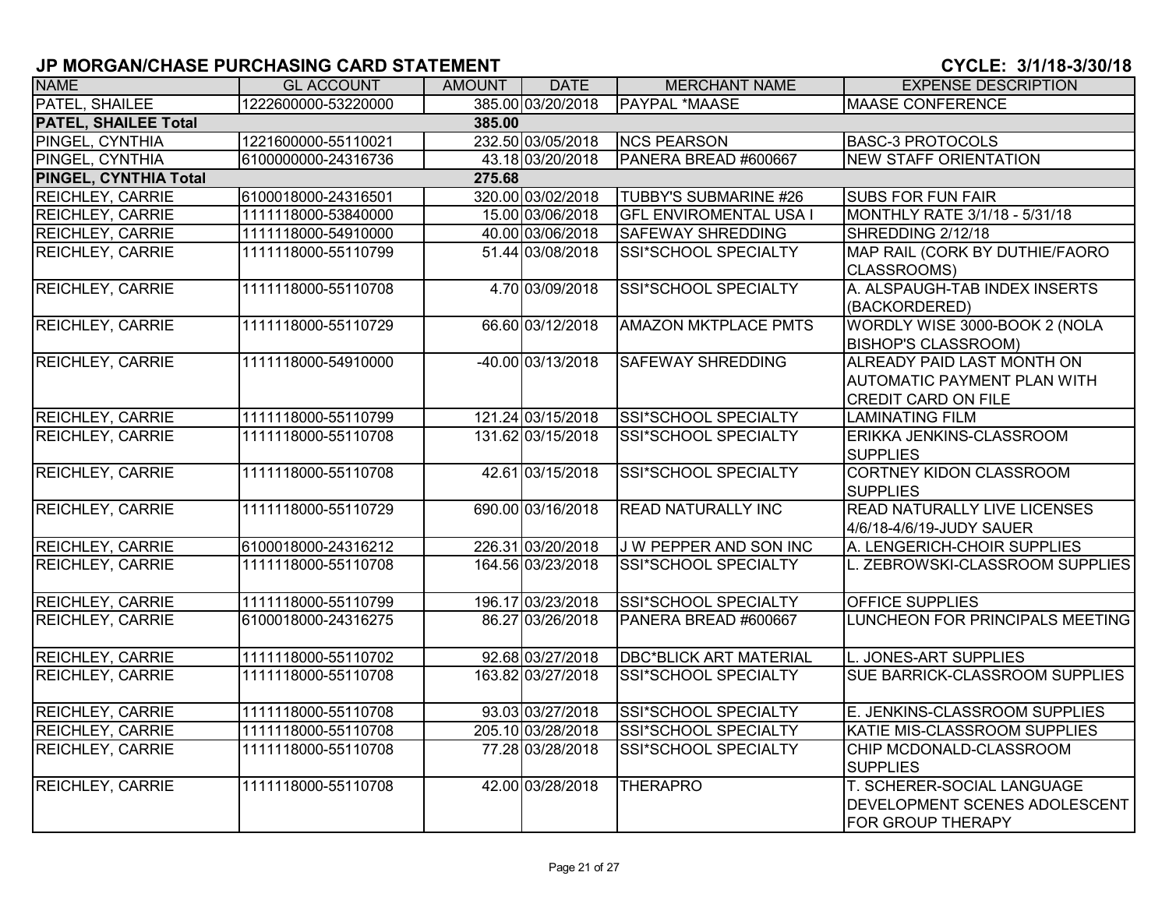| <b>NAME</b>                           | <b>GL ACCOUNT</b>   | <b>AMOUNT</b> | <b>DATE</b>       | <b>MERCHANT NAME</b>          | <b>EXPENSE DESCRIPTION</b>                                                                            |  |  |  |  |  |
|---------------------------------------|---------------------|---------------|-------------------|-------------------------------|-------------------------------------------------------------------------------------------------------|--|--|--|--|--|
| PATEL, SHAILEE                        | 1222600000-53220000 |               | 385.00 03/20/2018 | <b>PAYPAL *MAASE</b>          | <b>MAASE CONFERENCE</b>                                                                               |  |  |  |  |  |
| <b>PATEL, SHAILEE Total</b><br>385.00 |                     |               |                   |                               |                                                                                                       |  |  |  |  |  |
| PINGEL, CYNTHIA                       | 1221600000-55110021 |               | 232.50 03/05/2018 | <b>NCS PEARSON</b>            | <b>BASC-3 PROTOCOLS</b>                                                                               |  |  |  |  |  |
| PINGEL, CYNTHIA                       | 6100000000-24316736 |               | 43.18 03/20/2018  | PANERA BREAD #600667          | <b>NEW STAFF ORIENTATION</b>                                                                          |  |  |  |  |  |
| PINGEL, CYNTHIA Total                 | 275.68              |               |                   |                               |                                                                                                       |  |  |  |  |  |
| <b>REICHLEY, CARRIE</b>               | 6100018000-24316501 |               | 320.00 03/02/2018 | <b>TUBBY'S SUBMARINE #26</b>  | <b>SUBS FOR FUN FAIR</b>                                                                              |  |  |  |  |  |
| REICHLEY, CARRIE                      | 1111118000-53840000 |               | 15.00 03/06/2018  | <b>GFL ENVIROMENTAL USA I</b> | MONTHLY RATE 3/1/18 - 5/31/18                                                                         |  |  |  |  |  |
| <b>REICHLEY, CARRIE</b>               | 1111118000-54910000 |               | 40.00 03/06/2018  | <b>SAFEWAY SHREDDING</b>      | SHREDDING 2/12/18                                                                                     |  |  |  |  |  |
| <b>REICHLEY, CARRIE</b>               | 1111118000-55110799 |               | 51.44 03/08/2018  | SSI*SCHOOL SPECIALTY          | MAP RAIL (CORK BY DUTHIE/FAORO<br>CLASSROOMS)                                                         |  |  |  |  |  |
| <b>REICHLEY, CARRIE</b>               | 1111118000-55110708 |               | 4.70 03/09/2018   | <b>SSI*SCHOOL SPECIALTY</b>   | A. ALSPAUGH-TAB INDEX INSERTS<br>(BACKORDERED)                                                        |  |  |  |  |  |
| <b>REICHLEY, CARRIE</b>               | 1111118000-55110729 |               | 66.60 03/12/2018  | <b>AMAZON MKTPLACE PMTS</b>   | WORDLY WISE 3000-BOOK 2 (NOLA<br><b>BISHOP'S CLASSROOM)</b>                                           |  |  |  |  |  |
| <b>REICHLEY, CARRIE</b>               | 1111118000-54910000 |               | -40.00 03/13/2018 | <b>SAFEWAY SHREDDING</b>      | <b>ALREADY PAID LAST MONTH ON</b><br><b>AUTOMATIC PAYMENT PLAN WITH</b><br><b>CREDIT CARD ON FILE</b> |  |  |  |  |  |
| <b>REICHLEY, CARRIE</b>               | 1111118000-55110799 |               | 121.24 03/15/2018 | SSI*SCHOOL SPECIALTY          | <b>LAMINATING FILM</b>                                                                                |  |  |  |  |  |
| <b>REICHLEY, CARRIE</b>               | 1111118000-55110708 |               | 131.62 03/15/2018 | <b>SSI*SCHOOL SPECIALTY</b>   | ERIKKA JENKINS-CLASSROOM<br><b>SUPPLIES</b>                                                           |  |  |  |  |  |
| <b>REICHLEY, CARRIE</b>               | 1111118000-55110708 |               | 42.61 03/15/2018  | <b>SSI*SCHOOL SPECIALTY</b>   | <b>CORTNEY KIDON CLASSROOM</b><br><b>SUPPLIES</b>                                                     |  |  |  |  |  |
| <b>REICHLEY, CARRIE</b>               | 1111118000-55110729 |               | 690.00 03/16/2018 | <b>READ NATURALLY INC</b>     | <b>READ NATURALLY LIVE LICENSES</b><br>4/6/18-4/6/19-JUDY SAUER                                       |  |  |  |  |  |
| <b>REICHLEY, CARRIE</b>               | 6100018000-24316212 |               | 226.31 03/20/2018 | J W PEPPER AND SON INC        | A. LENGERICH-CHOIR SUPPLIES                                                                           |  |  |  |  |  |
| <b>REICHLEY, CARRIE</b>               | 1111118000-55110708 |               | 164.56 03/23/2018 | <b>SSI*SCHOOL SPECIALTY</b>   | L. ZEBROWSKI-CLASSROOM SUPPLIES                                                                       |  |  |  |  |  |
| <b>REICHLEY, CARRIE</b>               | 1111118000-55110799 |               | 196.17 03/23/2018 | SSI*SCHOOL SPECIALTY          | <b>OFFICE SUPPLIES</b>                                                                                |  |  |  |  |  |
| <b>REICHLEY, CARRIE</b>               | 6100018000-24316275 |               | 86.27 03/26/2018  | PANERA BREAD #600667          | LUNCHEON FOR PRINCIPALS MEETING                                                                       |  |  |  |  |  |
| <b>REICHLEY, CARRIE</b>               | 1111118000-55110702 |               | 92.68 03/27/2018  | <b>DBC*BLICK ART MATERIAL</b> | L. JONES-ART SUPPLIES                                                                                 |  |  |  |  |  |
| <b>REICHLEY, CARRIE</b>               | 1111118000-55110708 |               | 163.82 03/27/2018 | <b>SSI*SCHOOL SPECIALTY</b>   | SUE BARRICK-CLASSROOM SUPPLIES                                                                        |  |  |  |  |  |
| <b>REICHLEY, CARRIE</b>               | 1111118000-55110708 |               | 93.03 03/27/2018  | SSI*SCHOOL SPECIALTY          | E. JENKINS-CLASSROOM SUPPLIES                                                                         |  |  |  |  |  |
| <b>REICHLEY, CARRIE</b>               | 1111118000-55110708 |               | 205.10 03/28/2018 | SSI*SCHOOL SPECIALTY          | KATIE MIS-CLASSROOM SUPPLIES                                                                          |  |  |  |  |  |
| <b>REICHLEY, CARRIE</b>               | 1111118000-55110708 |               | 77.28 03/28/2018  | SSI*SCHOOL SPECIALTY          | CHIP MCDONALD-CLASSROOM<br><b>SUPPLIES</b>                                                            |  |  |  |  |  |
| <b>REICHLEY, CARRIE</b>               | 1111118000-55110708 |               | 42.00 03/28/2018  | <b>THERAPRO</b>               | T. SCHERER-SOCIAL LANGUAGE<br>DEVELOPMENT SCENES ADOLESCENT<br>FOR GROUP THERAPY                      |  |  |  |  |  |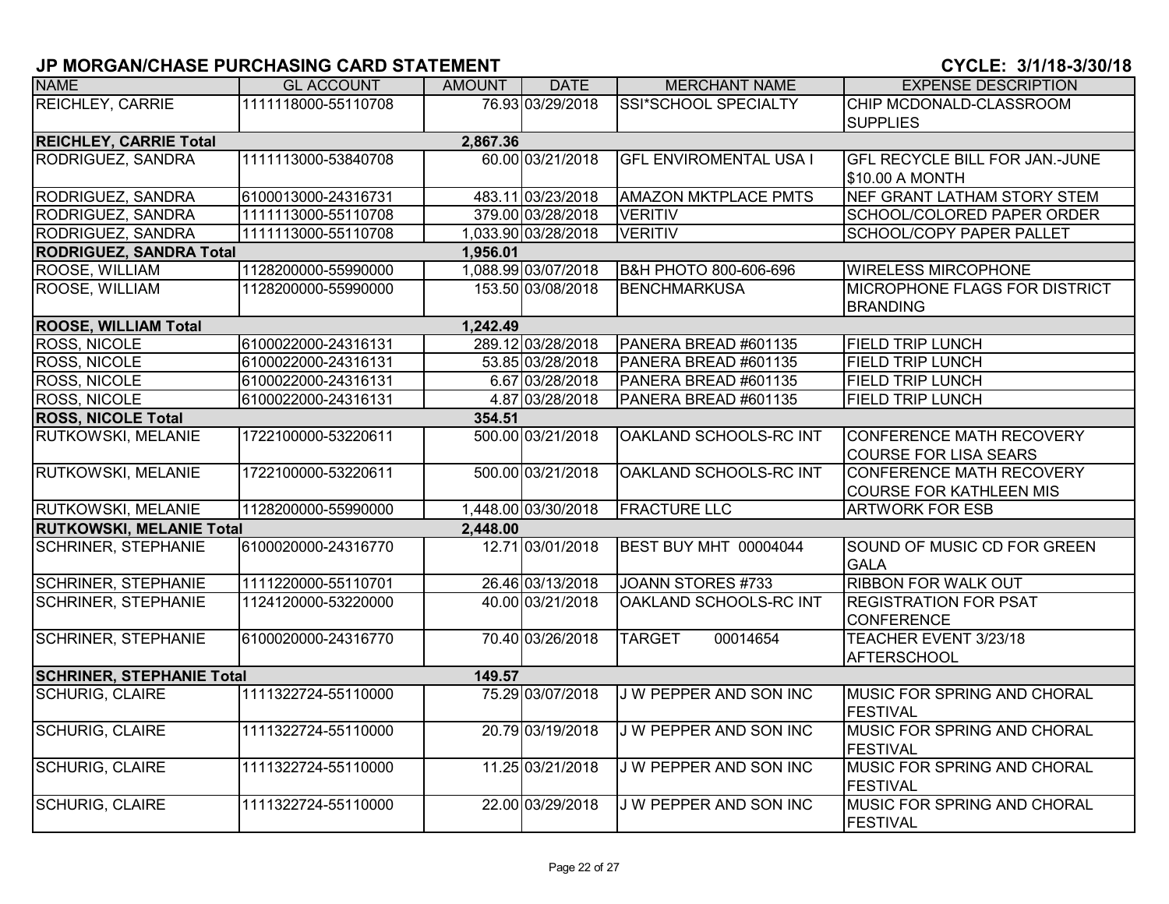| <b>NAME</b>                               | <b>GL ACCOUNT</b>   | <b>AMOUNT</b> | <b>DATE</b>         | <b>MERCHANT NAME</b>          | <b>EXPENSE DESCRIPTION</b>            |  |  |  |
|-------------------------------------------|---------------------|---------------|---------------------|-------------------------------|---------------------------------------|--|--|--|
| REICHLEY, CARRIE                          | 1111118000-55110708 |               | 76.93 03/29/2018    | <b>SSI*SCHOOL SPECIALTY</b>   | CHIP MCDONALD-CLASSROOM               |  |  |  |
|                                           |                     |               |                     |                               | <b>SUPPLIES</b>                       |  |  |  |
| <b>REICHLEY, CARRIE Total</b><br>2,867.36 |                     |               |                     |                               |                                       |  |  |  |
| RODRIGUEZ, SANDRA                         | 1111113000-53840708 |               | 60.00 03/21/2018    | <b>GFL ENVIROMENTAL USA I</b> | <b>GFL RECYCLE BILL FOR JAN.-JUNE</b> |  |  |  |
|                                           |                     |               |                     |                               | \$10.00 A MONTH                       |  |  |  |
| RODRIGUEZ, SANDRA                         | 6100013000-24316731 |               | 483.11 03/23/2018   | <b>AMAZON MKTPLACE PMTS</b>   | NEF GRANT LATHAM STORY STEM           |  |  |  |
| RODRIGUEZ, SANDRA                         | 1111113000-55110708 |               | 379.00 03/28/2018   | <b>VERITIV</b>                | SCHOOL/COLORED PAPER ORDER            |  |  |  |
| RODRIGUEZ, SANDRA                         | 1111113000-55110708 |               | 1,033.90 03/28/2018 | <b>VERITIV</b>                | <b>SCHOOL/COPY PAPER PALLET</b>       |  |  |  |
| <b>RODRIGUEZ, SANDRA Total</b>            |                     | 1,956.01      |                     |                               |                                       |  |  |  |
| ROOSE, WILLIAM                            | 1128200000-55990000 |               | 1,088.99 03/07/2018 | B&H PHOTO 800-606-696         | <b>WIRELESS MIRCOPHONE</b>            |  |  |  |
| ROOSE, WILLIAM                            | 1128200000-55990000 |               | 153.50 03/08/2018   | <b>BENCHMARKUSA</b>           | <b>MICROPHONE FLAGS FOR DISTRICT</b>  |  |  |  |
|                                           |                     |               |                     |                               | <b>BRANDING</b>                       |  |  |  |
| <b>ROOSE, WILLIAM Total</b>               |                     | 1,242.49      |                     |                               |                                       |  |  |  |
| <b>ROSS, NICOLE</b>                       | 6100022000-24316131 |               | 289.12 03/28/2018   | PANERA BREAD #601135          | <b>FIELD TRIP LUNCH</b>               |  |  |  |
| ROSS, NICOLE                              | 6100022000-24316131 |               | 53.85 03/28/2018    | PANERA BREAD #601135          | <b>FIELD TRIP LUNCH</b>               |  |  |  |
| ROSS, NICOLE                              | 6100022000-24316131 |               | 6.67 03/28/2018     | PANERA BREAD #601135          | <b>FIELD TRIP LUNCH</b>               |  |  |  |
| ROSS, NICOLE                              | 6100022000-24316131 |               | 4.87 03/28/2018     | PANERA BREAD #601135          | <b>FIELD TRIP LUNCH</b>               |  |  |  |
| <b>ROSS, NICOLE Total</b>                 |                     | 354.51        |                     |                               |                                       |  |  |  |
| RUTKOWSKI, MELANIE                        | 1722100000-53220611 |               | 500.00 03/21/2018   | <b>OAKLAND SCHOOLS-RC INT</b> | <b>CONFERENCE MATH RECOVERY</b>       |  |  |  |
|                                           |                     |               |                     |                               | <b>COURSE FOR LISA SEARS</b>          |  |  |  |
| RUTKOWSKI, MELANIE                        | 1722100000-53220611 |               | 500.00 03/21/2018   | OAKLAND SCHOOLS-RC INT        | <b>CONFERENCE MATH RECOVERY</b>       |  |  |  |
|                                           |                     |               |                     |                               | <b>COURSE FOR KATHLEEN MIS</b>        |  |  |  |
| RUTKOWSKI, MELANIE                        | 1128200000-55990000 |               | 1,448.00 03/30/2018 | <b>FRACTURE LLC</b>           | <b>ARTWORK FOR ESB</b>                |  |  |  |
| <b>RUTKOWSKI, MELANIE Total</b>           |                     | 2,448.00      |                     |                               |                                       |  |  |  |
| <b>SCHRINER, STEPHANIE</b>                | 6100020000-24316770 |               | 12.71 03/01/2018    | BEST BUY MHT 00004044         | SOUND OF MUSIC CD FOR GREEN           |  |  |  |
|                                           |                     |               |                     |                               | <b>GALA</b>                           |  |  |  |
| <b>SCHRINER, STEPHANIE</b>                | 1111220000-55110701 |               | 26.46 03/13/2018    | JOANN STORES #733             | <b>RIBBON FOR WALK OUT</b>            |  |  |  |
| <b>SCHRINER, STEPHANIE</b>                | 1124120000-53220000 |               | 40.00 03/21/2018    | OAKLAND SCHOOLS-RC INT        | <b>REGISTRATION FOR PSAT</b>          |  |  |  |
|                                           |                     |               |                     |                               | <b>CONFERENCE</b>                     |  |  |  |
| <b>SCHRINER, STEPHANIE</b>                | 6100020000-24316770 |               | 70.40 03/26/2018    | 00014654<br><b>TARGET</b>     | TEACHER EVENT 3/23/18                 |  |  |  |
|                                           |                     |               |                     |                               | <b>AFTERSCHOOL</b>                    |  |  |  |
| <b>SCHRINER, STEPHANIE Total</b>          |                     | 149.57        |                     |                               |                                       |  |  |  |
| <b>SCHURIG, CLAIRE</b>                    | 1111322724-55110000 |               | 75.29 03/07/2018    | J W PEPPER AND SON INC        | <b>MUSIC FOR SPRING AND CHORAL</b>    |  |  |  |
|                                           |                     |               |                     |                               | <b>FESTIVAL</b>                       |  |  |  |
| <b>SCHURIG, CLAIRE</b>                    | 1111322724-55110000 |               | 20.79 03/19/2018    | J W PEPPER AND SON INC        | MUSIC FOR SPRING AND CHORAL           |  |  |  |
|                                           |                     |               |                     |                               | <b>FESTIVAL</b>                       |  |  |  |
| <b>SCHURIG, CLAIRE</b>                    | 1111322724-55110000 |               | 11.25 03/21/2018    | J W PEPPER AND SON INC        | MUSIC FOR SPRING AND CHORAL           |  |  |  |
|                                           |                     |               |                     |                               | FESTIVAL                              |  |  |  |
| <b>SCHURIG, CLAIRE</b>                    | 1111322724-55110000 |               | 22.00 03/29/2018    | J W PEPPER AND SON INC        | MUSIC FOR SPRING AND CHORAL           |  |  |  |
|                                           |                     |               |                     |                               | <b>FESTIVAL</b>                       |  |  |  |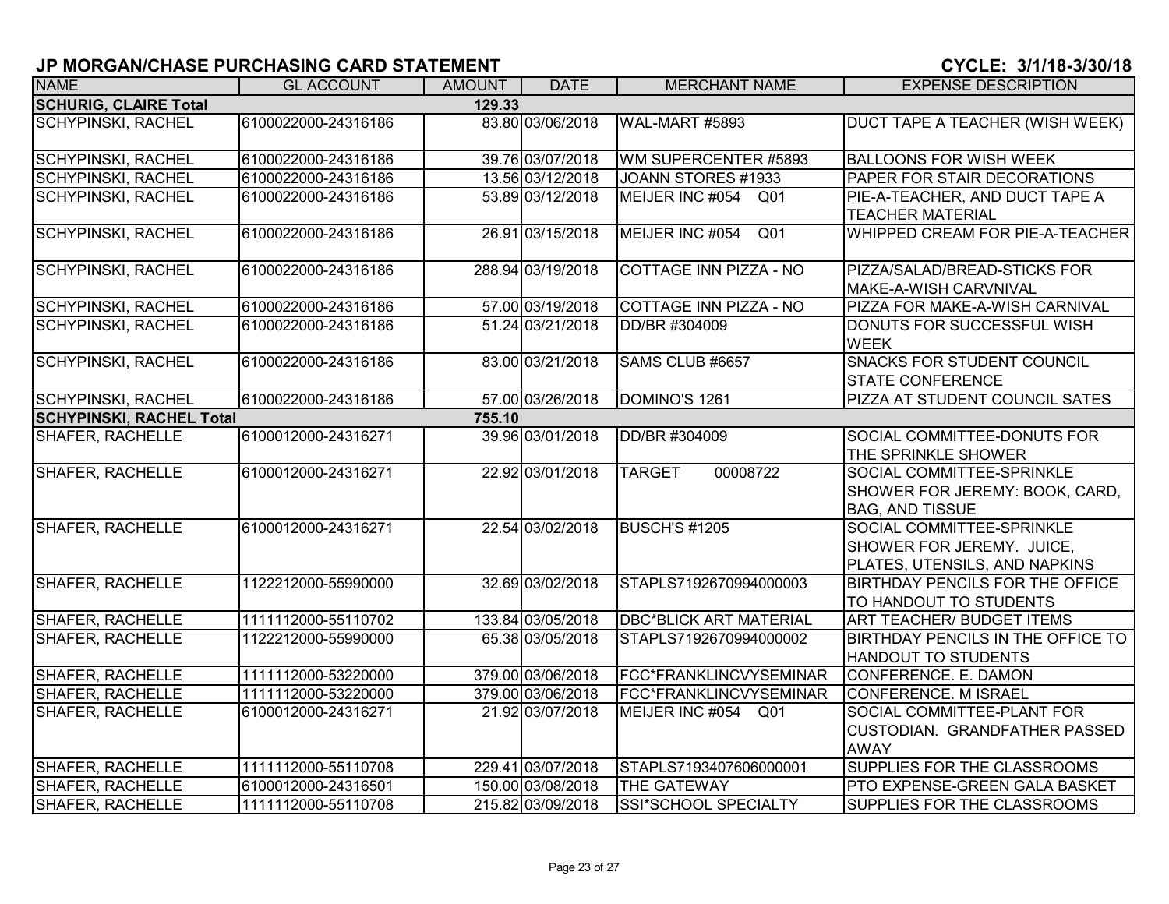| <b>NAME</b>                     | <b>GL ACCOUNT</b>   | <b>AMOUNT</b> | <b>DATE</b>       | <b>MERCHANT NAME</b>               | <b>EXPENSE DESCRIPTION</b>                                                              |
|---------------------------------|---------------------|---------------|-------------------|------------------------------------|-----------------------------------------------------------------------------------------|
| <b>SCHURIG, CLAIRE Total</b>    |                     | 129.33        |                   |                                    |                                                                                         |
| <b>SCHYPINSKI, RACHEL</b>       | 6100022000-24316186 |               | 83.80 03/06/2018  | WAL-MART #5893                     | DUCT TAPE A TEACHER (WISH WEEK)                                                         |
| <b>SCHYPINSKI, RACHEL</b>       | 6100022000-24316186 |               | 39.76 03/07/2018  | WM SUPERCENTER #5893               | <b>BALLOONS FOR WISH WEEK</b>                                                           |
| <b>SCHYPINSKI, RACHEL</b>       | 6100022000-24316186 |               | 13.56 03/12/2018  | JOANN STORES #1933                 | PAPER FOR STAIR DECORATIONS                                                             |
| <b>SCHYPINSKI, RACHEL</b>       | 6100022000-24316186 |               | 53.89 03/12/2018  | MEIJER INC #054<br>Q01             | PIE-A-TEACHER, AND DUCT TAPE A<br><b>TEACHER MATERIAL</b>                               |
| <b>SCHYPINSKI, RACHEL</b>       | 6100022000-24316186 |               | 26.91 03/15/2018  | MEIJER INC #054<br>Q <sub>01</sub> | WHIPPED CREAM FOR PIE-A-TEACHER                                                         |
| <b>SCHYPINSKI, RACHEL</b>       | 6100022000-24316186 |               | 288.94 03/19/2018 | COTTAGE INN PIZZA - NO             | PIZZA/SALAD/BREAD-STICKS FOR<br>MAKE-A-WISH CARVNIVAL                                   |
| <b>SCHYPINSKI, RACHEL</b>       | 6100022000-24316186 |               | 57.00 03/19/2018  | <b>COTTAGE INN PIZZA - NO</b>      | PIZZA FOR MAKE-A-WISH CARNIVAL                                                          |
| SCHYPINSKI, RACHEL              | 6100022000-24316186 |               | 51.24 03/21/2018  | DD/BR #304009                      | DONUTS FOR SUCCESSFUL WISH<br><b>WEEK</b>                                               |
| <b>SCHYPINSKI, RACHEL</b>       | 6100022000-24316186 |               | 83.00 03/21/2018  | SAMS CLUB #6657                    | <b>SNACKS FOR STUDENT COUNCIL</b><br>STATE CONFERENCE                                   |
| <b>SCHYPINSKI, RACHEL</b>       | 6100022000-24316186 |               | 57.00 03/26/2018  | DOMINO'S 1261                      | PIZZA AT STUDENT COUNCIL SATES                                                          |
| <b>SCHYPINSKI, RACHEL Total</b> |                     | 755.10        |                   |                                    |                                                                                         |
| SHAFER, RACHELLE                | 6100012000-24316271 |               | 39.96 03/01/2018  | DD/BR #304009                      | SOCIAL COMMITTEE-DONUTS FOR<br>THE SPRINKLE SHOWER                                      |
| <b>SHAFER, RACHELLE</b>         | 6100012000-24316271 |               | 22.92 03/01/2018  | 00008722<br><b>TARGET</b>          | SOCIAL COMMITTEE-SPRINKLE<br>SHOWER FOR JEREMY: BOOK, CARD,<br><b>BAG, AND TISSUE</b>   |
| SHAFER, RACHELLE                | 6100012000-24316271 |               | 22.54 03/02/2018  | <b>BUSCH'S #1205</b>               | SOCIAL COMMITTEE-SPRINKLE<br>SHOWER FOR JEREMY. JUICE,<br>PLATES, UTENSILS, AND NAPKINS |
| <b>SHAFER, RACHELLE</b>         | 1122212000-55990000 |               | 32.69 03/02/2018  | STAPLS7192670994000003             | <b>BIRTHDAY PENCILS FOR THE OFFICE</b><br>TO HANDOUT TO STUDENTS                        |
| <b>SHAFER, RACHELLE</b>         | 1111112000-55110702 |               | 133.84 03/05/2018 | <b>DBC*BLICK ART MATERIAL</b>      | ART TEACHER/ BUDGET ITEMS                                                               |
| <b>SHAFER, RACHELLE</b>         | 1122212000-55990000 |               | 65.38 03/05/2018  | STAPLS7192670994000002             | BIRTHDAY PENCILS IN THE OFFICE TO<br>HANDOUT TO STUDENTS                                |
| <b>SHAFER, RACHELLE</b>         | 1111112000-53220000 |               | 379.00 03/06/2018 | FCC*FRANKLINCVYSEMINAR             | CONFERENCE. E. DAMON                                                                    |
| <b>SHAFER, RACHELLE</b>         | 1111112000-53220000 |               | 379.00 03/06/2018 | FCC*FRANKLINCVYSEMINAR             | <b>CONFERENCE. M ISRAEL</b>                                                             |
| <b>SHAFER, RACHELLE</b>         | 6100012000-24316271 |               | 21.92 03/07/2018  | MEIJER INC #054 Q01                | SOCIAL COMMITTEE-PLANT FOR<br><b>CUSTODIAN. GRANDFATHER PASSED</b><br><b>AWAY</b>       |
| <b>SHAFER, RACHELLE</b>         | 1111112000-55110708 |               | 229.41 03/07/2018 | STAPLS7193407606000001             | SUPPLIES FOR THE CLASSROOMS                                                             |
| <b>SHAFER, RACHELLE</b>         | 6100012000-24316501 |               | 150.00 03/08/2018 | <b>THE GATEWAY</b>                 | PTO EXPENSE-GREEN GALA BASKET                                                           |
| <b>SHAFER, RACHELLE</b>         | 1111112000-55110708 |               | 215.82 03/09/2018 | SSI*SCHOOL SPECIALTY               | SUPPLIES FOR THE CLASSROOMS                                                             |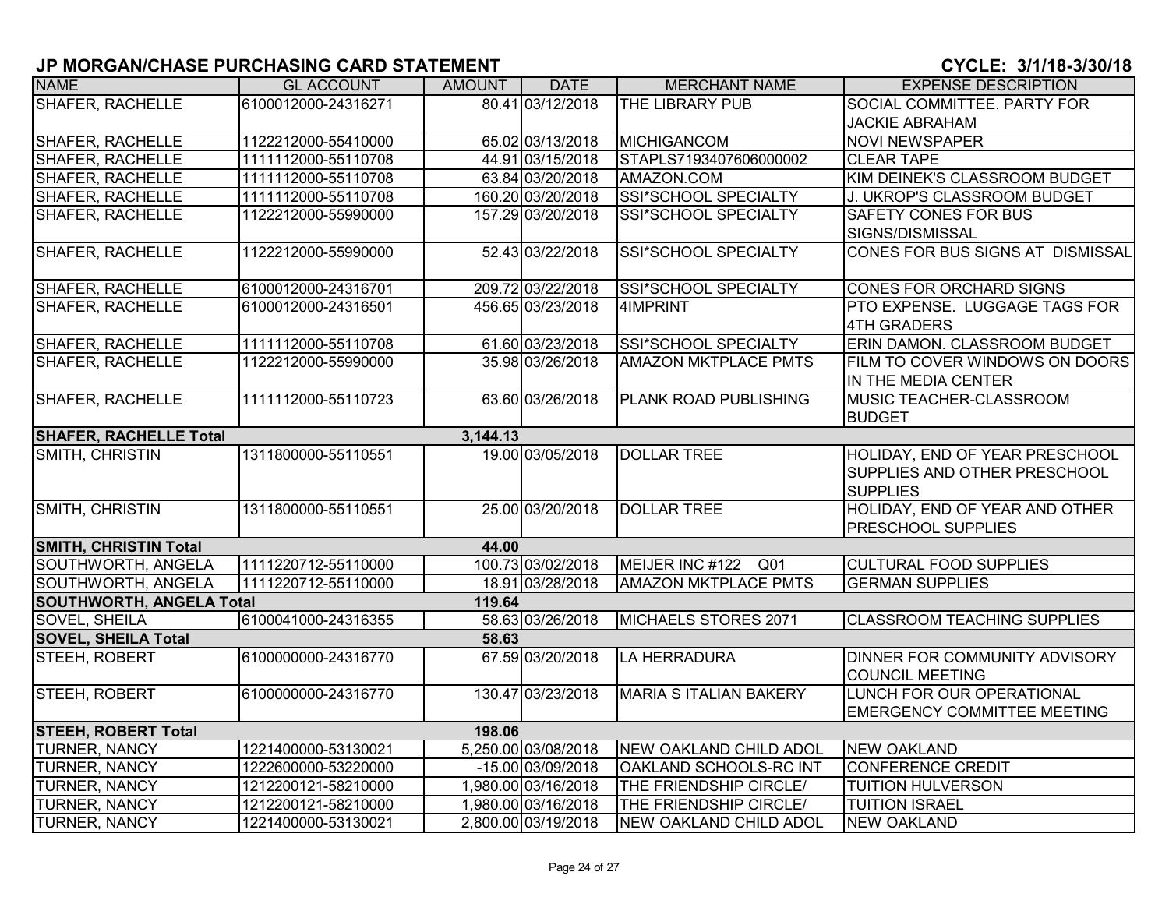| <b>NAME</b>                     | <b>GL ACCOUNT</b>   | AMOUNT   | <b>DATE</b>         | <b>MERCHANT NAME</b>          | <b>EXPENSE DESCRIPTION</b>                                                        |
|---------------------------------|---------------------|----------|---------------------|-------------------------------|-----------------------------------------------------------------------------------|
| <b>SHAFER, RACHELLE</b>         | 6100012000-24316271 |          | 80.41 03/12/2018    | <b>THE LIBRARY PUB</b>        | SOCIAL COMMITTEE. PARTY FOR                                                       |
|                                 |                     |          |                     |                               | <b>JACKIE ABRAHAM</b>                                                             |
| <b>SHAFER, RACHELLE</b>         | 1122212000-55410000 |          | 65.02 03/13/2018    | <b>MICHIGANCOM</b>            | <b>NOVI NEWSPAPER</b>                                                             |
| <b>SHAFER, RACHELLE</b>         | 1111112000-55110708 |          | 44.91 03/15/2018    | STAPLS7193407606000002        | <b>CLEAR TAPE</b>                                                                 |
| SHAFER, RACHELLE                | 1111112000-55110708 |          | 63.84 03/20/2018    | AMAZON.COM                    | KIM DEINEK'S CLASSROOM BUDGET                                                     |
| SHAFER, RACHELLE                | 1111112000-55110708 |          | 160.20 03/20/2018   | SSI*SCHOOL SPECIALTY          | J. UKROP'S CLASSROOM BUDGET                                                       |
| SHAFER, RACHELLE                | 1122212000-55990000 |          | 157.29 03/20/2018   | SSI*SCHOOL SPECIALTY          | <b>SAFETY CONES FOR BUS</b><br>SIGNS/DISMISSAL                                    |
| SHAFER, RACHELLE                | 1122212000-55990000 |          | 52.43 03/22/2018    | SSI*SCHOOL SPECIALTY          | CONES FOR BUS SIGNS AT DISMISSAL                                                  |
| SHAFER, RACHELLE                | 6100012000-24316701 |          | 209.72 03/22/2018   | SSI*SCHOOL SPECIALTY          | CONES FOR ORCHARD SIGNS                                                           |
| <b>SHAFER, RACHELLE</b>         | 6100012000-24316501 |          | 456.65 03/23/2018   | 4IMPRINT                      | PTO EXPENSE. LUGGAGE TAGS FOR<br>4TH GRADERS                                      |
| <b>SHAFER, RACHELLE</b>         | 1111112000-55110708 |          | 61.60 03/23/2018    | SSI*SCHOOL SPECIALTY          | ERIN DAMON. CLASSROOM BUDGET                                                      |
| <b>SHAFER, RACHELLE</b>         | 1122212000-55990000 |          | 35.98 03/26/2018    | <b>AMAZON MKTPLACE PMTS</b>   | FILM TO COVER WINDOWS ON DOORS<br>IN THE MEDIA CENTER                             |
| <b>SHAFER, RACHELLE</b>         | 1111112000-55110723 |          | 63.60 03/26/2018    | <b>PLANK ROAD PUBLISHING</b>  | <b>MUSIC TEACHER-CLASSROOM</b><br><b>BUDGET</b>                                   |
| <b>SHAFER, RACHELLE Total</b>   |                     | 3,144.13 |                     |                               |                                                                                   |
| SMITH, CHRISTIN                 | 1311800000-55110551 |          | 19.00 03/05/2018    | <b>DOLLAR TREE</b>            | HOLIDAY, END OF YEAR PRESCHOOL<br>SUPPLIES AND OTHER PRESCHOOL<br><b>SUPPLIES</b> |
| SMITH, CHRISTIN                 | 1311800000-55110551 |          | 25.00 03/20/2018    | <b>DOLLAR TREE</b>            | HOLIDAY, END OF YEAR AND OTHER<br><b>PRESCHOOL SUPPLIES</b>                       |
| <b>SMITH, CHRISTIN Total</b>    |                     | 44.00    |                     |                               |                                                                                   |
| SOUTHWORTH, ANGELA              | 1111220712-55110000 |          | 100.73 03/02/2018   | MEIJER INC #122<br>Q01        | <b>CULTURAL FOOD SUPPLIES</b>                                                     |
| SOUTHWORTH, ANGELA              | 1111220712-55110000 |          | 18.91 03/28/2018    | <b>AMAZON MKTPLACE PMTS</b>   | <b>GERMAN SUPPLIES</b>                                                            |
| <b>SOUTHWORTH, ANGELA Total</b> |                     | 119.64   |                     |                               |                                                                                   |
| SOVEL, SHEILA                   | 6100041000-24316355 |          | 58.63 03/26/2018    | MICHAELS STORES 2071          | <b>CLASSROOM TEACHING SUPPLIES</b>                                                |
| <b>SOVEL, SHEILA Total</b>      |                     | 58.63    |                     |                               |                                                                                   |
| STEEH, ROBERT                   | 6100000000-24316770 |          | 67.59 03/20/2018    | LA HERRADURA                  | DINNER FOR COMMUNITY ADVISORY<br><b>COUNCIL MEETING</b>                           |
| STEEH, ROBERT                   | 6100000000-24316770 |          | 130.47 03/23/2018   | <b>MARIA S ITALIAN BAKERY</b> | LUNCH FOR OUR OPERATIONAL<br><b>EMERGENCY COMMITTEE MEETING</b>                   |
| <b>STEEH, ROBERT Total</b>      |                     | 198.06   |                     |                               |                                                                                   |
| <b>TURNER, NANCY</b>            | 1221400000-53130021 |          | 5,250.00 03/08/2018 | NEW OAKLAND CHILD ADOL        | NEW OAKLAND                                                                       |
| <b>TURNER, NANCY</b>            | 1222600000-53220000 |          | -15.00 03/09/2018   | OAKLAND SCHOOLS-RC INT        | <b>CONFERENCE CREDIT</b>                                                          |
| <b>TURNER, NANCY</b>            | 1212200121-58210000 |          | 1,980.00 03/16/2018 | THE FRIENDSHIP CIRCLE/        | <b>TUITION HULVERSON</b>                                                          |
| TURNER, NANCY                   | 1212200121-58210000 |          | 1,980.00 03/16/2018 | THE FRIENDSHIP CIRCLE/        | <b>TUITION ISRAEL</b>                                                             |
| <b>TURNER, NANCY</b>            | 1221400000-53130021 |          | 2,800.00 03/19/2018 | NEW OAKLAND CHILD ADOL        | <b>NEW OAKLAND</b>                                                                |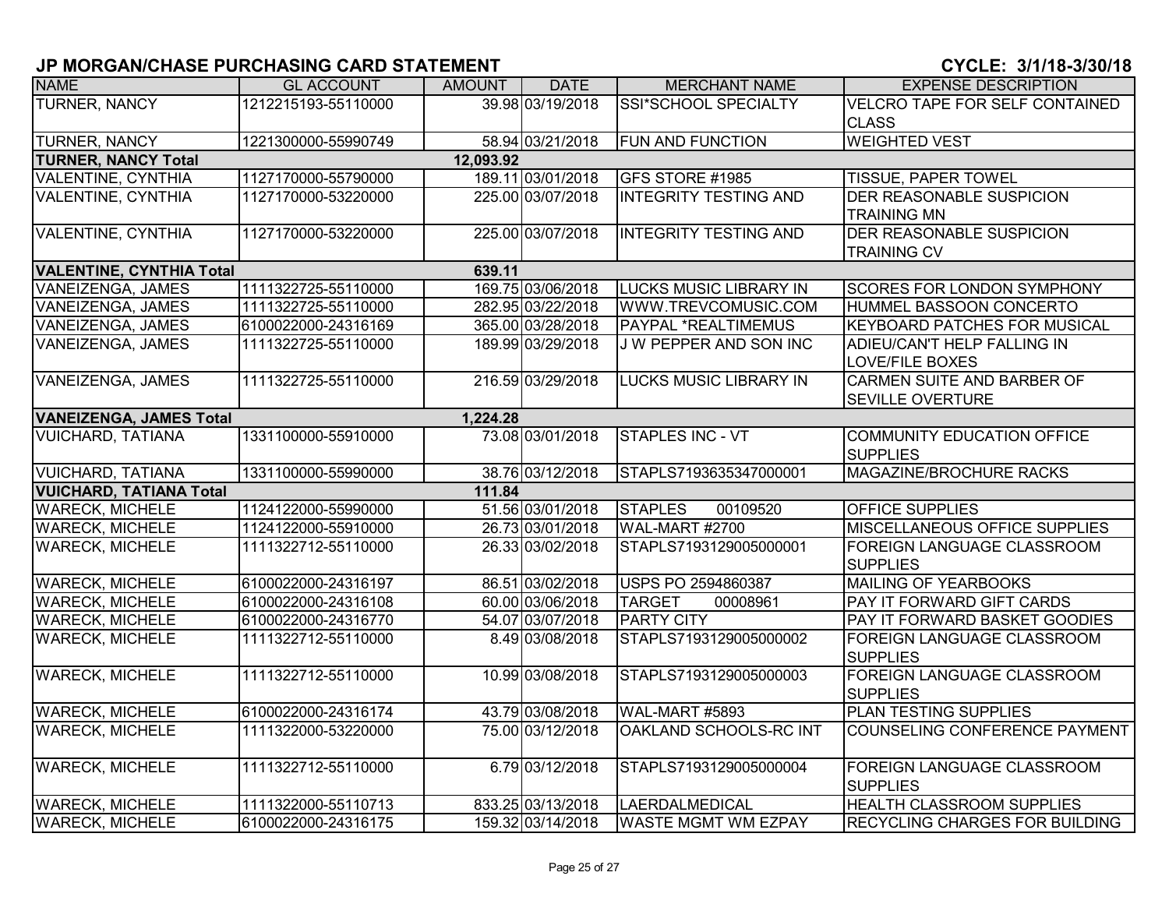| <b>NAME</b>                                | <b>GL ACCOUNT</b>   | <b>AMOUNT</b> | <b>DATE</b>       | <b>MERCHANT NAME</b>          | <b>EXPENSE DESCRIPTION</b>            |  |  |  |
|--------------------------------------------|---------------------|---------------|-------------------|-------------------------------|---------------------------------------|--|--|--|
| <b>TURNER, NANCY</b>                       | 1212215193-55110000 |               | 39.98 03/19/2018  | <b>SSI*SCHOOL SPECIALTY</b>   | <b>VELCRO TAPE FOR SELF CONTAINED</b> |  |  |  |
|                                            |                     |               |                   |                               | <b>CLASS</b>                          |  |  |  |
| <b>TURNER, NANCY</b>                       | 1221300000-55990749 |               | 58.94 03/21/2018  | FUN AND FUNCTION              | <b>WEIGHTED VEST</b>                  |  |  |  |
| <b>TURNER, NANCY Total</b><br>12,093.92    |                     |               |                   |                               |                                       |  |  |  |
| VALENTINE, CYNTHIA                         | 1127170000-55790000 |               | 189.11 03/01/2018 | GFS STORE #1985               | <b>TISSUE, PAPER TOWEL</b>            |  |  |  |
| VALENTINE, CYNTHIA                         | 1127170000-53220000 |               | 225.00 03/07/2018 | <b>INTEGRITY TESTING AND</b>  | <b>DER REASONABLE SUSPICION</b>       |  |  |  |
|                                            |                     |               |                   |                               | <b>TRAINING MN</b>                    |  |  |  |
| <b>VALENTINE, CYNTHIA</b>                  | 1127170000-53220000 |               | 225.00 03/07/2018 | <b>INTEGRITY TESTING AND</b>  | <b>DER REASONABLE SUSPICION</b>       |  |  |  |
|                                            |                     |               |                   |                               | <b>TRAINING CV</b>                    |  |  |  |
| <b>VALENTINE, CYNTHIA Total</b><br>639.11  |                     |               |                   |                               |                                       |  |  |  |
| <b>VANEIZENGA, JAMES</b>                   | 1111322725-55110000 |               | 169.75 03/06/2018 | <b>LUCKS MUSIC LIBRARY IN</b> | <b>SCORES FOR LONDON SYMPHONY</b>     |  |  |  |
| <b>VANEIZENGA, JAMES</b>                   | 1111322725-55110000 |               | 282.95 03/22/2018 | WWW.TREVCOMUSIC.COM           | HUMMEL BASSOON CONCERTO               |  |  |  |
| VANEIZENGA, JAMES                          | 6100022000-24316169 |               | 365.00 03/28/2018 | PAYPAL *REALTIMEMUS           | <b>KEYBOARD PATCHES FOR MUSICAL</b>   |  |  |  |
| VANEIZENGA, JAMES                          | 1111322725-55110000 |               | 189.99 03/29/2018 | J W PEPPER AND SON INC        | ADIEU/CAN'T HELP FALLING IN           |  |  |  |
|                                            |                     |               |                   |                               | <b>LOVE/FILE BOXES</b>                |  |  |  |
| <b>VANEIZENGA, JAMES</b>                   | 1111322725-55110000 |               | 216.59 03/29/2018 | LUCKS MUSIC LIBRARY IN        | CARMEN SUITE AND BARBER OF            |  |  |  |
|                                            |                     |               |                   |                               | <b>SEVILLE OVERTURE</b>               |  |  |  |
| <b>VANEIZENGA, JAMES Total</b><br>1,224.28 |                     |               |                   |                               |                                       |  |  |  |
| <b>VUICHARD, TATIANA</b>                   | 1331100000-55910000 |               | 73.08 03/01/2018  | <b>STAPLES INC - VT</b>       | COMMUNITY EDUCATION OFFICE            |  |  |  |
|                                            |                     |               |                   |                               | <b>SUPPLIES</b>                       |  |  |  |
| <b>VUICHARD, TATIANA</b>                   | 1331100000-55990000 |               | 38.76 03/12/2018  | STAPLS7193635347000001        | MAGAZINE/BROCHURE RACKS               |  |  |  |
| <b>VUICHARD, TATIANA Total</b>             |                     | 111.84        |                   |                               |                                       |  |  |  |
| <b>WARECK, MICHELE</b>                     | 1124122000-55990000 |               | 51.56 03/01/2018  | <b>STAPLES</b><br>00109520    | <b>OFFICE SUPPLIES</b>                |  |  |  |
| <b>WARECK, MICHELE</b>                     | 1124122000-55910000 |               | 26.73 03/01/2018  | WAL-MART #2700                | <b>MISCELLANEOUS OFFICE SUPPLIES</b>  |  |  |  |
| <b>WARECK, MICHELE</b>                     | 1111322712-55110000 |               | 26.33 03/02/2018  | STAPLS7193129005000001        | <b>FOREIGN LANGUAGE CLASSROOM</b>     |  |  |  |
|                                            |                     |               |                   |                               | <b>SUPPLIES</b>                       |  |  |  |
| <b>WARECK, MICHELE</b>                     | 6100022000-24316197 |               | 86.51 03/02/2018  | USPS PO 2594860387            | MAILING OF YEARBOOKS                  |  |  |  |
| <b>WARECK, MICHELE</b>                     | 6100022000-24316108 |               | 60.00 03/06/2018  | <b>TARGET</b><br>00008961     | PAY IT FORWARD GIFT CARDS             |  |  |  |
| <b>WARECK, MICHELE</b>                     | 6100022000-24316770 |               | 54.07 03/07/2018  | <b>PARTY CITY</b>             | <b>PAY IT FORWARD BASKET GOODIES</b>  |  |  |  |
| <b>WARECK, MICHELE</b>                     | 1111322712-55110000 |               | 8.49 03/08/2018   | STAPLS7193129005000002        | <b>FOREIGN LANGUAGE CLASSROOM</b>     |  |  |  |
|                                            |                     |               |                   |                               | <b>SUPPLIES</b>                       |  |  |  |
| <b>WARECK, MICHELE</b>                     | 1111322712-55110000 |               | 10.99 03/08/2018  | STAPLS7193129005000003        | <b>FOREIGN LANGUAGE CLASSROOM</b>     |  |  |  |
|                                            |                     |               |                   |                               | <b>SUPPLIES</b>                       |  |  |  |
| <b>WARECK, MICHELE</b>                     | 6100022000-24316174 |               | 43.79 03/08/2018  | WAL-MART #5893                | <b>PLAN TESTING SUPPLIES</b>          |  |  |  |
| <b>WARECK, MICHELE</b>                     | 1111322000-53220000 |               | 75.00 03/12/2018  | OAKLAND SCHOOLS-RC INT        | COUNSELING CONFERENCE PAYMENT         |  |  |  |
|                                            |                     |               |                   |                               |                                       |  |  |  |
| <b>WARECK, MICHELE</b>                     | 1111322712-55110000 |               | 6.79 03/12/2018   | STAPLS7193129005000004        | <b>FOREIGN LANGUAGE CLASSROOM</b>     |  |  |  |
|                                            |                     |               |                   |                               | <b>SUPPLIES</b>                       |  |  |  |
| <b>WARECK, MICHELE</b>                     | 1111322000-55110713 |               | 833.25 03/13/2018 | LAERDALMEDICAL                | <b>HEALTH CLASSROOM SUPPLIES</b>      |  |  |  |
| <b>WARECK, MICHELE</b>                     | 6100022000-24316175 |               | 159.32 03/14/2018 | <b>WASTE MGMT WM EZPAY</b>    | <b>RECYCLING CHARGES FOR BUILDING</b> |  |  |  |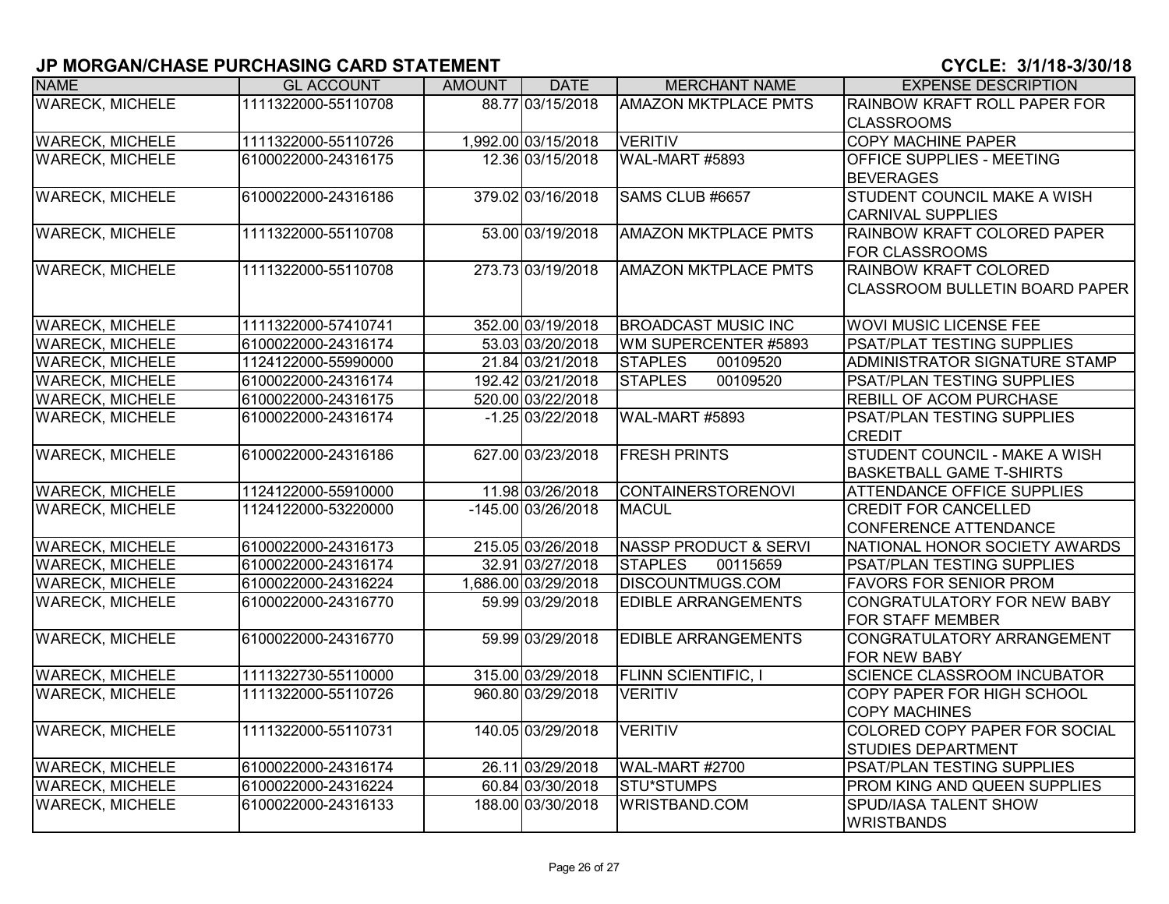| <b>NAME</b>            | <b>GL ACCOUNT</b>   | <b>AMOUNT</b> | <b>DATE</b>         | <b>MERCHANT NAME</b>             | <b>EXPENSE DESCRIPTION</b>            |
|------------------------|---------------------|---------------|---------------------|----------------------------------|---------------------------------------|
| <b>WARECK, MICHELE</b> | 1111322000-55110708 |               | 88.77 03/15/2018    | <b>AMAZON MKTPLACE PMTS</b>      | <b>RAINBOW KRAFT ROLL PAPER FOR</b>   |
|                        |                     |               |                     |                                  | <b>CLASSROOMS</b>                     |
| <b>WARECK, MICHELE</b> | 1111322000-55110726 |               | 1,992.00 03/15/2018 | <b>VERITIV</b>                   | <b>COPY MACHINE PAPER</b>             |
| <b>WARECK, MICHELE</b> | 6100022000-24316175 |               | 12.36 03/15/2018    | <b>WAL-MART #5893</b>            | <b>OFFICE SUPPLIES - MEETING</b>      |
|                        |                     |               |                     |                                  | <b>BEVERAGES</b>                      |
| <b>WARECK, MICHELE</b> | 6100022000-24316186 |               | 379.02 03/16/2018   | SAMS CLUB #6657                  | STUDENT COUNCIL MAKE A WISH           |
|                        |                     |               |                     |                                  | <b>CARNIVAL SUPPLIES</b>              |
| <b>WARECK, MICHELE</b> | 1111322000-55110708 |               | 53.00 03/19/2018    | <b>AMAZON MKTPLACE PMTS</b>      | RAINBOW KRAFT COLORED PAPER           |
|                        |                     |               |                     |                                  | <b>FOR CLASSROOMS</b>                 |
| <b>WARECK, MICHELE</b> | 1111322000-55110708 |               | 273.73 03/19/2018   | <b>AMAZON MKTPLACE PMTS</b>      | <b>RAINBOW KRAFT COLORED</b>          |
|                        |                     |               |                     |                                  | <b>CLASSROOM BULLETIN BOARD PAPER</b> |
|                        |                     |               |                     |                                  |                                       |
| <b>WARECK, MICHELE</b> | 1111322000-57410741 |               | 352.00 03/19/2018   | <b>BROADCAST MUSIC INC</b>       | <b>WOVI MUSIC LICENSE FEE</b>         |
| <b>WARECK, MICHELE</b> | 6100022000-24316174 |               | 53.03 03/20/2018    | WM SUPERCENTER #5893             | <b>PSAT/PLAT TESTING SUPPLIES</b>     |
| <b>WARECK, MICHELE</b> | 1124122000-55990000 |               | 21.84 03/21/2018    | <b>STAPLES</b><br>00109520       | ADMINISTRATOR SIGNATURE STAMP         |
| <b>WARECK, MICHELE</b> | 6100022000-24316174 |               | 192.42 03/21/2018   | <b>STAPLES</b><br>00109520       | PSAT/PLAN TESTING SUPPLIES            |
| <b>WARECK, MICHELE</b> | 6100022000-24316175 |               | 520.00 03/22/2018   |                                  | <b>REBILL OF ACOM PURCHASE</b>        |
| <b>WARECK, MICHELE</b> | 6100022000-24316174 |               | $-1.25$ 03/22/2018  | WAL-MART #5893                   | <b>PSAT/PLAN TESTING SUPPLIES</b>     |
|                        |                     |               |                     |                                  | <b>CREDIT</b>                         |
| <b>WARECK, MICHELE</b> | 6100022000-24316186 |               | 627.00 03/23/2018   | <b>FRESH PRINTS</b>              | <b>STUDENT COUNCIL - MAKE A WISH</b>  |
|                        |                     |               |                     |                                  | <b>BASKETBALL GAME T-SHIRTS</b>       |
| <b>WARECK, MICHELE</b> | 1124122000-55910000 |               | 11.98 03/26/2018    | <b>CONTAINERSTORENOVI</b>        | <b>ATTENDANCE OFFICE SUPPLIES</b>     |
| <b>WARECK, MICHELE</b> | 1124122000-53220000 |               | -145.00 03/26/2018  | <b>MACUL</b>                     | <b>CREDIT FOR CANCELLED</b>           |
|                        |                     |               |                     |                                  | <b>CONFERENCE ATTENDANCE</b>          |
| <b>WARECK, MICHELE</b> | 6100022000-24316173 |               | 215.05 03/26/2018   | <b>NASSP PRODUCT &amp; SERVI</b> | NATIONAL HONOR SOCIETY AWARDS         |
| <b>WARECK, MICHELE</b> | 6100022000-24316174 |               | 32.91 03/27/2018    | <b>STAPLES</b><br>00115659       | PSAT/PLAN TESTING SUPPLIES            |
| <b>WARECK, MICHELE</b> | 6100022000-24316224 |               | 1,686.00 03/29/2018 | <b>DISCOUNTMUGS.COM</b>          | <b>FAVORS FOR SENIOR PROM</b>         |
| <b>WARECK, MICHELE</b> | 6100022000-24316770 |               | 59.99 03/29/2018    | <b>EDIBLE ARRANGEMENTS</b>       | CONGRATULATORY FOR NEW BABY           |
|                        |                     |               |                     |                                  | FOR STAFF MEMBER                      |
| <b>WARECK, MICHELE</b> | 6100022000-24316770 |               | 59.99 03/29/2018    | <b>EDIBLE ARRANGEMENTS</b>       | CONGRATULATORY ARRANGEMENT            |
|                        |                     |               |                     |                                  | <b>FOR NEW BABY</b>                   |
| <b>WARECK, MICHELE</b> | 1111322730-55110000 |               | 315.00 03/29/2018   | <b>FLINN SCIENTIFIC, I</b>       | <b>SCIENCE CLASSROOM INCUBATOR</b>    |
| <b>WARECK, MICHELE</b> | 1111322000-55110726 |               | 960.80 03/29/2018   | <b>VERITIV</b>                   | COPY PAPER FOR HIGH SCHOOL            |
|                        |                     |               |                     |                                  | <b>COPY MACHINES</b>                  |
| <b>WARECK, MICHELE</b> | 1111322000-55110731 |               | 140.05 03/29/2018   | <b>VERITIV</b>                   | COLORED COPY PAPER FOR SOCIAL         |
|                        |                     |               |                     |                                  | <b>STUDIES DEPARTMENT</b>             |
| <b>WARECK, MICHELE</b> | 6100022000-24316174 |               | 26.11 03/29/2018    | <b>WAL-MART #2700</b>            | <b>PSAT/PLAN TESTING SUPPLIES</b>     |
| <b>WARECK, MICHELE</b> | 6100022000-24316224 |               | 60.84 03/30/2018    | <b>STU*STUMPS</b>                | PROM KING AND QUEEN SUPPLIES          |
| <b>WARECK, MICHELE</b> | 6100022000-24316133 |               | 188.00 03/30/2018   | WRISTBAND.COM                    | SPUD/IASA TALENT SHOW                 |
|                        |                     |               |                     |                                  | <b>WRISTBANDS</b>                     |